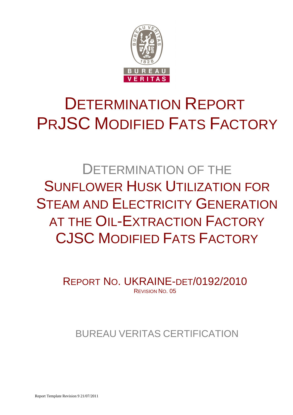

# DETERMINATION REPORT PRJSC MODIFIED FATS FACTORY

DETERMINATION OF THE SUNFLOWER HUSK UTILIZATION FOR STEAM AND ELECTRICITY GENERATION AT THE OIL-EXTRACTION FACTORY CJSC MODIFIED FATS FACTORY

> REPORT NO. UKRAINE-DET/0192/2010 REVISION NO. 05

## BUREAU VERITAS CERTIFICATION

Report Template Revision 9 21/07/2011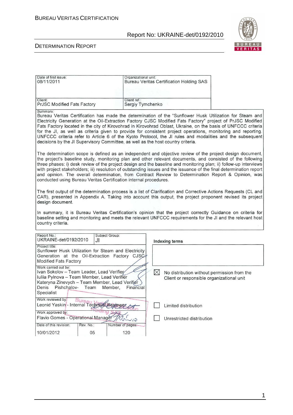

#### DETERMINATION REPORT

| Date of first issue:<br>08/11/2011                                                                                                                                                                                                                                                                                                             | Organizational unit:                                                                                                                                                                                                                                                                                                                                                                                                                                                                                                                                                                                                                                     |  | <b>Bureau Veritas Certification Holding SAS</b> |  |  |  |
|------------------------------------------------------------------------------------------------------------------------------------------------------------------------------------------------------------------------------------------------------------------------------------------------------------------------------------------------|----------------------------------------------------------------------------------------------------------------------------------------------------------------------------------------------------------------------------------------------------------------------------------------------------------------------------------------------------------------------------------------------------------------------------------------------------------------------------------------------------------------------------------------------------------------------------------------------------------------------------------------------------------|--|-------------------------------------------------|--|--|--|
|                                                                                                                                                                                                                                                                                                                                                |                                                                                                                                                                                                                                                                                                                                                                                                                                                                                                                                                                                                                                                          |  |                                                 |  |  |  |
| Client:<br><b>PrJSC Modified Fats Factory</b>                                                                                                                                                                                                                                                                                                  | Client ref.:<br>Sergiy Tymchenko                                                                                                                                                                                                                                                                                                                                                                                                                                                                                                                                                                                                                         |  |                                                 |  |  |  |
| Summary:                                                                                                                                                                                                                                                                                                                                       | Bureau Veritas Certification has made the determination of the "Sunflower Husk Utilization for Steam and<br>Electricity Generation at the Oil-Extraction Factory CJSC Modified Fats Factory" project of PrJSC Modified<br>Fats Factory located in the city of Kirovohrad in Kirovohrad Oblast, Ukraine, on the basis of UNFCCC criteria<br>for the JI, as well as criteria given to provide for consistent project operations, monitoring and reporting.<br>UNFCCC criteria refer to Article 6 of the Kyoto Protocol, the JI rules and modalities and the subsequent<br>decisions by the JI Supervisory Committee, as well as the host country criteria. |  |                                                 |  |  |  |
|                                                                                                                                                                                                                                                                                                                                                | The determination scope is defined as an independent and objective review of the project design document,<br>the project's baseline study, monitoring plan and other relevant documents, and consisted of the following<br>three phases: i) desk review of the project design and the baseline and monitoring plan; ii) follow-up interviews<br>with project stakeholders; iii) resolution of outstanding issues and the issuance of the final determination report<br>and opinion. The overall determination, from Contract Review to Determination Report & Opinion, was<br>conducted using Bureau Veritas Certification internal procedures.          |  |                                                 |  |  |  |
| The first output of the determination process is a list of Clarification and Corrective Actions Requests (CL and<br>CAR), presented in Appendix A. Taking into account this output, the project proponent revised its project<br>design document.                                                                                              |                                                                                                                                                                                                                                                                                                                                                                                                                                                                                                                                                                                                                                                          |  |                                                 |  |  |  |
| In summary, it is Bureau Veritas Certification's opinion that the project correctly Guidance on criteria for<br>baseline setting and monitoring and meets the relevant UNFCCC requirements for the JI and the relevant host<br>country criteria.                                                                                               |                                                                                                                                                                                                                                                                                                                                                                                                                                                                                                                                                                                                                                                          |  |                                                 |  |  |  |
| Report No.:<br>Subject Group:<br>UKRAINE-det/0192/2010<br>JI                                                                                                                                                                                                                                                                                   |                                                                                                                                                                                                                                                                                                                                                                                                                                                                                                                                                                                                                                                          |  | <b>Indexing terms</b>                           |  |  |  |
| Project title:<br>Sunflower Husk Utilization for Steam and Electricity<br>Generation at the Oil-Extraction Factory CJSC<br><b>Modified Fats Factory</b>                                                                                                                                                                                        |                                                                                                                                                                                                                                                                                                                                                                                                                                                                                                                                                                                                                                                          |  |                                                 |  |  |  |
| Work carried out by:<br>Ivan Sokolov - Team Leader, Lead Verifier<br>$\bowtie$<br>No distribution without permission from the<br>Iuliia Pylnova - Team Member, Lead Verifier<br>Client or responsible organizational unit<br>Kateryna Zinevych - Team Member, Lead Verifier<br>Denis Pishchalov-<br>Team<br>Member,<br>Financial<br>Specialist |                                                                                                                                                                                                                                                                                                                                                                                                                                                                                                                                                                                                                                                          |  |                                                 |  |  |  |
| Work reviewed by: Bureau<br>Leonid Yaskin - Internal Technics<br>Limited distribution                                                                                                                                                                                                                                                          |                                                                                                                                                                                                                                                                                                                                                                                                                                                                                                                                                                                                                                                          |  |                                                 |  |  |  |
| Work approved by:<br>Flavio Gomes - Operational Manager                                                                                                                                                                                                                                                                                        |                                                                                                                                                                                                                                                                                                                                                                                                                                                                                                                                                                                                                                                          |  |                                                 |  |  |  |
|                                                                                                                                                                                                                                                                                                                                                | sid                                                                                                                                                                                                                                                                                                                                                                                                                                                                                                                                                                                                                                                      |  | Unrestricted distribution                       |  |  |  |
| Date of this revision:<br>Rev. No.:                                                                                                                                                                                                                                                                                                            | Number of pages:                                                                                                                                                                                                                                                                                                                                                                                                                                                                                                                                                                                                                                         |  |                                                 |  |  |  |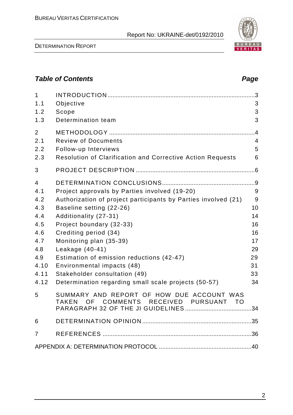

DETERMINATION REPORT

## **Table of Contents Page 2018**

| $\mathbf{1}$<br>1.1<br>1.2                                                               | Objective<br>Scope                                                                                                                                                                                                                                                                                                                                                                                                                          | .3<br>3<br>3                                                       |
|------------------------------------------------------------------------------------------|---------------------------------------------------------------------------------------------------------------------------------------------------------------------------------------------------------------------------------------------------------------------------------------------------------------------------------------------------------------------------------------------------------------------------------------------|--------------------------------------------------------------------|
| 1.3                                                                                      | Determination team                                                                                                                                                                                                                                                                                                                                                                                                                          | 3                                                                  |
| $\overline{2}$<br>2.1<br>2.2<br>2.3                                                      | <b>Review of Documents</b><br>Follow-up Interviews<br>Resolution of Clarification and Corrective Action Requests                                                                                                                                                                                                                                                                                                                            | $\overline{.4}$<br>$\overline{4}$<br>5<br>6                        |
| 3                                                                                        |                                                                                                                                                                                                                                                                                                                                                                                                                                             |                                                                    |
| 4<br>4.1<br>4.2<br>4.3<br>4.4<br>4.5<br>4.6<br>4.7<br>4.8<br>4.9<br>4.10<br>4.11<br>4.12 | Project approvals by Parties involved (19-20)<br>Authorization of project participants by Parties involved (21)<br>Baseline setting (22-26)<br>Additionality (27-31)<br>Project boundary (32-33)<br>Crediting period (34)<br>Monitoring plan (35-39)<br>Leakage (40-41)<br>Estimation of emission reductions (42-47)<br>Environmental impacts (48)<br>Stakeholder consultation (49)<br>Determination regarding small scale projects (50-57) | 9<br>9<br>10<br>14<br>16<br>16<br>17<br>29<br>29<br>31<br>33<br>34 |
| 5                                                                                        | SUMMARY AND REPORT OF HOW DUE ACCOUNT WAS<br>RECEIVED<br>COMMENTS<br><b>TAKEN</b><br>OF.<br><b>PURSUANT</b><br><b>TO</b><br>PARAGRAPH 32 OF THE JI GUIDELINES.                                                                                                                                                                                                                                                                              | 34                                                                 |
| 6                                                                                        |                                                                                                                                                                                                                                                                                                                                                                                                                                             |                                                                    |
| 7                                                                                        |                                                                                                                                                                                                                                                                                                                                                                                                                                             |                                                                    |
|                                                                                          |                                                                                                                                                                                                                                                                                                                                                                                                                                             |                                                                    |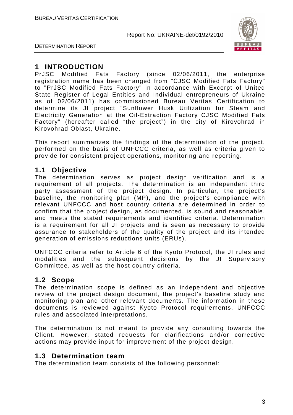

DETERMINATION REPORT

## **1 INTRODUCTION**

PrJSC Modified Fats Factory (since 02/06/2011, the enterprise registration name has been changed from "СJSC Modified Fats Factory" to "PrJSC Modified Fats Factory" in accordance with Excerpt of United State Register of Legal Entities and Individual entrepreneurs of Ukraine as of 02/06/2011) has commissioned Bureau Veritas Certification to determine its JI project "Sunflower Husk Utilization for Steam and Electricity Generation at the Oil-Extraction Factory CJSC Modified Fats Factory" (hereafter called "the project") in the city of Kirovohrad in Kirovohrad Oblast, Ukraine.

This report summarizes the findings of the determination of the project, performed on the basis of UNFCCC criteria, as well as criteria given to provide for consistent project operations, monitoring and reporting.

## **1.1 Objective**

The determination serves as project design verification and is a requirement of all projects. The determination is an independent third party assessment of the project design. In particular, the project's baseline, the monitoring plan (MP), and the project's compliance with relevant UNFCCC and host country criteria are determined in order to confirm that the project design, as documented, is sound and reasonable, and meets the stated requirements and identified criteria. Determination is a requirement for all JI projects and is seen as necessary to provide assurance to stakeholders of the quality of the project and its intended generation of emissions reductions units (ERUs).

UNFCCC criteria refer to Article 6 of the Kyoto Protocol, the JI rules and modalities and the subsequent decisions by the JI Supervisory Committee, as well as the host country criteria.

## **1.2 Scope**

The determination scope is defined as an independent and objective review of the project design document, the project's baseline study and monitoring plan and other relevant documents. The information in these documents is reviewed against Kyoto Protocol requirements, UNFCCC rules and associated interpretations.

The determination is not meant to provide any consulting towards the Client. However, stated requests for clarifications and/or corrective actions may provide input for improvement of the project design.

#### **1.3 Determination team**

The determination team consists of the following personnel: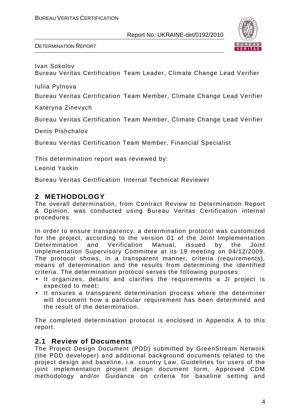

DETERMINATION REPORT

Ivan Sokolov

Bureau Veritas Certification Team Leader, Climate Change Lead Verifier

Iuliia Pylnova

Bureau Veritas Certification Team Member, Climate Change Lead Verifier

Kateryna Zinevych

Bureau Veritas Certification Team Member, Climate Change Lead Verifier

Denis Pishchalov

Bureau Veritas Certification Team Member, Financial Specialist

This determination report was reviewed by:

Leonid Yaskin

Bureau Veritas Certification Internal Technical Reviewer

## **2 METHODOLOGY**

The overall determination, from Contract Review to Determination Report & Opinion, was conducted using Bureau Veritas Certification internal procedures.

In order to ensure transparency, a determination protocol was customized for the project, according to the version 01 of the Joint Implementation Determination and Verification Manual, issued by the Joint Implementation Supervisory Committee at its 19 meeting on 04/12/2009. The protocol shows, in a transparent manner, criteria (requirements), means of determination and the results from determining the identified criteria. The determination protocol serves the following purposes:

- It organizes, details and clarifies the requirements a JI project is expected to meet;
- It ensures a transparent determination process where the determiner will document how a particular requirement has been determined and the result of the determination.

The completed determination protocol is enclosed in Appendix A to this report.

## **2.1 Review of Documents**

The Project Design Document (PDD) submitted by GreenStream Network (the PDD developer) and additional background documents related to the project design and baseline, i.e. country Law, Guidelines for users of the joint implementation project design document form, Approved CDM methodology and/or Guidance on criteria for baseline setting and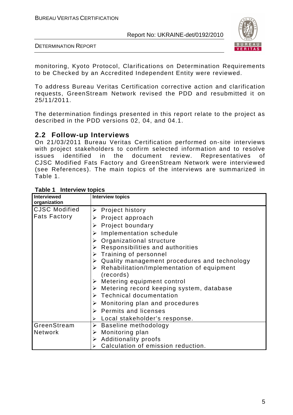

DETERMINATION REPORT

monitoring, Kyoto Protocol, Clarifications on Determination Requirements to be Checked by an Accredited Independent Entity were reviewed.

To address Bureau Veritas Certification corrective action and clarification requests, GreenStream Network revised the PDD and resubmitted it on 25/11/2011.

The determination findings presented in this report relate to the project as described in the PDD versions 02, 04, and 04.1.

## **2.2 Follow-up Interviews**

On 21/03/2011 Bureau Veritas Certification performed on-site interviews with project stakeholders to confirm selected information and to resolve issues identified in the document review. Representatives of CJSC Modified Fats Factory and GreenStream Network were interviewed (see References). The main topics of the interviews are summarized in Table 1.

| <b>Interviewed</b>   | <b>Interview topics</b>                                                  |
|----------------------|--------------------------------------------------------------------------|
| organization         |                                                                          |
| <b>CJSC Modified</b> | $\triangleright$ Project history                                         |
| <b>Fats Factory</b>  | $\triangleright$ Project approach                                        |
|                      | <b>Project boundary</b>                                                  |
|                      | Implementation schedule                                                  |
|                      | $\triangleright$ Organizational structure                                |
|                      | $\triangleright$ Responsibilities and authorities                        |
|                      | $\triangleright$ Training of personnel                                   |
|                      | $\triangleright$ Quality management procedures and technology            |
|                      | $\triangleright$ Rehabilitation/Implementation of equipment<br>(records) |
|                      | $\triangleright$ Metering equipment control                              |
|                      | $\triangleright$ Metering record keeping system, database                |
|                      | $\triangleright$ Technical documentation                                 |
|                      | $\triangleright$ Monitoring plan and procedures                          |
|                      | $\triangleright$ Permits and licenses                                    |
|                      | Local stakeholder's response.<br>➤                                       |
| GreenStream          | $\triangleright$ Baseline methodology                                    |
| <b>Network</b>       | Monitoring plan<br>➤                                                     |
|                      | $\triangleright$ Additionality proofs                                    |
|                      | Calculation of emission reduction.                                       |

#### **Table 1 Interview topics**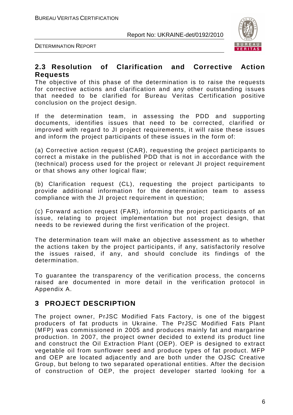

DETERMINATION REPORT

#### **2.3 Resolution of Clarification and Corrective Action Requests**

The objective of this phase of the determination is to raise the requests for corrective actions and clarification and any other outstanding issues that needed to be clarified for Bureau Veritas Certification positive conclusion on the project design.

If the determination team, in assessing the PDD and supporting documents, identifies issues that need to be corrected, clarified or improved with regard to JI project requirements, it will raise these issues and inform the project participants of these issues in the form of:

(a) Corrective action request (CAR), requesting the project participants to correct a mistake in the published PDD that is not in accordance with the (technical) process used for the project or relevant JI project requirement or that shows any other logical flaw;

(b) Clarification request (CL), requesting the project participants to provide additional information for the determination team to assess compliance with the JI project requirement in question;

(c) Forward action request (FAR), informing the project participants of an issue, relating to project implementation but not project design, that needs to be reviewed during the first verification of the project.

The determination team will make an objective assessment as to whether the actions taken by the project participants, if any, satisfactorily resolve the issues raised, if any, and should conclude its findings of the determination.

To guarantee the transparency of the verification process, the concerns raised are documented in more detail in the verification protocol in Appendix A.

## **3 PROJECT DESCRIPTION**

The project owner, PrJSC Modified Fats Factory, is one of the biggest producers of fat products in Ukraine. The PrJSC Modified Fats Plant (MFP) was commissioned in 2005 and produces mainly fat and margarine production. In 2007, the project owner decided to extend its product line and construct the Oil Extraction Plant (OEP). OEP is designed to extract vegetable oil from sunflower seed and produce types of fat product. MFP and OEP are located adjacently and are both under the OJSC Creative Group, but belong to two separated operational entities. After the decision of construction of OEP, the project developer started looking for a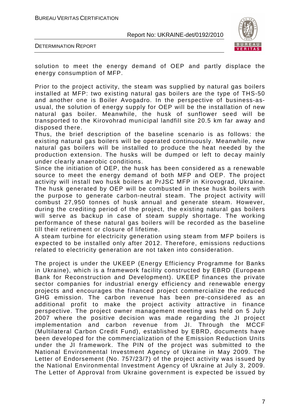

DETERMINATION REPORT

solution to meet the energy demand of OEP and partly displace the energy consumption of MFP.

Prior to the project activity, the steam was supplied by natural gas boilers installed at MFP: two existing natural gas boilers are the type of THS-50 and another one is Boiler Avogadro. In the perspective of business-asusual, the solution of energy supply for OEP will be the installation of new natural gas boiler. Meanwhile, the husk of sunflower seed will be transported to the Kirovohrad municipal landfill site 20.5 km far away and disposed there.

Thus, the brief description of the baseline scenario is as follows: the existing natural gas boilers will be operated continuously. Meanwhile, new natural gas boilers will be installed to produce the heat needed by the production extension. The husks will be dumped or left to decay mainly under clearly anaerobic conditions.

Since the initiation of OEP, the husk has been considered as a renewable source to meet the energy demand of both MFP and OEP. The project activity will install two husk boilers at PrJSC MFP in Kirovograd, Ukraine. The husk generated by OEP will be combusted in these husk boilers with the purpose to generate carbon-neutral steam. The project activity will combust 27,950 tonnes of husk annual and generate steam. However, during the crediting period of the project, the existing natural gas boilers will serve as backup in case of steam supply shortage. The working performance of these natural gas boilers will be recorded as the baseline till their retirement or closure of lifetime.

A steam turbine for electricity generation using steam from MFP boilers is expected to be installed only after 2012. Therefore, emissions reductions related to electricity generation are not taken into consideration.

The project is under the UKEEP (Energy Efficiency Programme for Banks in Ukraine), which is a framework facility constructed by EBRD (European Bank for Reconstruction and Development). UKEEP finances the private sector companies for industrial energy efficiency and renewable energy projects and encourages the financed project commercialize the reduced GHG emission. The carbon revenue has been pre-considered as an additional profit to make the project activity attractive in finance perspective. The project owner management meeting was held on 5 July 2007 where the positive decision was made regarding the JI project implementation and carbon revenue from JI. Through the MCCF (Multilateral Carbon Credit Fund), established by EBRD, documents have been developed for the commercialization of the Emission Reduction Units under the JI framework. The PIN of the project was submitted to the National Environmental Investment Agency of Ukraine in May 2009. The Letter of Endorsement (No. 757/23/7) of the project activity was issued by the National Environmental Investment Agency of Ukraine at July 3, 2009. The Letter of Approval from Ukraine government is expected be issued by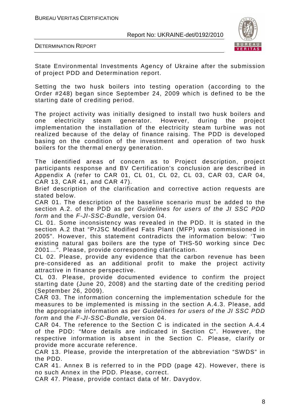

DETERMINATION REPORT

State Environmental Investments Agency of Ukraine after the submission of project PDD and Determination report.

Setting the two husk boilers into testing operation (according to the Order #248) began since September 24, 2009 which is defined to be the starting date of crediting period.

The project activity was initially designed to install two husk boilers and one electricity steam generator. However, during the project implementation the installation of the electricity steam turbine was not realized because of the delay of finance raising. The PDD is developed basing on the condition of the investment and operation of two husk boilers for the thermal energy generation.

The identified areas of concern as to Project description, project participants response and BV Certification's conclusion are described in Appendix A (refer to CAR 01, CL 01, CL 02, CL 03, CAR 03, CAR 04, CAR 13, CAR 41, and CAR 47).

Brief description of the clarification and corrective action requests are stated below.

CAR 01. The description of the baseline scenario must be added to the section A.2. of the PDD as per Guidelines for users of the JI SSC PDD form and the F-JI-SSC-Bundle, version 04.

CL 01. Some inconsistency was revealed in the PDD. It is stated in the section A.2 that "PrJSC Modified Fats Plant (MFP) was commissioned in 2005". However, this statement contradicts the information below: 'Two existing natural gas boilers are the type of THS-50 working since Dec 2001…". Please, provide corresponding clarification.

CL 02. Please, provide any evidence that the carbon revenue has been pre-considered as an additional profit to make the project activity attractive in finance perspective.

CL 03. Please, provide documented evidence to confirm the project starting date (June 20, 2008) and the starting date of the crediting period (September 26, 2009).

CAR 03. The information concerning the implementation schedule for the measures to be implemented is missing in the section A.4.3. Please, add the appropriate information as per Guidelines for users of the JI SSC PDD form and the F-JI-SSC-Bundle, version 04.

CAR 04. The reference to the Section C is indicated in the section A.4.4 of the PDD: "More details are indicated in Section C". However, the respective information is absent in the Section C. Please, clarify or provide more accurate reference.

CAR 13. Please, provide the interpretation of the abbreviation "SWDS" in the PDD.

CAR 41. Annex B is referred to in the PDD (page 42). However, there is no such Annex in the PDD. Please, correct.

CAR 47. Please, provide contact data of Mr. Davydov.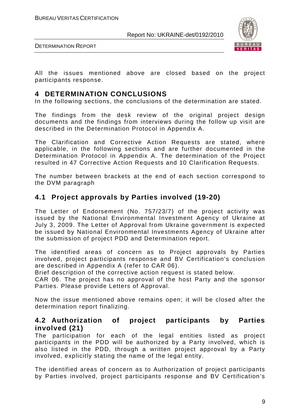

DETERMINATION REPORT

All the issues mentioned above are closed based on the project participants response.

## **4 DETERMINATION CONCLUSIONS**

In the following sections, the conclusions of the determination are stated.

The findings from the desk review of the original project design documents and the findings from interviews during the follow up visit are described in the Determination Protocol in Appendix A.

The Clarification and Corrective Action Requests are stated, where applicable, in the following sections and are further documented in the Determination Protocol in Appendix A. The determination of the Project resulted in 47 Corrective Action Requests and 10 Clarification Requests.

The number between brackets at the end of each section correspond to the DVM paragraph

## **4.1 Project approvals by Parties involved (19-20)**

The Letter of Endorsement (No. 757/23/7) of the project activity was issued by the National Environmental Investment Agency of Ukraine at July 3, 2009. The Letter of Approval from Ukraine government is expected be issued by National Environmental Investments Agency of Ukraine after the submission of project PDD and Determination report.

The identified areas of concern as to Project approvals by Parties involved, project participants response and BV Certification's conclusion are described in Appendix A (refer to CAR 06).

Brief description of the corrective action request is stated below.

CAR 06. The project has no approval of the host Party and the sponsor Parties. Please provide Letters of Approval.

Now the issue mentioned above remains open; it will be closed after the determination report finalizing.

#### **4.2 Authorization of project participants by Parties involved (21)**

The participation for each of the legal entities listed as project participants in the PDD will be authorized by a Party involved, which is also listed in the PDD, through a written project approval by a Party involved, explicitly stating the name of the legal entity.

The identified areas of concern as to Authorization of project participants by Parties involved, project participants response and BV Certification's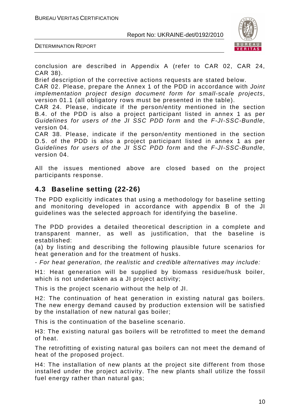

DETERMINATION REPORT

conclusion are described in Appendix A (refer to CAR 02, CAR 24, CAR 38).

Brief description of the corrective actions requests are stated below.

CAR 02. Please, prepare the Annex 1 of the PDD in accordance with Joint implementation project design document form for small-scale projects, version 01.1 (all obligatory rows must be presented in the table).

CAR 24. Please, indicate if the person/entity mentioned in the section B.4. of the PDD is also a project participant listed in annex 1 as per Guidelines for users of the JI SSC PDD form and the F-JI-SSC-Bundle, version 04.

CAR 38. Please, indicate if the person/entity mentioned in the section D.5. of the PDD is also a project participant listed in annex 1 as per Guidelines for users of the JI SSC PDD form and the F-JI-SSC-Bundle, version 04.

All the issues mentioned above are closed based on the project participants response.

## **4.3 Baseline setting (22-26)**

The PDD explicitly indicates that using a methodology for baseline setting and monitoring developed in accordance with appendix B of the JI guidelines was the selected approach for identifying the baseline.

The PDD provides a detailed theoretical description in a complete and transparent manner, as well as justification, that the baseline is established:

(a) by listing and describing the following plausible future scenarios for heat generation and for the treatment of husks.

- For heat generation, the realistic and credible alternatives may include:

H1: Heat generation will be supplied by biomass residue/husk boiler, which is not undertaken as a JI project activity;

This is the project scenario without the help of JI.

H2: The continuation of heat generation in existing natural gas boilers. The new energy demand caused by production extension will be satisfied by the installation of new natural gas boiler;

This is the continuation of the baseline scenario.

H3: The existing natural gas boilers will be retrofitted to meet the demand of heat.

The retrofitting of existing natural gas boilers can not meet the demand of heat of the proposed project.

H4: The installation of new plants at the project site different from those installed under the project activity. The new plants shall utilize the fossil fuel energy rather than natural gas;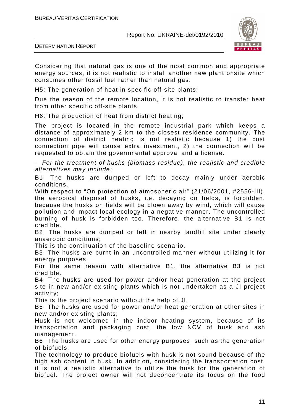

DETERMINATION REPORT

Considering that natural gas is one of the most common and appropriate energy sources, it is not realistic to install another new plant onsite which consumes other fossil fuel rather than natural gas.

H5: The generation of heat in specific off-site plants;

Due the reason of the remote location, it is not realistic to transfer heat from other specific off-site plants.

H6: The production of heat from district heating;

The project is located in the remote industrial park which keeps a distance of approximately 2 km to the closest residence community. The connection of district heating is not realistic because 1) the cost connection pipe will cause extra investment, 2) the connection will be requested to obtain the governmental approval and a license.

- For the treatment of husks (biomass residue), the realistic and credible alternatives may include:

B1: The husks are dumped or left to decay mainly under aerobic conditions.

With respect to "On protection of atmospheric air" (21/06/2001, #2556-III), the aerobical disposal of husks, i.e. decaying on fields, is forbidden, because the husks on fields will be blown away by wind, which will cause pollution and impact local ecology in a negative manner. The uncontrolled burning of husk is forbidden too. Therefore, the alternative B1 is not credible.

B2: The husks are dumped or left in nearby landfill site under clearly anaerobic conditions;

This is the continuation of the baseline scenario.

B3: The husks are burnt in an uncontrolled manner without utilizing it for energy purposes;

For the same reason with alternative B1, the alternative B3 is not credible.

B4: The husks are used for power and/or heat generation at the project site in new and/or existing plants which is not undertaken as a JI project activity;

This is the project scenario without the help of JI.

B5: The husks are used for power and/or heat generation at other sites in new and/or existing plants;

Husk is not welcomed in the indoor heating system, because of its transportation and packaging cost, the low NCV of husk and ash management.

B6: The husks are used for other energy purposes, such as the generation of biofuels;

The technology to produce biofuels with husk is not sound because of the high ash content in husk. In addition, considering the transportation cost, it is not a realistic alternative to utilize the husk for the generation of biofuel. The project owner will not deconcentrate its focus on the food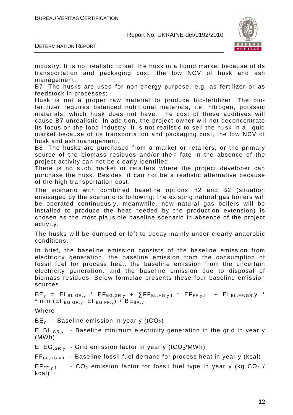

DETERMINATION REPORT

industry. It is not realistic to sell the husk in a liquid market because of its transportation and packaging cost, the low NCV of husk and ash management.

B7: The husks are used for non-energy purpose, e.g, as fertilizer or as feedstock in processes;

Husk is not a proper raw material to produce bio-fertilizer. The biofertilizer requires balanced nutritional materials, i.e. nitrogen, potassic materials, which husk does not have. The cost of these additives will cause B7 unrealistic. In addition, the project owner will not deconcentrate its focus on the food industry. It is not realistic to sell the husk in a liquid market because of its transportation and packaging cost, the low NCV of husk and ash management.

B8: The husks are purchased from a market or retailers, or the primary source of the biomass residues and/or their fate in the absence of the project activity can not be clearly identified.

There is no such market or retailers where the project developer can purchase the husk. Besides, it can not be a realistic alternative because of the high transportation cost.

The scenario with combined baseline options H2 and B2 (situation envisaged by the scenario is following: the existing natural gas boilers will be operated continuously, meanwhile, new natural gas boilers will be installed to produce the heat needed by the production extension) is chosen as the most plausible baseline scenario in absence of the project activity.

The husks will be dumped or left to decay mainly under clearly anaerobic conditions.

In brief, the baseline emission consists of the baseline emission from electricity generation, the baseline emission from the consumption of fossil fuel for process heat, the baseline emission from the uncertain electricity generation, and the baseline emission due to disposal of biomass residues. Below formulae presents these four baseline emission sources.

 $BE_y = EL_{BL,GR,y} * EF_{EG,GR,y} + \sum FF_{BL,HG,y,f} * EF_{FF,y,f} + EL_{BL,FF/GR,y} *$ \* min ( $EF_{EG,GR, v}$ ;  $EF_{EG, FF, v}$ ) +  $BE_{BR, v}$ 

Where

 $BE<sub>v</sub>$  - Baseline emission in year y (tCO<sub>2</sub>)

ELBL<sub>.GR.y</sub> - Baseline minimum electricity generation in the grid in year y (MWh)

EFEG<sub>GRy</sub> - Grid emission factor in year y (tCO<sub>2</sub>/MWh)

 $FF_{BL,HG,v,f}$  - Baseline fossil fuel demand for process heat in year y (kcal)

 $EF_{FF, v,f}$  -  $CO_2$  emission factor for fossil fuel type in year y (kg  $CO_2$  / kcal)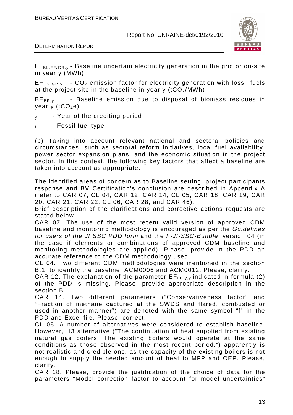



 $EL_{BL,FF/GR,y}$  - Baseline uncertain electricity generation in the grid or on-site in year y (MWh)

 $EF_{EG,GR,v}$  -  $CO<sub>2</sub>$  emission factor for electricity generation with fossil fuels at the project site in the baseline in year y  $(tCO<sub>2</sub>/MWh)$ 

 $BE_{BR,v}$  - Baseline emission due to disposal of biomass residues in year y  $(tCO<sub>2</sub>e)$ 

- $v \rightarrow$  Year of the crediting period
- $_{\rm f}$  Fossil fuel type

(b) Taking into account relevant national and sectoral policies and circumstances, such as sectoral reform initiatives, local fuel availability, power sector expansion plans, and the economic situation in the project sector. In this context, the following key factors that affect a baseline are taken into account as appropriate.

The identified areas of concern as to Baseline setting, project participants response and BV Certification's conclusion are described in Appendix A (refer to CAR 07, CL 04, CAR 12, CAR 14, CL 05, CAR 18, CAR 19, CAR 20, CAR 21, CAR 22, CL 06, CAR 28, and CAR 46).

Brief description of the clarifications and corrective actions requests are stated below.

CAR 07. The use of the most recent valid version of approved CDM baseline and monitoring methodology is encouraged as per the Guidelines for users of the JI SSC PDD form and the F-JI-SSC-Bundle, version 04 (in the case if elements or combinations of approved CDM baseline and monitoring methodologies are applied). Please, provide in the PDD an accurate reference to the CDM methodology used.

CL 04. Two different CDM methodologies were mentioned in the section B.1. to identify the baseline: ACM0006 and ACM0012. Please, clarify.

CAR 12. The explanation of the parameter  $E_{FF, v, v}$  indicated in formula (2) of the PDD is missing. Please, provide appropriate description in the section B.

CAR 14. Two different parameters ("Conservativeness factor" and "Fraction of methane captured at the SWDS and flared, combusted or used in another manner") are denoted with the same symbol "f" in the PDD and Excel file. Please, correct.

CL 05. A number of alternatives were considered to establish baseline. However, H3 alternative ("The continuation of heat supplied from existing natural gas boilers. The existing boilers would operate at the same conditions as those observed in the most recent period.") apparently is not realistic and credible one, as the capacity of the existing boilers is not enough to supply the needed amount of heat to MFP and OEP. Please, clarify.

CAR 18. Please, provide the justification of the choice of data for the parameters "Model correction factor to account for model uncertainties"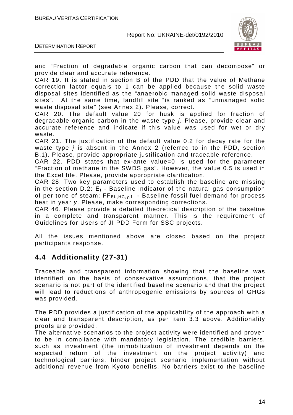

DETERMINATION REPORT

and "Fraction of degradable organic carbon that can decompose" or provide clear and accurate reference.

CAR 19. It is stated in section B of the PDD that the value of Methane correction factor equals to 1 can be applied because the solid waste disposal sites identified as the "anaerobic managed solid waste disposal sites". At the same time, landfill site "is ranked as "unmanaged solid waste disposal site" (see Annex 2). Please, correct.

CAR 20. The default value 20 for husk is applied for fraction of degradable organic carbon in the waste type j. Please, provide clear and accurate reference and indicate if this value was used for wet or dry waste.

CAR 21. The justification of the default value 0.2 for decay rate for the waste type *j* is absent in the Annex 2 (referred to in the PDD, section B.1). Please, provide appropriate justification and traceable reference.

CAR 22. PDD states that ex-ante value=0 is used for the parameter "Fraction of methane in the SWDS gas". However, the value 0.5 is used in the Excel file. Please, provide appropriate clarification.

CAR 28. Two key parameters used to establish the baseline are missing in the section D.2:  $E_f$  - Baseline indicator of the natural gas consumption of per tone of steam;  $FF_{BL,HG,v,f}$  - Baseline fossil fuel demand for process heat in year y. Please, make corresponding corrections.

CAR 46. Please provide a detailed theoretical description of the baseline in a complete and transparent manner. This is the requirement of Guidelines for Users of JI PDD Form for SSC projects.

All the issues mentioned above are closed based on the project participants response.

## **4.4 Additionality (27-31)**

Traceable and transparent information showing that the baseline was identified on the basis of conservative assumptions, that the project scenario is not part of the identified baseline scenario and that the project will lead to reductions of anthropogenic emissions by sources of GHGs was provided.

The PDD provides a justification of the applicability of the approach with a clear and transparent description, as per item 3.3 above. Additionality proofs are provided.

The alternative scenarios to the project activity were identified and proven to be in compliance with mandatory legislation. The credible barriers, such as investment (the immobilization of investment depends on the expected return of the investment on the project activity) and technological barriers, hinder project scenario implementation without additional revenue from Kyoto benefits. No barriers exist to the baseline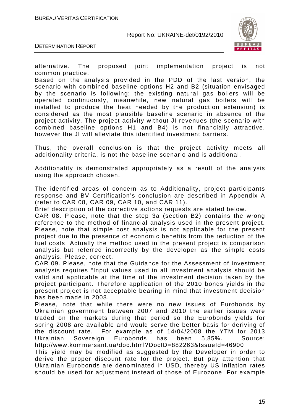

DETERMINATION REPORT

alternative. The proposed joint implementation project is not common practice.

Based on the analysis provided in the PDD of the last version, the scenario with combined baseline options H2 and B2 (situation envisaged by the scenario is following: the existing natural gas boilers will be operated continuously, meanwhile, new natural gas boilers will be installed to produce the heat needed by the production extension) is considered as the most plausible baseline scenario in absence of the project activity. The project activity without JI revenues (the scenario with combined baseline options H1 and B4) is not financially attractive, however the JI will alleviate this identified investment barriers.

Thus, the overall conclusion is that the project activity meets all additionality criteria, is not the baseline scenario and is additional.

Additionality is demonstrated appropriately as a result of the analysis using the approach chosen.

The identified areas of concern as to Additionality, project participants response and BV Certification's conclusion are described in Appendix A (refer to CAR 08, CAR 09, CAR 10, and CAR 11).

Brief description of the corrective actions requests are stated below.

CAR 08. Please, note that the step 3a (section B2) contains the wrong reference to the method of financial analysis used in the present project. Please, note that simple cost analysis is not applicable for the present project due to the presence of economic benefits from the reduction of the fuel costs. Actually the method used in the present project is comparison analysis but referred incorrectly by the developer as the simple costs analysis. Please, correct.

CAR 09. Please, note that the Guidance for the Assessment of Investment analysis requires "Input values used in all investment analysis should be valid and applicable at the time of the investment decision taken by the project participant. Therefore application of the 2010 bonds yields in the present project is not acceptable bearing in mind that investment decision has been made in 2008.

Please, note that while there were no new issues of Eurobonds by Ukrainian government between 2007 and 2010 the earlier issues were traded on the markets during that period so the Eurobonds yields for spring 2008 are available and would serve the better basis for deriving of the discount rate. For example as of 14/04/2008 the YTM for 2013 Ukrainian Sovereign Eurobonds has been 5,85%. Source: http://www.kommersant.ua/doc.html?DocID=882263&IssueId=46900

This yield may be modified as suggested by the Developer in order to derive the proper discount rate for the project. But pay attention that Ukrainian Eurobonds are denominated in USD, thereby US inflation rates should be used for adjustment instead of those of Eurozone. For example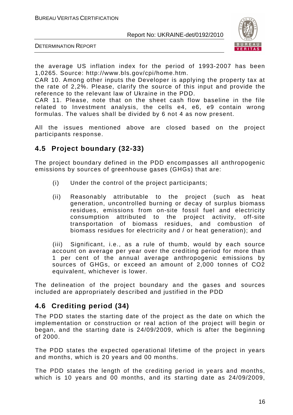

DETERMINATION REPORT

the average US inflation index for the period of 1993-2007 has been 1,0265. Source: http://www.bls.gov/cpi/home.htm.

CAR 10. Among other inputs the Developer is applying the property tax at the rate of 2,2%. Please, clarify the source of this input and provide the reference to the relevant law of Ukraine in the PDD.

CAR 11. Please, note that on the sheet cash flow baseline in the file related to Investment analysis, the cells e4, e6, e9 contain wrong formulas. The values shall be divided by 6 not 4 as now present.

All the issues mentioned above are closed based on the project participants response.

## **4.5 Project boundary (32-33)**

The project boundary defined in the PDD encompasses all anthropogenic emissions by sources of greenhouse gases (GHGs) that are:

- (i) Under the control of the project participants;
- (ii) Reasonably attributable to the project (such as heat generation, uncontrolled burning or decay of surplus biomass residues, emissions from on-site fossil fuel and electricity consumption attributed to the project activity, off-site transportation of biomass residues, and combustion of biomass residues for electricity and / or heat generation); and

(iii) Significant, i.e., as a rule of thumb, would by each source account on average per year over the crediting period for more than 1 per cent of the annual average anthropogenic emissions by sources of GHGs, or exceed an amount of 2,000 tonnes of CO2 equivalent, whichever is lower.

The delineation of the project boundary and the gases and sources included are appropriately described and justified in the PDD

## **4.6 Crediting period (34)**

The PDD states the starting date of the project as the date on which the implementation or construction or real action of the project will begin or began, and the starting date is 24/09/2009, which is after the beginning of 2000.

The PDD states the expected operational lifetime of the project in years and months, which is 20 years and 00 months.

The PDD states the length of the crediting period in years and months, which is 10 years and 00 months, and its starting date as 24/09/2009,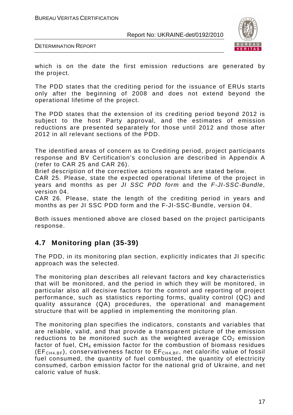

DETERMINATION REPORT

which is on the date the first emission reductions are generated by the project.

The PDD states that the crediting period for the issuance of ERUs starts only after the beginning of 2008 and does not extend beyond the operational lifetime of the project.

The PDD states that the extension of its crediting period beyond 2012 is subject to the host Party approval, and the estimates of emission reductions are presented separately for those until 2012 and those after 2012 in all relevant sections of the PDD.

The identified areas of concern as to Crediting period, project participants response and BV Certification's conclusion are described in Appendix A (refer to CAR 25 and CAR 26).

Brief description of the corrective actions requests are stated below.

CAR 25. Please, state the expected operational lifetime of the project in years and months as per JI SSC PDD form and the F-JI-SSC-Bundle, version 04.

CAR 26. Please, state the length of the crediting period in years and months as per JI SSC PDD form and the F-JI-SSC-Bundle, version 04.

Both issues mentioned above are closed based on the project participants response.

## **4.7 Monitoring plan (35-39)**

The PDD, in its monitoring plan section, explicitly indicates that JI specific approach was the selected.

The monitoring plan describes all relevant factors and key characteristics that will be monitored, and the period in which they will be monitored, in particular also all decisive factors for the control and reporting of project performance, such as statistics reporting forms, quality control (QC) and quality assurance (QA) procedures, the operational and management structure that will be applied in implementing the monitoring plan.

The monitoring plan specifies the indicators, constants and variables that are reliable, valid, and that provide a transparent picture of the emission reductions to be monitored such as the weighted average  $CO<sub>2</sub>$  emission factor of fuel, CH4 emission factor for the combustion of biomass residues  $(EF<sub>CH4,BF</sub>)$ , conservativeness factor to  $EF<sub>CH4,BF</sub>$ , net calorific value of fossil fuel consumed, the quantity of fuel combusted, the quantity of electricity consumed, carbon emission factor for the national grid of Ukraine, and net caloric value of husk.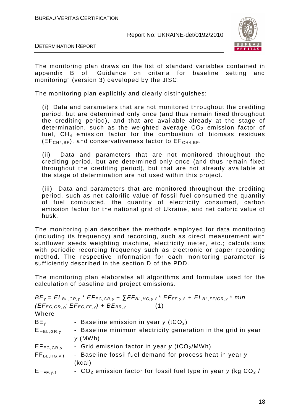

DETERMINATION REPORT

The monitoring plan draws on the list of standard variables contained in appendix B of "Guidance on criteria for baseline setting and monitoring" (version 3) developed by the JISC.

The monitoring plan explicitly and clearly distinguishes:

(i) Data and parameters that are not monitored throughout the crediting period, but are determined only once (and thus remain fixed throughout the crediting period), and that are available already at the stage of determination, such as the weighted average  $CO<sub>2</sub>$  emission factor of fuel,  $CH_4$  emission factor for the combustion of biomass residues  $(EF<sub>CH4,BF</sub>)$ , and conservativeness factor to  $EF<sub>CH4,BF</sub>$ .

(ii) Data and parameters that are not monitored throughout the crediting period, but are determined only once (and thus remain fixed throughout the crediting period), but that are not already available at the stage of determination are not used within this project.

(iii) Data and parameters that are monitored throughout the crediting period, such as net calorific value of fossil fuel consumed the quantity of fuel combusted, the quantity of electricity consumed, carbon emission factor for the national grid of Ukraine, and net caloric value of husk.

The monitoring plan describes the methods employed for data monitoring (including its frequency) and recording, such as direct measurement with sunflower seeds weighting machine, electricity meter, etc.; calculations with periodic recording frequency such as electronic or paper recording method. The respective information for each monitoring parameter is sufficiently described in the section D of the PDD.

The monitoring plan elaborates all algorithms and formulae used for the calculation of baseline and project emissions.

|                                                   | $BE_y = EL_{BL,GR,y}$ * $EF_{EG,GR,y}$ + $\sum FF_{BL,HG,y,f}$ * $EF_{FF,y,f}$ + $EL_{BL,FF/GR,y}$ * min |
|---------------------------------------------------|----------------------------------------------------------------------------------------------------------|
|                                                   | $(EF_{EG,GR,y}; EF_{EG,FF,y}) + BE_{BR,y}$<br>(1)                                                        |
| Where                                             |                                                                                                          |
| $BE_v$                                            | - Baseline emission in year $y$ (tCO <sub>2</sub> )                                                      |
| $EL_{BL,GR,y}$                                    | - Baseline minimum electricity generation in the grid in year                                            |
|                                                   | $y$ (MWh)                                                                                                |
| $EF_{EG,GR,y}$                                    | - Grid emission factor in year y (tCO2/MWh)                                                              |
| $FF_{BL,HG,y,f}$                                  | - Baseline fossil fuel demand for process heat in year y                                                 |
|                                                   | (kcal)                                                                                                   |
| $\mathsf{EF}_{\mathsf{FF},\mathsf{v},\mathsf{f}}$ | - $CO2$ emission factor for fossil fuel type in year y (kg $CO2$ /                                       |
|                                                   |                                                                                                          |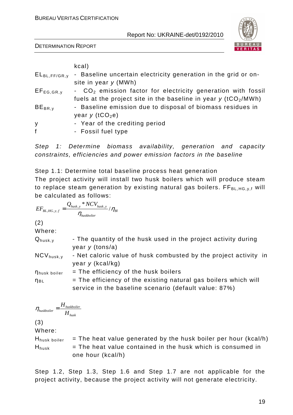DETERMINATION REPORT



| kcal)                                                                               |
|-------------------------------------------------------------------------------------|
| - Baseline uncertain electricity generation in the grid or on-<br>$EL_{BL,FF/GR,y}$ |
| site in year $y$ (MWh)                                                              |
| - CO <sub>2</sub> emission factor for electricity generation with fossil            |
| fuels at the project site in the baseline in year $y$ (tCO <sub>2</sub> /MWh)       |
| - Baseline emission due to disposal of biomass residues in                          |
| year $y$ (tCO <sub>2</sub> e)                                                       |
| - Year of the crediting period                                                      |
| - Fossil fuel type                                                                  |
|                                                                                     |

Step 1: Determine biomass availability, generation and capacity constraints, efficiencies and power emission factors in the baseline

Step 1.1: Determine total baseline process heat generation The project activity will install two husk boilers which will produce steam to replace steam generation by existing natural gas boilers.  $FF_{BL,HG,v,f}$  will be calculated as follows:

$$
EF_{BL,HG,y,f} = \frac{Q_{husk,y} * NCV_{husk,y}}{\eta_{huskbolier}} / \eta_{Bl}
$$

(2)

Where:

| $Q_{husk,y}$          | - The quantity of the husk used in the project activity during    |
|-----------------------|-------------------------------------------------------------------|
|                       | year $y$ (tons/a)                                                 |
| $NCV_{\text{husk},V}$ | - Net caloric value of husk combusted by the project activity in  |
|                       | year $y$ (kcal/kg)                                                |
| <b>n</b> husk boiler  | $=$ The efficiency of the husk boilers                            |
| $n_{BL}$              | $=$ The efficiency of the existing natural gas boilers which will |
|                       | service in the baseline scenario (default value: 87%)             |

$$
U
$$

$$
\eta_{\text{huskboiler}} = \frac{H_{\text{huskboiler}}}{H_{\text{husk}}}
$$

(3)

Where:

 $H<sub>busk</sub> <sub>boiler</sub>$  = The heat value generated by the husk boiler per hour (kcal/h)  $H<sub>husk</sub>$  = The heat value contained in the husk which is consumed in one hour (kcal/h)

Step 1.2, Step 1.3, Step 1.6 and Step 1.7 are not applicable for the project activity, because the project activity will not generate electricity.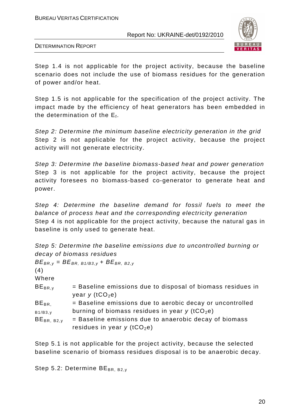

DETERMINATION REPORT

Step 1.4 is not applicable for the project activity, because the baseline scenario does not include the use of biomass residues for the generation of power and/or heat.

Step 1.5 is not applicable for the specification of the project activity. The impact made by the efficiency of heat generators has been embedded in the determination of the  $E_f$ .

Step 2: Determine the minimum baseline electricity generation in the grid Step 2 is not applicable for the project activity, because the project activity will not generate electricity.

Step 3: Determine the baseline biomass-based heat and power generation Step 3 is not applicable for the project activity, because the project activity foresees no biomass-based co-generator to generate heat and power.

Step 4: Determine the baseline demand for fossil fuels to meet the balance of process heat and the corresponding electricity generation Step 4 is not applicable for the project activity, because the natural gas in baseline is only used to generate heat.

|                           |  |  | Step 5: Determine the baseline emissions due to uncontrolled burning or |  |
|---------------------------|--|--|-------------------------------------------------------------------------|--|
| decay of biomass residues |  |  |                                                                         |  |

| (4)<br>Where               | $BE_{BR,y} = BE_{BR, B1/B3,y} + BE_{BR, B2,y}$                                                                                                                      |
|----------------------------|---------------------------------------------------------------------------------------------------------------------------------------------------------------------|
| $BE_{BR,V}$                | = Baseline emissions due to disposal of biomass residues in<br>year $y$ (tCO <sub>2</sub> e)                                                                        |
| $BE_{BR.}$                 | = Baseline emissions due to aerobic decay or uncontrolled                                                                                                           |
| B1/B3,y<br>$BE_{BR, B2,v}$ | burning of biomass residues in year $y$ (tCO <sub>2</sub> e)<br>= Baseline emissions due to anaerobic decay of biomass<br>residues in year $y$ (tCO <sub>2</sub> e) |

Step 5.1 is not applicable for the project activity, because the selected baseline scenario of biomass residues disposal is to be anaerobic decay.

Step 5.2: Determine  $BE_{BR, B2,v}$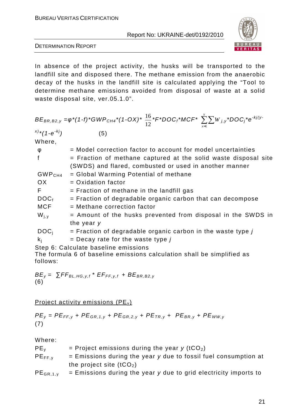

DETERMINATION REPORT

In absence of the project activity, the husks will be transported to the landfill site and disposed there. The methane emission from the anaerobic decay of the husks in the landfill site is calculated applying the "Tool to determine methane emissions avoided from disposal of waste at a solid waste disposal site, ver.05.1.0".

$$
BE_{BR, B2,y} = \varphi^*(1-f)^*GWP_{CH4}^*(1-OX)^* \frac{16}{12} *F^*DOC_f^*MCF^* \sum_{x=1}^{y} \sum_{y} W_{j,y}^*DOC_j^*e^{-kj(y-x)/*}(1-e^{-kj})
$$
\n
$$
(5)
$$

Where

| φ                  | = Model correction factor to account for model uncertainties      |
|--------------------|-------------------------------------------------------------------|
|                    | $=$ Fraction of methane captured at the solid waste disposal site |
|                    | (SWDS) and flared, combusted or used in another manner            |
| GWP <sub>CH4</sub> | = Global Warming Potential of methane                             |
| OX.                | $=$ Oxidation factor                                              |
| F                  | $=$ Fraction of methane in the landfill gas                       |
| DOC <sub>f</sub>   | $=$ Fraction of degradable organic carbon that can decompose      |
| <b>MCF</b>         | $=$ Methane correction factor                                     |
| $W_{i,y}$          | = Amount of the husks prevented from disposal in the SWDS in      |
|                    | the year y                                                        |
| DOC <sub>i</sub>   | $=$ Fraction of degradable organic carbon in the waste type $j$   |
| $k_i$              | $=$ Decay rate for the waste type j                               |
|                    |                                                                   |

Step 6: Calculate baseline emissions

The formula 6 of baseline emissions calculation shall be simplified as follows:

$$
BE_y = \sum FF_{BL,HG,y,t} * EF_{FF,y,t} + BE_{BR,B2,y}
$$
  
(6)

Project activity emissions ( $PE<sub>v</sub>$ )

$$
PE_y = PE_{FF,y} + PE_{GR,1,y} + PE_{GR,2,y} + PE_{TR,y} + PE_{BR,y} + PE_{WW,y}
$$
  
(7)

Where:

| PE <sub>v</sub> | = Project emissions during the year $y$ (tCO <sub>2</sub> )       |
|-----------------|-------------------------------------------------------------------|
| $PE_{FF,v}$     | $=$ Emissions during the year y due to fossil fuel consumption at |
|                 | the project site $(tCO2)$                                         |
| n r             | Fmindiana during the year y due to suid algebrisity important     |

 $PE_{GR,1,y}$  = Emissions during the year y due to grid electricity imports to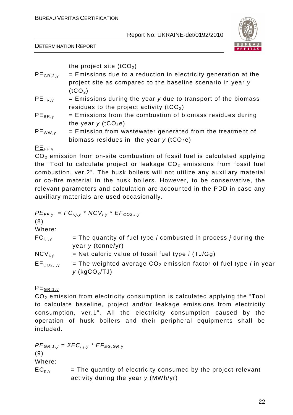DETERMINATION REPORT



the project site  $(tCO<sub>2</sub>)$ 

- $PE_{GR,2,v}$  = Emissions due to a reduction in electricity generation at the project site as compared to the baseline scenario in year y  $(tCO<sub>2</sub>)$
- $PE<sub>TR.v</sub>$  = Emissions during the year y due to transport of the biomass residues to the project activity  $(tCO<sub>2</sub>)$
- $PE_{BR,v}$  = Emissions from the combustion of biomass residues during the year  $y$  (tCO<sub>2</sub>e)
- $PE_{WW,y}$  = Emission from wastewater generated from the treatment of biomass residues in the year  $y$  (tCO<sub>2</sub>e)

## $PE_{FF,v}$

 $CO<sub>2</sub>$  emission from on-site combustion of fossil fuel is calculated applying the "Tool to calculate project or leakage  $CO<sub>2</sub>$  emissions from fossil fuel combustion, ver.2". The husk boilers will not utilize any auxiliary material or co-fire material in the husk boilers. However, to be conservative, the relevant parameters and calculation are accounted in the PDD in case any auxiliary materials are used occasionally.

$$
PE_{FF,y} = FC_{i,j,y} * NCV_{i,y} * EF_{CO2,i,y}
$$

(8)

Where:

| $FC_{i,i,v}$          | $=$ The quantity of fuel type <i>i</i> combusted in process <i>j</i> during the<br>year $y$ (tonne/yr) |
|-----------------------|--------------------------------------------------------------------------------------------------------|
| $NCV_{i,v}$           | = Net caloric value of fossil fuel type $i$ (TJ/Gg)                                                    |
| EF <sub>CO2,i,y</sub> | = The weighted average $CO2$ emission factor of fuel type <i>i</i> in year<br>y (kg $CO2/TJ$ )         |

 $PE$ GR.1, y

 $CO<sub>2</sub>$  emission from electricity consumption is calculated applying the "Tool" to calculate baseline, project and/or leakage emissions from electricity consumption, ver.1". All the electricity consumption caused by the operation of husk boilers and their peripheral equipments shall be included.

 $PE_{GR, 1,y} = \Sigma EC_{i,j,y} * EF_{EG,GR,y}$ (9) Where:  $EC_{p,y}$  = The quantity of electricity consumed by the project relevant activity during the year  $y$  (MWh/yr)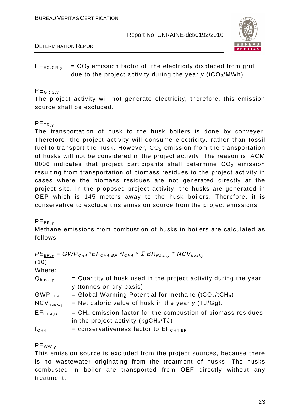

DETERMINATION REPORT

## $EF_{EG,GR,v}$  =  $CO<sub>2</sub>$  emission factor of the electricity displaced from grid due to the project activity during the year  $v$  (tCO<sub>2</sub>/MWh)

## $PE_{GR, 2, v}$

The project activity will not generate electricity, therefore, this emission source shall be excluded.

## PETR,y

The transportation of husk to the husk boilers is done by conveyer. Therefore, the project activity will consume electricity, rather than fossil fuel to transport the husk. However,  $CO<sub>2</sub>$  emission from the transportation of husks will not be considered in the project activity. The reason is, ACM 0006 indicates that project participants shall determine  $CO<sub>2</sub>$  emission resulting from transportation of biomass residues to the project activity in cases where the biomass residues are not generated directly at the project site. In the proposed project activity, the husks are generated in OEP which is 145 meters away to the husk boilers. Therefore, it is conservative to exclude this emission source from the project emissions.

## $PE_{BR,V}$

 $(10)$ 

Methane emissions from combustion of husks in boilers are calculated as follows.

 $P_{EBR,y}$  = GWP<sub>CH4</sub> \* EF<sub>CH4, BF</sub> \*  $f_{CH4}$  \* Σ  $BR_{PJ,n,y}$  \* NCV<sub>husky</sub>

| , , , ,              |                                                                                                          |
|----------------------|----------------------------------------------------------------------------------------------------------|
| Where:               |                                                                                                          |
| $Q_{husk,y}$         | = Quantity of husk used in the project activity during the year<br>y (tonnes on dry-basis)               |
| GWP <sub>CH4</sub>   | = Global Warming Potential for methane $(tCO_2/tCH_4)$                                                   |
| $NCV_{husk,y}$       | = Net caloric value of husk in the year $y$ (TJ/Gg).                                                     |
| EF <sub>CH4,BF</sub> | $= CH4$ emission factor for the combustion of biomass residues<br>in the project activity ( $kgCH4/TJ$ ) |
| f <sub>CH4</sub>     | = conservativeness factor to $EFCH4,BF$                                                                  |
|                      |                                                                                                          |

## $PE_{WW, v}$

This emission source is excluded from the project sources, because there is no wastewater originating from the treatment of husks. The husks combusted in boiler are transported from OEF directly without any treatment.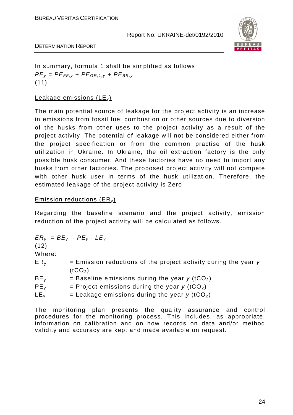

DETERMINATION REPORT

In summary, formula 1 shall be simplified as follows:  $PE<sub>v</sub> = PE<sub>FF,v</sub> + PE<sub>GR, 1,v</sub> + PE<sub>BR,v</sub>$ (11)

#### Leakage emissions  $(LE<sub>v</sub>)$

The main potential source of leakage for the project activity is an increase in emissions from fossil fuel combustion or other sources due to diversion of the husks from other uses to the project activity as a result of the project activity. The potential of leakage will not be considered either from the project specification or from the common practise of the husk utilization in Ukraine. In Ukraine, the oil extraction factory is the only possible husk consumer. And these factories have no need to import any husks from other factories. The proposed project activity will not compete with other husk user in terms of the husk utilization. Therefore, the estimated leakage of the project activity is Zero.

#### Emission reductions  $(ER<sub>v</sub>)$

Regarding the baseline scenario and the project activity, emission reduction of the project activity will be calculated as follows.

 $ER_v = BE_v - PE_v - LE_v$ (12) Where:  $ER<sub>v</sub>$  = Emission reductions of the project activity during the year y  $(tCO<sub>2</sub>)$  $BE<sub>v</sub>$  = Baseline emissions during the year y (tCO<sub>2</sub>)  $PE<sub>v</sub>$  = Project emissions during the year y (tCO<sub>2</sub>)  $LE<sub>v</sub>$  = Leakage emissions during the year y (tCO<sub>2</sub>)

The monitoring plan presents the quality assurance and control procedures for the monitoring process. This includes, as appropriate, information on calibration and on how records on data and/or method validity and accuracy are kept and made available on request.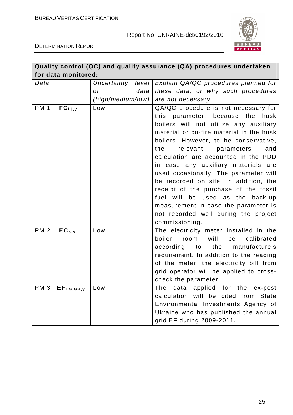

DETERMINATION REPORT

| Quality control (QC) and quality assurance (QA) procedures undertaken |                      |                                                                                                                                                                                                                                                                                                                                                                                                                                                                                                                                                |  |  |  |
|-----------------------------------------------------------------------|----------------------|------------------------------------------------------------------------------------------------------------------------------------------------------------------------------------------------------------------------------------------------------------------------------------------------------------------------------------------------------------------------------------------------------------------------------------------------------------------------------------------------------------------------------------------------|--|--|--|
| for data monitored:                                                   |                      |                                                                                                                                                                                                                                                                                                                                                                                                                                                                                                                                                |  |  |  |
| Data                                                                  | level<br>Uncertainty | Explain QA/QC procedures planned for                                                                                                                                                                                                                                                                                                                                                                                                                                                                                                           |  |  |  |
|                                                                       | 0f<br>data           | these data, or why such procedures                                                                                                                                                                                                                                                                                                                                                                                                                                                                                                             |  |  |  |
|                                                                       | (high/medium/low)    | are not necessary.                                                                                                                                                                                                                                                                                                                                                                                                                                                                                                                             |  |  |  |
| <b>PM 1</b><br>$FC_{i,j,y}$                                           | Low                  | QA/QC procedure is not necessary for<br>parameter, because the<br>this<br>husk<br>boilers will not utilize any auxiliary<br>material or co-fire material in the husk<br>boilers. However, to be conservative,<br>relevant<br>the<br>parameters<br>and<br>calculation are accounted in the PDD<br>in case any auxiliary materials are<br>used occasionally. The parameter will<br>be recorded on site. In addition, the<br>receipt of the purchase of the fossil<br>fuel will be used as<br>the back-up<br>measurement in case the parameter is |  |  |  |
|                                                                       |                      | not recorded well during the project                                                                                                                                                                                                                                                                                                                                                                                                                                                                                                           |  |  |  |
| <b>PM 2</b><br>$EC_{p,y}$                                             | Low                  | commissioning.<br>The electricity meter installed in the<br>boiler<br>will<br>be<br>calibrated<br>room<br>according to the manufacture's<br>requirement. In addition to the reading<br>of the meter, the electricity bill from<br>grid operator will be applied to cross-<br>check the parameter.                                                                                                                                                                                                                                              |  |  |  |
| PM <sub>3</sub><br>$EF_{EG,GR,y}$                                     | Low                  | data applied for the ex-post<br>The<br>calculation will be cited from State<br>Environmental Investments Agency of<br>Ukraine who has published the annual<br>grid EF during 2009-2011.                                                                                                                                                                                                                                                                                                                                                        |  |  |  |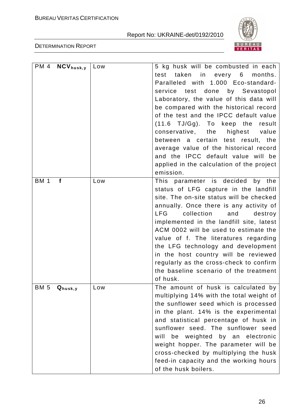

DETERMINATION REPORT

|             | $\overline{PM}$ 4 NCV <sub>husk, y</sub> | Low | 5 kg husk will be combusted in each        |
|-------------|------------------------------------------|-----|--------------------------------------------|
|             |                                          |     | taken in every 6<br>months.<br>test        |
|             |                                          |     | Paralleled with 1.000 Eco-standard-        |
|             |                                          |     | done by Sevastopol<br>service<br>test      |
|             |                                          |     | Laboratory, the value of this data will    |
|             |                                          |     | be compared with the historical record     |
|             |                                          |     | of the test and the IPCC default value     |
|             |                                          |     | $(11.6$ TJ/Gg). To keep the<br>result      |
|             |                                          |     | conservative, the<br>highest value         |
|             |                                          |     | between a certain test result, the         |
|             |                                          |     | average value of the historical record     |
|             |                                          |     | and the IPCC default value will be         |
|             |                                          |     | applied in the calculation of the project  |
|             |                                          |     | emission.                                  |
| <b>BM 1</b> | $\mathbf f$                              | Low | This parameter is decided by the           |
|             |                                          |     | status of LFG capture in the landfill      |
|             |                                          |     | site. The on-site status will be checked   |
|             |                                          |     | annually. Once there is any activity of    |
|             |                                          |     | <b>LFG</b><br>collection<br>and<br>destroy |
|             |                                          |     | implemented in the landfill site, latest   |
|             |                                          |     | ACM 0002 will be used to estimate the      |
|             |                                          |     | value of f. The literatures regarding      |
|             |                                          |     | the LFG technology and development         |
|             |                                          |     | in the host country will be reviewed       |
|             |                                          |     | regularly as the cross-check to confirm    |
|             |                                          |     | the baseline scenario of the treatment     |
|             |                                          |     | of husk.                                   |
| <b>BM 5</b> | $Q_{husk,y}$                             | Low | The amount of husk is calculated by        |
|             |                                          |     | multiplying 14% with the total weight of   |
|             |                                          |     | the sunflower seed which is processed      |
|             |                                          |     | in the plant. 14% is the experimental      |
|             |                                          |     | and statistical percentage of husk in      |
|             |                                          |     | sunflower seed. The sunflower seed         |
|             |                                          |     | weighted by an electronic<br>will<br>be    |
|             |                                          |     | weight hopper. The parameter will be       |
|             |                                          |     | cross-checked by multiplying the husk      |
|             |                                          |     | feed-in capacity and the working hours     |
|             |                                          |     | of the husk boilers.                       |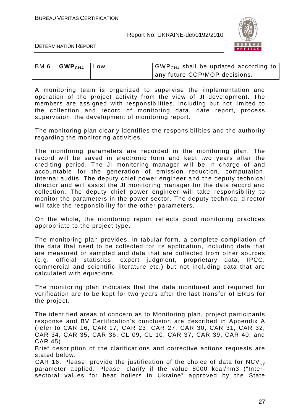

DETERMINATION REPORT

| BM 6 $GWPCH4$ Low | $\vert$ GWP <sub>CH4</sub> shall be updated according to $\vert$ |
|-------------------|------------------------------------------------------------------|
|                   | any future COP/MOP decisions.                                    |

A monitoring team is organized to supervise the implementation and operation of the project activity from the view of JI development. The members are assigned with responsibilities, including but not limited to the collection and record of monitoring data, date report, process supervision, the development of monitoring report.

The monitoring plan clearly identifies the responsibilities and the authority regarding the monitoring activities.

The monitoring parameters are recorded in the monitoring plan. The record will be saved in electronic form and kept two years after the crediting period. The JI monitoring manager will be in charge of and accountable for the generation of emission reduction, computation, internal audits. The deputy chief power engineer and the deputy technical director and will assist the JI monitoring manager for the data record and collection. The deputy chief power engineer will take responsibility to monitor the parameters in the power sector. The deputy technical director will take the responsibility for the other parameters.

On the whole, the monitoring report reflects good monitoring practices appropriate to the project type.

The monitoring plan provides, in tabular form, a complete compilation of the data that need to be collected for its application, including data that are measured or sampled and data that are collected from other sources (e.g. official statistics, expert judgment, proprietary data, IPCC, commercial and scientific literature etc.) but not including data that are calculated with equations

The monitoring plan indicates that the data monitored and required for verification are to be kept for two years after the last transfer of ERUs for the project.

The identified areas of concern as to Monitoring plan, project participants response and BV Certification's conclusion are described in Appendix A (refer to CAR 16, CAR 17, CAR 23, CAR 27, CAR 30, CAR 31, CAR 32, CAR 34, CAR 35, CAR 36, CL 09, CL 10, CAR 37, CAR 39, CAR 40, and CAR 45).

Brief description of the clarifications and corrective actions requests are stated below.

CAR 16. Please, provide the justification of the choice of data for  $NCV_{i,v}$ parameter applied. Please, clarify if the value 8000 kcal/nm3 ("Intersectoral values for heat boilers in Ukraine" approved by the State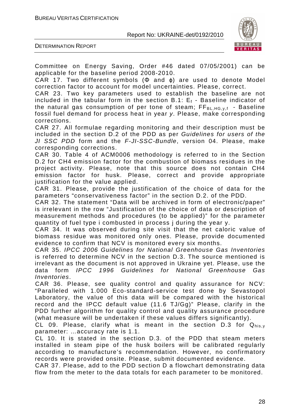

DETERMINATION REPORT

Committee on Energy Saving, Order #46 dated 07/05/2001) can be applicable for the baseline period 2008-2010.

CAR 17. Two different symbols ( $\Phi$  and  $\varphi$ ) are used to denote Model correction factor to account for model uncertainties. Please, correct.

CAR 23. Two key parameters used to establish the baseline are not included in the tabular form in the section B.1:  $E_f$  - Baseline indicator of the natural gas consumption of per tone of steam;  $FF_{BL,HG,y,f}$  - Baseline fossil fuel demand for process heat in year y. Please, make corresponding corrections.

CAR 27. All formulae regarding monitoring and their description must be included in the section D.2 of the PDD as per Guidelines for users of the JI SSC PDD form and the F-JI-SSC-Bundle, version 04. Please, make corresponding corrections.

CAR 30. Table 4 of ACM0006 methodology is referred to in the Section D.2 for CH4 emission factor for the combustion of biomass residues in the project activity. Please, note that this source does not contain CH4 emission factor for husk. Please, correct and provide appropriate justification for the value applied.

CAR 31. Please, provide the justification of the choice of data for the parameters "conservativeness factor" in the section D.2. of the PDD.

CAR 32. The statement "Data will be archived in form of electronic/paper" is irrelevant in the row "Justification of the choice of data or description of measurement methods and procedures (to be applied)" for the parameter quantity of fuel type i combusted in process j during the year y.

CAR 34. It was observed during site visit that the net caloric value of biomass residue was monitored only ones. Please, provide documented evidence to confirm that NCV is monitored every six months.

CAR 35. IPCC 2006 Guidelines for National Greenhouse Gas Inventories is referred to determine NCV in the section D.3. The source mentioned is irrelevant as the document is not approved in Ukraine yet. Please, use the data form IPCC 1996 Guidelines for National Greenhouse Gas Inventories.

CAR 36. Please, see quality control and quality assurance for NCV: "Paralleled with 1.000 Eco-standard-service test done by Sevastopol Laboratory, the value of this data will be compared with the historical record and the IPCC default value (11.6 TJ/Gg)" Please, clarify in the PDD further algorithm for quality control and quality assurance procedure (what measure will be undertaken if these values differs significantly).

CL 09. Please, clarify what is meant in the section D.3 for  $Q_{\text{his},y}$ parameter: …accuracy rate is 1.1.

CL 10. It is stated in the section D.3. of the PDD that steam meters installed in steam pipe of the husk boilers will be calibrated regularly according to manufacture's recommendation. However, no confirmatory records were provided onsite. Please, submit documented evidence.

CAR 37. Please, add to the PDD section D a flowchart demonstrating data flow from the meter to the data totals for each parameter to be monitored.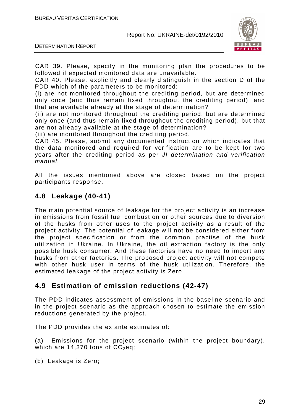

DETERMINATION REPORT

CAR 39. Please, specify in the monitoring plan the procedures to be followed if expected monitored data are unavailable.

CAR 40. Please, explicitly and clearly distinguish in the section D of the PDD which of the parameters to be monitored:

(i) are not monitored throughout the crediting period, but are determined only once (and thus remain fixed throughout the crediting period), and that are available already at the stage of determination?

(ii) are not monitored throughout the crediting period, but are determined only once (and thus remain fixed throughout the crediting period), but that are not already available at the stage of determination?

(iii) are monitored throughout the crediting period.

CAR 45. Please, submit any documented instruction which indicates that the data monitored and required for verification are to be kept for two years after the crediting period as per JI determination and verification manual.

All the issues mentioned above are closed based on the project participants response.

## **4.8 Leakage (40-41)**

The main potential source of leakage for the project activity is an increase in emissions from fossil fuel combustion or other sources due to diversion of the husks from other uses to the project activity as a result of the project activity. The potential of leakage will not be considered either from the project specification or from the common practise of the husk utilization in Ukraine. In Ukraine, the oil extraction factory is the only possible husk consumer. And these factories have no need to import any husks from other factories. The proposed project activity will not compete with other husk user in terms of the husk utilization. Therefore, the estimated leakage of the project activity is Zero.

## **4.9 Estimation of emission reductions (42-47)**

The PDD indicates assessment of emissions in the baseline scenario and in the project scenario as the approach chosen to estimate the emission reductions generated by the project.

The PDD provides the ex ante estimates of:

(a) Emissions for the project scenario (within the project boundary), which are 14,370 tons of  $CO<sub>2</sub>$ eq;

(b) Leakage is Zero;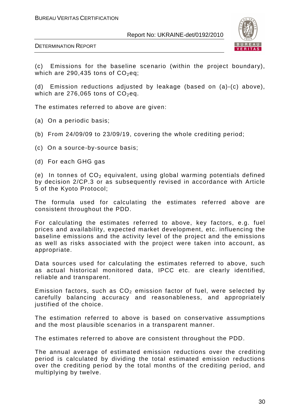

DETERMINATION REPORT

(c) Emissions for the baseline scenario (within the project boundary), which are 290,435 tons of  $CO<sub>2</sub>$ eq;

(d) Emission reductions adjusted by leakage (based on (a)-(c) above), which are 276,065 tons of  $CO<sub>2</sub>$ eq.

The estimates referred to above are given:

- (a) On a periodic basis;
- (b) From 24/09/09 to 23/09/19, covering the whole crediting period;
- (c) On a source-by-source basis;
- (d) For each GHG gas

(e) In tonnes of  $CO<sub>2</sub>$  equivalent, using global warming potentials defined by decision 2/CP.3 or as subsequently revised in accordance with Article 5 of the Kyoto Protocol;

The formula used for calculating the estimates referred above are consistent throughout the PDD.

For calculating the estimates referred to above, key factors, e.g. fuel prices and availability, expected market development, etc. influencing the baseline emissions and the activity level of the project and the emissions as well as risks associated with the project were taken into account, as appropriate.

Data sources used for calculating the estimates referred to above, such as actual historical monitored data, IPCC etc. are clearly identified, reliable and transparent.

Emission factors, such as  $CO<sub>2</sub>$  emission factor of fuel, were selected by carefully balancing accuracy and reasonableness, and appropriately justified of the choice.

The estimation referred to above is based on conservative assumptions and the most plausible scenarios in a transparent manner.

The estimates referred to above are consistent throughout the PDD.

The annual average of estimated emission reductions over the crediting period is calculated by dividing the total estimated emission reductions over the crediting period by the total months of the crediting period, and multiplying by twelve.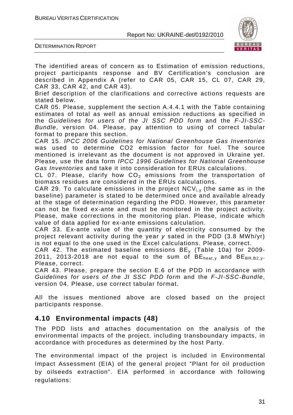

DETERMINATION REPORT

The identified areas of concern as to Estimation of emission reductions, project participants response and BV Certification's conclusion are described in Appendix A (refer to CAR 05, CAR 15, CL 07, CAR 29, CAR 33, CAR 42, and CAR 43).

Brief description of the clarifications and corrective actions requests are stated below.

CAR 05. Please, supplement the section A.4.4.1 with the Table containing estimates of total as well as annual emission reductions as specified in the Guidelines for users of the JI SSC PDD form and the F-JI-SSC-Bundle, version 04. Please, pay attention to using of correct tabular format to prepare this section.

CAR 15. IPCC 2006 Guidelines for National Greenhouse Gas Inventories was used to determine CO2 emission factor for fuel. The source mentioned is irrelevant as the document is not approved in Ukraine yet. Please, use the data form IPCC 1996 Guidelines for National Greenhouse Gas Inventories and take it into consideration for ERUs calculations.

CL 07. Please, clarify how  $CO<sub>2</sub>$  emissions from the transportation of biomass residues are considered in the ERUs calculations.

CAR 29. To calculate emissions in the project  $NCV_{i,v}$  (the same as in the baseline) parameter is stated to be determined once and available already at the stage of determination regarding the PDD. However, this parameter can not be fixed ex-ante and must be monitored in the project activity. Please, make corrections in the monitoring plan. Please, indicate which value of data applied for ex-ante emissions calculation.

CAR 33. Ex-ante value of the quantity of electricity consumed by the project relevant activity during the year y sated in the PDD (3.8 MWh/yr) is not equal to the one used in the Excel calculations. Please, correct.

CAR 42. The estimated baseline emissions  $BE<sub>v</sub>$  (Table 10a) for 2009-2011, 2013-2018 are not equal to the sum of  $BE_{heat,v}$  and  $BE_{BR,B2,v}$ . Please, correct.

CAR 43. Please, prepare the section E.6 of the PDD in accordance with Guidelines for users of the JI SSC PDD form and the F-JI-SSC-Bundle, version 04. Please, use correct tabular format.

All the issues mentioned above are closed based on the project participants response.

## **4.10 Environmental impacts (48)**

The PDD lists and attaches documentation on the analysis of the environmental impacts of the project, including transboundary impacts, in accordance with procedures as determined by the host Party.

The environmental impact of the project is included in Environmental Impact Assessment (EIA) of the general project "Plant for oil production by oilseeds extraction". EIA performed in accordance with following regulations: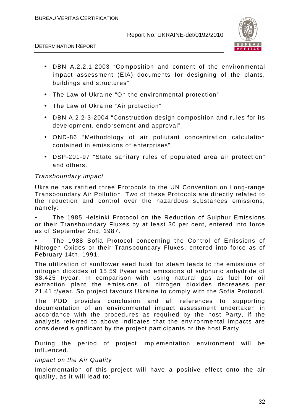

DETERMINATION REPORT

- DBN A.2.2.1-2003 "Composition and content of the environmental impact assessment (EIA) documents for designing of the plants, buildings and structures"
- The Law of Ukraine "On the environmental protection"
- The Law of Ukraine "Air protection"
- DBN A.2.2-3-2004 "Construction design composition and rules for its development, endorsement and approval"
- OND-86 "Methodology of air pollutant concentration calculation contained in emissions of enterprises"
- DSP-201-97 "State sanitary rules of populated area air protection" and others.

#### Transboundary impact

Ukraine has ratified three Protocols to the UN Convention on Long-range Transboundary Air Pollution. Two of these Protocols are directly related to the reduction and control over the hazardous substances emissions, namely:

• The 1985 Helsinki Protocol on the Reduction of Sulphur Emissions or their Transboundary Fluxes by at least 30 per cent, entered into force as of September 2nd, 1987.

The 1988 Sofia Protocol concerning the Control of Emissions of Nitrogen Oxides or their Transboundary Fluxes, entered into force as of February 14th, 1991.

The utilization of sunflower seed husk for steam leads to the emissions of nitrogen dioxides of 15.59 t/year and emissions of sulphuric anhydride of 38.425 t/year. In comparison with using natural gas as fuel for oil extraction plant the emissions of nitrogen dioxides decreases per 21.41 t/year. So project favours Ukraine to comply with the Sofia Protocol.

The PDD provides conclusion and all references to supporting documentation of an environmental impact assessment undertaken in accordance with the procedures as required by the host Party, if the analysis referred to above indicates that the environmental impacts are considered significant by the project participants or the host Party.

During the period of project implementation environment will be influenced.

#### Impact on the Air Quality

Implementation of this project will have a positive effect onto the air quality, as it will lead to: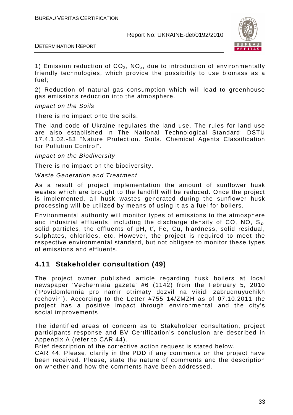



1) Emission reduction of  $CO<sub>2</sub>$ , NO<sub>x</sub>, due to introduction of environmentally friendly technologies, which provide the possibility to use biomass as a fuel;

2) Reduction of natural gas consumption which will lead to greenhouse gas emissions reduction into the atmosphere.

Impact on the Soils

There is no impact onto the soils.

The land code of Ukraine regulates the land use. The rules for land use are also established in The National Technological Standard: DSTU 17.4.1.02.-83 "Nature Protection. Soils. Chemical Agents Classification for Pollution Control".

Impact on the Biodiversity

There is no impact on the biodiversity.

Waste Generation and Treatment

As a result of project implementation the amount of sunflower husk wastes which are brought to the landfill will be reduced. Once the project is implemented, all husk wastes generated during the sunflower husk processing will be utilized by means of using it as a fuel for boilers.

Environmental authority will monitor types of emissions to the atmosphere and industrial effluents, including the discharge density of CO, NO,  $S_2$ , solid particles, the effluents of pH, t°, Fe, Cu, h ardness, solid residual, sulphates, chlorides, etc. However, the project is required to meet the respective environmental standard, but not obligate to monitor these types of emissions and effluents.

#### **4.11 Stakeholder consultation (49)**

The project owner published article regarding husk boilers at local newspaper 'Vecherniaia gazeta' #6 (1142) from the February 5, 2010 ('Povidomlennia pro namir otrimaty dozvil na vikidi zabrudnuyuchikh rechovin'). According to the Letter #755 14/ZMZH as of 07.10.2011 the project has a positive impact through environmental and the city's social improvements.

The identified areas of concern as to Stakeholder consultation, project participants response and BV Certification's conclusion are described in Appendix A (refer to CAR 44).

Brief description of the corrective action request is stated below.

CAR 44. Please, clarify in the PDD if any comments on the project have been received. Please, state the nature of comments and the description on whether and how the comments have been addressed.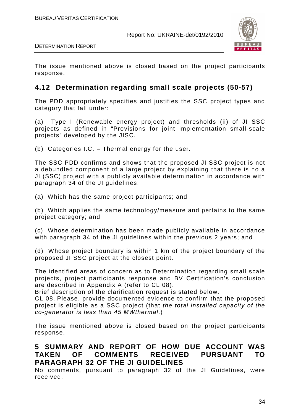

DETERMINATION REPORT

The issue mentioned above is closed based on the project participants response.

## **4.12 Determination regarding small scale projects (50-57)**

The PDD appropriately specifies and justifies the SSC project types and category that fall under:

(a) Type I (Renewable energy project) and thresholds (ii) of JI SSC projects as defined in "Provisions for joint implementation small-scale projects" developed by the JISC.

(b) Categories I.C. – Thermal energy for the user.

The SSC PDD confirms and shows that the proposed JI SSC project is not a debundled component of a large project by explaining that there is no a JI (SSC) project with a publicly available determination in accordance with paragraph 34 of the JI guidelines:

(a) Which has the same project participants; and

(b) Which applies the same technology/measure and pertains to the same project category; and

(c) Whose determination has been made publicly available in accordance with paragraph 34 of the JI guidelines within the previous 2 years; and

(d) Whose project boundary is within 1 km of the project boundary of the proposed JI SSC project at the closest point.

The identified areas of concern as to Determination regarding small scale projects, project participants response and BV Certification's conclusion are described in Appendix A (refer to CL 08).

Brief description of the clarification request is stated below.

CL 08. Please, provide documented evidence to confirm that the proposed project is eligible as a SSC project (that the total installed capacity of the co-generator is less than 45 MWthermal.)

The issue mentioned above is closed based on the project participants response.

## **5 SUMMARY AND REPORT OF HOW DUE ACCOUNT WAS TAKEN OF COMMENTS RECEIVED PURSUANT TO PARAGRAPH 32 OF THE JI GUIDELINES**

No comments, pursuant to paragraph 32 of the JI Guidelines, were received.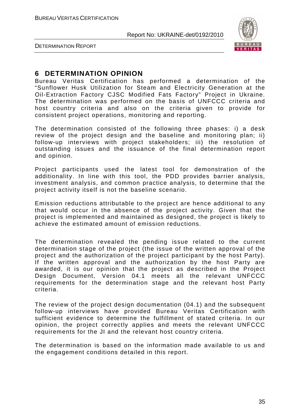

DETERMINATION REPORT

## **6 DETERMINATION OPINION**

Bureau Veritas Certification has performed a determination of the "Sunflower Husk Utilization for Steam and Electricity Generation at the Oil-Extraction Factory CJSC Modified Fats Factory" Project in Ukraine. The determination was performed on the basis of UNFCCC criteria and host country criteria and also on the criteria given to provide for consistent project operations, monitoring and reporting.

The determination consisted of the following three phases: i) a desk review of the project design and the baseline and monitoring plan; ii) follow-up interviews with project stakeholders; iii) the resolution of outstanding issues and the issuance of the final determination report and opinion.

Project participants used the latest tool for demonstration of the additionality. In line with this tool, the PDD provides barrier analysis, investment analysis, and common practice analysis, to determine that the project activity itself is not the baseline scenario.

Emission reductions attributable to the project are hence additional to any that would occur in the absence of the project activity. Given that the project is implemented and maintained as designed, the project is likely to achieve the estimated amount of emission reductions.

The determination revealed the pending issue related to the current determination stage of the project (the issue of the written approval of the project and the authorization of the project participant by the host Party). If the written approval and the authorization by the host Party are awarded, it is our opinion that the project as described in the Project Design Document, Version 04.1 meets all the relevant UNFCCC requirements for the determination stage and the relevant host Party criteria.

The review of the project design documentation (04.1) and the subsequent follow-up interviews have provided Bureau Veritas Certification with sufficient evidence to determine the fulfillment of stated criteria. In our opinion, the project correctly applies and meets the relevant UNFCCC requirements for the JI and the relevant host country criteria.

The determination is based on the information made available to us and the engagement conditions detailed in this report.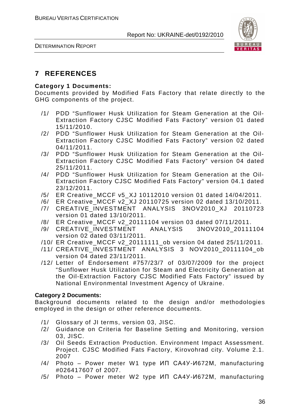



## **7 REFERENCES**

### **Category 1 Documents:**

Documents provided by Modified Fats Factory that relate directly to the GHG components of the project.

- /1/ PDD "Sunflower Husk Utilization for Steam Generation at the Oil-Extraction Factory CJSC Modified Fats Factory" version 01 dated 15/11/2010.
- /2/ PDD "Sunflower Husk Utilization for Steam Generation at the Oil-Extraction Factory CJSC Modified Fats Factory" version 02 dated 04/11/2011.
- /3/ PDD "Sunflower Husk Utilization for Steam Generation at the Oil-Extraction Factory CJSC Modified Fats Factory" version 04 dated 25/11/2011.
- /4/ PDD "Sunflower Husk Utilization for Steam Generation at the Oil-Extraction Factory CJSC Modified Fats Factory" version 04.1 dated 23/12/2011.
- /5/ ER Creative\_MCCF v5\_XJ 10112010 version 01 dated 14/04/2011.
- /6/ ER Creative\_MCCF v2\_XJ 20110725 version 02 dated 13/10/2011.
- /7/ CREATIVE INVESTMENT ANALYSIS 3NOV2010 XJ 20110723 version 01 dated 13/10/2011.
- /8/ ER Creative\_MCCF v2\_20111104 version 03 dated 07/11/2011.
- /9/ CREATIVE\_INVESTMENT ANALYSIS 3NOV2010\_20111104 version 02 dated 03/11/2011.
- /10/ ER Creative\_MCCF v2\_20111111\_ob version 04 dated 25/11/2011.
- /11/ CREATIVE\_INVESTMENT ANALYSIS 3 NOV2010\_20111104\_ob version 04 dated 23/11/2011.
- /12/ Letter of Endorsement #757/23/7 of 03/07/2009 for the project "Sunflower Husk Utilization for Steam and Electricity Generation at the Oil-Extraction Factory CJSC Modified Fats Factory" issued by National Environmental Investment Agency of Ukraine.

### **Category 2 Documents:**

Background documents related to the design and/or methodologies employed in the design or other reference documents.

- /1/ Glossary of JI terms, version 03, JISC.
- /2/ Guidance on Criteria for Baseline Setting and Monitoring, version 03, JISC.
- /3/ Oil Seeds Extraction Production. Environment Impact Assessment. Project. CJSC Modified Fats Factory, Kirovohrad city. Volume 2.1. 2007
- /4/ Photo Power meter W1 type ИП СА4У-И672М, manufacturing #026417607 of 2007.
- /5/ Photo Power meter W2 type ИП СА4У-И672М, manufacturing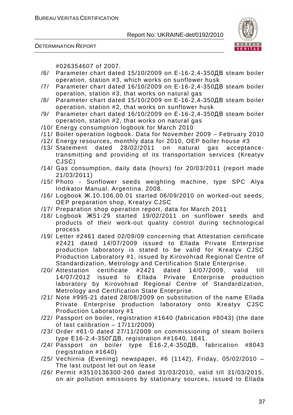

DETERMINATION REPORT

#026354607 of 2007.

- /6/ Parameter chart dated 15/10/2009 on E-16-2,4-350ДВ steam boiler operation, station #3, which works on sunflower husk
- /7/ Parameter chart dated 16/10/2009 on E-16-2,4-350ДВ steam boiler operation, station #3, that works on natural gas
- /8/ Parameter chart dated 15/10/2009 on E-16-2,4-350ДВ steam boiler operation, station #2, that works on sunflower husk
- /9/ Parameter chart dated 16/10/2009 on E-16-2,4-350ДВ steam boiler operation, station #2, that works on natural gas
- /10/ Energy consumption logbook for March 2010
- /11/ Boiler operation logbook. Data for November 2009 February 2010
- /12/ Energy resources, monthly data for 2010, OEP boiler house #3
- /13/ Statement dated 28/02/2011 on natural gas acceptancetransmitting and providing of its transportation services (Kreatyv CJSC)
- /14/ Gas consumption, daily data (hours) for 20/03/2011 (report made 21/03/2011)
- /15/ Photo Sunflower seeds weighting machine, type SPC Alya Indikator Manual. Argentina. 2008.
- /16/ Logbook Ж.10.106.00.01 started 06/09/2010 on worked-out seeds, OEP preparation shop, Kreatyv CJSC
- /17/ Preparation shop operation report, data for March 2011
- /18/ Logbook Ж51-29 started 19/02/2011 on sunflower seeds and products of their work-out quality control during technological process
- /19/ Letter #2461 dated 02/09/09 concerning that Attestation certificate #2421 dated 14/07/2009 issued to Ellada Private Enterprise production laboratory is stated to be valid for Kreatyv CJSC Production Laboratory #1, issued by Kirovohrad Regional Centre of Standardization, Metrology and Certification State Enterprise.
- /20/ Attestation certificate #2421 dated 14/07/2009, valid till 14/07/2012 issued to Ellada Private Enterprise production laboratory by Kirovohrad Regional Centre of Standardization, Metrology and Certification State Enterprise.
- /21/ Note #995-21 dated 28/08/2009 on substitution of the name Ellada Private Enterprise production laboratory onto Kreatyv CJSC Production Laboratory #1
- /22/ Passport on boiler, registration #1640 (fabrication #8043) (the date of last calibration – 17/11/2009)
- /23/ Order #61-0 dated 27/11/2009 on commissioning of steam boilers type Е16-2,4-350ГДВ, registration ##1640, 1641.
- /24/ Passport on boiler type Е16-2,4-350ДВ, fabrication #8043 (registration #1640)
- /25/ Vechirnia (Evening) newspaper, #6 (1142), Friday, 05/02/2010 The last outpost let out on lease
- /26/ Permit #3510136300-260 dated 31/03/2010, valid till 31/03/2015, on air pollution emissions by stationary sources, issued to Ellada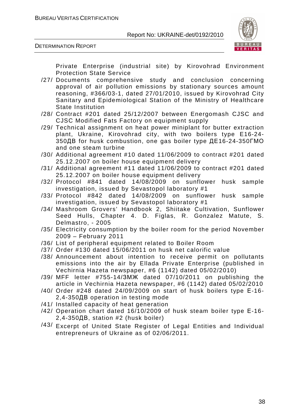



Private Enterprise (industrial site) by Kirovohrad Environment Protection State Service

- /27/ Documents comprehensive study and conclusion concerning approval of air pollution emissions by stationary sources amount reasoning, #366/03-1, dated 27/01/2010, issued by Kirovohrad City Sanitary and Epidemiological Station of the Ministry of Healthcare State Institution
- /28/ Contract #201 dated 25/12/2007 between Energomash CJSC and CJSC Modified Fats Factory on equipment supply
- /29/ Technical assignment on heat power miniplant for butter extraction plant, Ukraine, Kirovohrad city, with two boilers type E16-24- 350ДВ for husk combustion, one gas boiler type ДЕ16-24-350ГМО and one steam turbine
- /30/ Additional agreement #10 dated 11/06/2009 to contract #201 dated 25.12.2007 on boiler house equipment delivery
- /31/ Additional agreement #11 dated 11/06/2009 to contract #201 dated 25.12.2007 on boiler house equipment delivery
- /32/ Protocol #841 dated 14/08/2009 on sunflower husk sample investigation, issued by Sevastopol laboratory #1
- /33/ Protocol #842 dated 14/08/2009 on sunflower husk sample investigation, issued by Sevastopol laboratory #1
- /34/ Mashroom Grovers' Handbook 2, Shiitake Cultivation, Sunflower Seed Hulls, Chapter 4. D. Figlas, R. Gonzalez Matute, S. Delmastro, - 2005
- /35/ Electricity consumption by the boiler room for the period November 2009 – February 2011
- /36/ List of peripheral equipment related to Boiler Room
- /37/ Order #130 dated 15/06/2011 on husk net calorific value
- /38/ Announcement about intention to receive permit on pollutants emissions into the air by Ellada Private Enterprise (published in Vechirnia Hazeta newspaper, #6 (1142) dated 05/02/2010)
- /39/ MFF letter #755-14/ЗМЖ dated 07/10/2011 on publishing the article in Vechirnia Hazeta newspaper, #6 (1142) dated 05/02/2010
- /40/ Order #248 dated 24/09/2009 on start of husk boilers type Е-16- 2,4-350ДВ operation in testing mode
- /41/ Installed capacity of heat generation
- /42/ Operation chart dated 16/10/2009 of husk steam boiler type Е-16- 2,4-350ДВ, station #2 (husk boiler)
- /43/ Excerpt of United State Register of Legal Entities and Individual entrepreneurs of Ukraine as of 02/06/2011.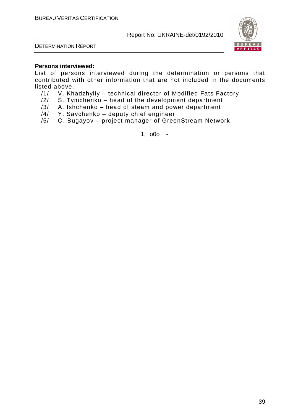



### **Persons interviewed:**

List of persons interviewed during the determination or persons that contributed with other information that are not included in the documents listed above.

- /1/ V. Khadzhyliy technical director of Modified Fats Factory
- /2/ S. Tymchenko head of the development department
- /3/ A. Ishchenko head of steam and power department
- /4/ Y. Savchenko deputy chief engineer
- /5/ O. Bugayov project manager of GreenStream Network

1. o0o -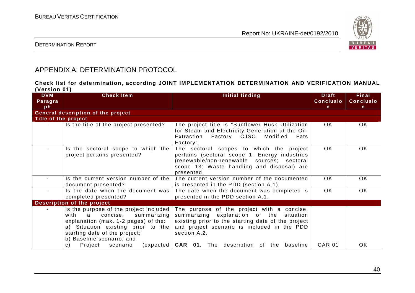

## DETERMINATION REPORT

# APPENDIX A: DETERMINATION PROTOCOL

**Check list for determination, according JOINT IMPLEMENTATION DETERMINATION AND VERIFICATION MANUAL (Version 01)** 

| <b>DVM</b><br>Paragra | <b>Check Item</b>                                                                                                                                                                                                                                       | Initial finding                                                                                                                                                                                                                                                         | <b>Draft</b><br><b>Conclusio</b> | Final<br><b>Conclusio</b> |
|-----------------------|---------------------------------------------------------------------------------------------------------------------------------------------------------------------------------------------------------------------------------------------------------|-------------------------------------------------------------------------------------------------------------------------------------------------------------------------------------------------------------------------------------------------------------------------|----------------------------------|---------------------------|
| ph                    |                                                                                                                                                                                                                                                         |                                                                                                                                                                                                                                                                         | n                                | $\mathsf{n}$              |
|                       | General description of the project                                                                                                                                                                                                                      |                                                                                                                                                                                                                                                                         |                                  |                           |
| Title of the project  |                                                                                                                                                                                                                                                         |                                                                                                                                                                                                                                                                         |                                  |                           |
|                       | Is the title of the project presented?                                                                                                                                                                                                                  | The project title is "Sunflower Husk Utilization<br>for Steam and Electricity Generation at the Oil-<br>Extraction Factory CJSC Modified<br>Fats<br>Factory".                                                                                                           | OK.                              | OK.                       |
|                       | Is the sectoral scope to which the<br>project pertains presented?                                                                                                                                                                                       | The sectoral scopes to which the project<br>pertains (sectoral scope 1: Energy industries<br>(renewable/non-renewable sources; sectoral<br>scope 13: Waste handling and disposal) are<br>presented.                                                                     | <b>OK</b>                        | OK.                       |
|                       | Is the current version number of the<br>document presented?                                                                                                                                                                                             | The current version number of the documented<br>is presented in the PDD (section A.1)                                                                                                                                                                                   | OK.                              | OK.                       |
|                       | Is the date when the document was<br>completed presented?                                                                                                                                                                                               | The date when the document was completed is<br>presented in the PDD section A.1.                                                                                                                                                                                        | <b>OK</b>                        | OK                        |
|                       | Description of the project                                                                                                                                                                                                                              |                                                                                                                                                                                                                                                                         |                                  |                           |
|                       | Is the purpose of the project included<br>summarizing<br>with<br>a<br>concise,<br>explanation (max. 1-2 pages) of the:<br>a) Situation existing prior to the<br>starting date of the project;<br>b) Baseline scenario; and<br>Project<br>scenario<br>C) | The purpose of the project with a concise,<br>summarizing explanation of the situation<br>existing prior to the starting date of the project<br>and project scenario is included in the PDD<br>section A.2.<br>(expected <b>CAR 01.</b> The description of the baseline | <b>CAR 01</b>                    | OK.                       |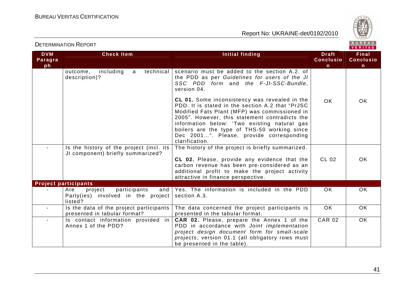



| <b>DVM</b><br>Paragra<br>ph | <b>Check Item</b>                                                                      | Initial finding                                                                                                                                                                                                                                                                                                                                                    | <b>Draft</b><br><b>Conclusio</b><br>$\mathsf{n}$ | Final<br><b>Conclusio</b><br>n |
|-----------------------------|----------------------------------------------------------------------------------------|--------------------------------------------------------------------------------------------------------------------------------------------------------------------------------------------------------------------------------------------------------------------------------------------------------------------------------------------------------------------|--------------------------------------------------|--------------------------------|
|                             | including<br>technical<br>outcome,<br>a<br>description)?                               | scenario must be added to the section A.2. of<br>the PDD as per Guidelines for users of the JI<br>SSC PDD form and the F-JI-SSC-Bundle,<br>version 04.                                                                                                                                                                                                             |                                                  |                                |
|                             |                                                                                        | CL 01. Some inconsistency was revealed in the<br>PDD. It is stated in the section A.2 that "PrJSC<br>Modified Fats Plant (MFP) was commissioned in<br>2005". However, this statement contradicts the<br>information below: 'Two existing natural gas<br>boilers are the type of THS-50 working since<br>Dec 2001". Please, provide corresponding<br>clarification. | <b>OK</b>                                        | OK.                            |
|                             | Is the history of the project (incl. its<br>JI component) briefly summarized?          | The history of the project is briefly summarized.<br>CL 02. Please, provide any evidence that the<br>carbon revenue has been pre-considered as an<br>additional profit to make the project activity<br>attractive in finance perspective.                                                                                                                          | <b>CL 02</b>                                     | OK.                            |
|                             | <b>Project participants</b>                                                            |                                                                                                                                                                                                                                                                                                                                                                    |                                                  |                                |
|                             | participants<br>Are<br>project<br>and<br>Party(ies) involved in the project<br>listed? | Yes. The information is included in the PDD<br>section A.3.                                                                                                                                                                                                                                                                                                        | OK.                                              | <b>OK</b>                      |
|                             | Is the data of the project participants<br>presented in tabular format?                | The data concerned the project participants is<br>presented in the tabular format.                                                                                                                                                                                                                                                                                 | OK.                                              | <b>OK</b>                      |
|                             | Is contact information provided in<br>Annex 1 of the PDD?                              | CAR 02. Please, prepare the Annex 1 of the<br>PDD in accordance with Joint implementation<br>project design document form for small-scale<br>projects, version 01.1 (all obligatory rows must<br>be presented in the table).                                                                                                                                       | <b>CAR 02</b>                                    | OK.                            |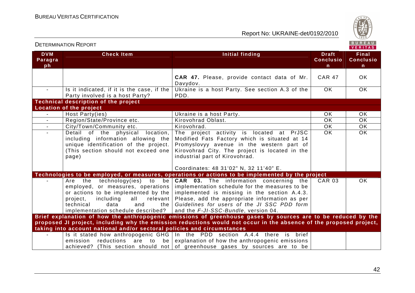

| <b>DVM</b><br>Paragra<br>ph | <b>Check Item</b>                                                                                                                                                                                                                    | Initial finding                                                                                                                                                                                                                                                                          | <b>Draft</b><br><b>Conclusio</b><br>n | Final<br><b>Conclusio</b><br>$\mathsf{n}$ |
|-----------------------------|--------------------------------------------------------------------------------------------------------------------------------------------------------------------------------------------------------------------------------------|------------------------------------------------------------------------------------------------------------------------------------------------------------------------------------------------------------------------------------------------------------------------------------------|---------------------------------------|-------------------------------------------|
|                             |                                                                                                                                                                                                                                      | CAR 47. Please, provide contact data of Mr.<br>Davydov.                                                                                                                                                                                                                                  | <b>CAR 47</b>                         | <b>OK</b>                                 |
|                             | Is it indicated, if it is the case, if the<br>Party involved is a host Party?                                                                                                                                                        | Ukraine is a host Party. See section A.3 of the<br>PDD.                                                                                                                                                                                                                                  | OK.                                   | OK                                        |
|                             | <b>Technical description of the project</b>                                                                                                                                                                                          |                                                                                                                                                                                                                                                                                          |                                       |                                           |
|                             | Location of the project                                                                                                                                                                                                              |                                                                                                                                                                                                                                                                                          |                                       |                                           |
| $\sim$                      | Host Party(ies)                                                                                                                                                                                                                      | Ukraine is a host Party.                                                                                                                                                                                                                                                                 | <b>OK</b>                             | OK                                        |
| $\blacksquare$              | Region/State/Province etc.                                                                                                                                                                                                           | Kirovohrad Oblast.                                                                                                                                                                                                                                                                       | <b>OK</b>                             | <b>OK</b>                                 |
| $\sim$                      | City/Town/Community etc.                                                                                                                                                                                                             | Kirovohrad.                                                                                                                                                                                                                                                                              | $\overline{OK}$                       | $\overline{OK}$                           |
|                             | Detail of the physical<br>location,<br>including information allowing the<br>unique identification of the project.<br>(This section should not exceed one<br>page)                                                                   | The project activity is located at PrJSC<br>Modified Fats Factory which is situated at 14<br>Promyslovyy avenue in the western part of<br>Kirovohrad City. The project is located in the<br>industrial part of Kirovohrad.                                                               | $\overline{OK}$                       | $\overline{OK}$                           |
|                             |                                                                                                                                                                                                                                      | Coordinates: 48 31'02" N, 32 11'40" E.                                                                                                                                                                                                                                                   |                                       |                                           |
|                             |                                                                                                                                                                                                                                      | Technologies to be employed, or measures, operations or actions to be implemented by the project                                                                                                                                                                                         |                                       |                                           |
|                             | Are the technology(ies)<br>to<br>be<br>employed, or measures, operations<br>or actions to be implemented by the<br>including<br>all<br>relevant<br>project,<br>technical<br>data<br>and<br>the<br>implementation schedule described? | <b>CAR</b> 03. The information concerning the<br>implementation schedule for the measures to be<br>implemented is missing in the section A.4.3.<br>Please, add the appropriate information as per<br>Guidelines for users of the JI SSC PDD form<br>and the F-JI-SSC-Bundle, version 04. | <b>CAR 03</b>                         | $\overline{OK}$                           |
|                             |                                                                                                                                                                                                                                      | Brief explanation of how the anthropogenic emissions of greenhouse gases by sources are to be reduced by the                                                                                                                                                                             |                                       |                                           |
|                             |                                                                                                                                                                                                                                      | proposed JI project, including why the emission reductions would not occur in the absence of the proposed project,                                                                                                                                                                       |                                       |                                           |
|                             | taking into account national and/or sectoral policies and circumstances                                                                                                                                                              |                                                                                                                                                                                                                                                                                          |                                       |                                           |
|                             | emission reductions are to be                                                                                                                                                                                                        | Is it stated how anthropogenic $GHG \mid In$ the PDD section A.4.4 there is brief<br>explanation of how the anthropogenic emissions<br>achieved? (This section should not of greenhouse gases by sources are to be                                                                       |                                       |                                           |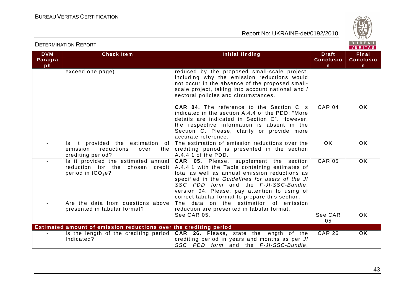

| <b>DETERMINATION REPORT</b> |                                                                                                         |                                                                                                                                                                                                                                                                                                                                            | BUREAU<br><b>VERITAS</b>                         |                                       |
|-----------------------------|---------------------------------------------------------------------------------------------------------|--------------------------------------------------------------------------------------------------------------------------------------------------------------------------------------------------------------------------------------------------------------------------------------------------------------------------------------------|--------------------------------------------------|---------------------------------------|
| <b>DVM</b><br>Paragra<br>ph | <b>Check Item</b>                                                                                       | Initial finding                                                                                                                                                                                                                                                                                                                            | <b>Draft</b><br><b>Conclusio</b><br>$\mathsf{n}$ | <b>Final</b><br><b>Conclusio</b><br>n |
|                             | exceed one page)                                                                                        | reduced by the proposed small-scale project,<br>including why the emission reductions would<br>not occur in the absence of the proposed small-<br>scale project, taking into account national and /<br>sectoral policies and circumstances.                                                                                                |                                                  |                                       |
|                             |                                                                                                         | <b>CAR 04.</b> The reference to the Section C is<br>indicated in the section A.4.4 of the PDD: "More<br>details are indicated in Section C". However,<br>the respective information is absent in the<br>Section C. Please, clarify or provide more<br>accurate reference.                                                                  | <b>CAR 04</b>                                    | OK.                                   |
|                             | Is it provided the estimation of<br>emission<br>reductions<br>the<br>over<br>crediting period?          | The estimation of emission reductions over the<br>crediting period is presented in the section<br>A.4.4.1 of the PDD.                                                                                                                                                                                                                      | <b>OK</b>                                        | OK.                                   |
| $\blacksquare$              | Is it provided the estimated annual<br>reduction for the chosen credit<br>period in tCO <sub>2</sub> e? | CAR 05. Please, supplement the section<br>A.4.4.1 with the Table containing estimates of<br>total as well as annual emission reductions as<br>specified in the Guidelines for users of the JI<br>SSC PDD form and the F-JI-SSC-Bundle,<br>version 04. Please, pay attention to using of<br>correct tabular format to prepare this section. | <b>CAR 05</b>                                    | OK                                    |
| $\blacksquare$              | Are the data from questions above<br>presented in tabular format?                                       | The data on the estimation of emission<br>reduction are presented in tabular format.<br>See CAR 05.                                                                                                                                                                                                                                        | See CAR<br>05                                    | <b>OK</b>                             |
|                             | Estimated amount of emission reductions over the crediting period                                       |                                                                                                                                                                                                                                                                                                                                            |                                                  |                                       |
|                             | Is the length of the crediting period<br>Indicated?                                                     | CAR 26. Please, state the length of the<br>crediting period in years and months as per JI<br>SSC PDD form and the F-JI-SSC-Bundle,                                                                                                                                                                                                         | <b>CAR 26</b>                                    | OK.                                   |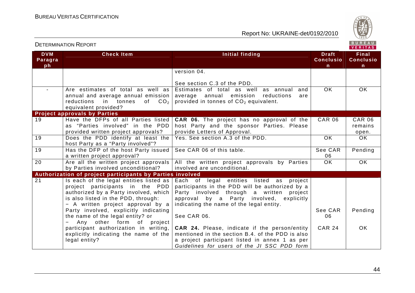

| <b>DVM</b><br>Paragra<br>ph | <b>Check Item</b>                                                                                                                                                                                                                          | Initial finding                                                                                                                                                                                                                          | <b>Draft</b><br><b>Conclusio</b><br>n. | Final<br><b>Conclusio</b><br>$\mathsf{n}$ |
|-----------------------------|--------------------------------------------------------------------------------------------------------------------------------------------------------------------------------------------------------------------------------------------|------------------------------------------------------------------------------------------------------------------------------------------------------------------------------------------------------------------------------------------|----------------------------------------|-------------------------------------------|
|                             |                                                                                                                                                                                                                                            | version 04.                                                                                                                                                                                                                              |                                        |                                           |
|                             |                                                                                                                                                                                                                                            | See section C.3 of the PDD.                                                                                                                                                                                                              |                                        |                                           |
| $\blacksquare$              | Are estimates of total as well as<br>annual and average annual emission  <br>CO <sub>2</sub><br>reductions<br>in tonnes<br>of<br>equivalent provided?                                                                                      | Estimates of total as well as annual<br>and<br>average annual emission<br>reductions<br>are<br>provided in tonnes of CO <sub>2</sub> equivalent.                                                                                         | <b>OK</b>                              | OK                                        |
|                             | <b>Project approvals by Parties</b>                                                                                                                                                                                                        |                                                                                                                                                                                                                                          |                                        |                                           |
| 19                          | Have the DFPs of all Parties listed<br>as "Parties involved" in the PDD<br>provided written project approvals?                                                                                                                             | <b>CAR 06.</b> The project has no approval of the<br>host Party and the sponsor Parties. Please<br>provide Letters of Approval.                                                                                                          | <b>CAR 06</b>                          | <b>CAR 06</b><br>remains<br>open.         |
| $\overline{19}$             | Does the PDD identify at least the<br>host Party as a "Party involved"?                                                                                                                                                                    | Yes. See section A.3 of the PDD.                                                                                                                                                                                                         | <b>OK</b>                              | OK                                        |
| 19                          | Has the DFP of the host Party issued<br>a written project approval?                                                                                                                                                                        | See CAR 06 of this table.                                                                                                                                                                                                                | See CAR<br>06                          | Pending                                   |
| $\overline{20}$             | Are all the written project approvals<br>by Parties involved unconditional?                                                                                                                                                                | All the written project approvals by Parties<br>involved are unconditional.                                                                                                                                                              | $\overline{OK}$                        | $\overline{OK}$                           |
|                             | Authorization of project participants by Parties involved                                                                                                                                                                                  |                                                                                                                                                                                                                                          |                                        |                                           |
| $\overline{21}$             | Is each of the legal entities listed as  <br>project participants in the PDD<br>authorized by a Party involved, which<br>is also listed in the PDD, through:<br>- A written project approval by a<br>Party involved, explicitly indicating | legal entities listed as<br>Each of<br>project<br>participants in the PDD will be authorized by a<br>Party involved through a written<br>project<br>approval by a Party involved, explicitly<br>indicating the name of the legal entity. | See CAR                                | Pending                                   |
|                             | the name of the legal entity? or<br>Any other form of<br>project                                                                                                                                                                           | See CAR 06.                                                                                                                                                                                                                              | 06                                     |                                           |
|                             | participant authorization in writing,<br>explicitly indicating the name of the<br>legal entity?                                                                                                                                            | <b>CAR 24.</b> Please, indicate if the person/entity<br>mentioned in the section B.4. of the PDD is also<br>a project participant listed in annex 1 as per<br>Guidelines for users of the JI SSC PDD form                                | <b>CAR 24</b>                          | OK.                                       |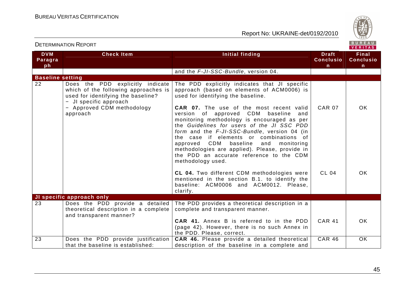Report No: UKRAINE-det/0192/2010



|                             |                                                                                                                                                                                    |                                                                                                                                                                                                                                                                                                                                                                                                                                                                                                                                                                                   |                                                  | . <i>.</i>                                       |
|-----------------------------|------------------------------------------------------------------------------------------------------------------------------------------------------------------------------------|-----------------------------------------------------------------------------------------------------------------------------------------------------------------------------------------------------------------------------------------------------------------------------------------------------------------------------------------------------------------------------------------------------------------------------------------------------------------------------------------------------------------------------------------------------------------------------------|--------------------------------------------------|--------------------------------------------------|
| <b>DVM</b><br>Paragra<br>ph | <b>Check Item</b>                                                                                                                                                                  | Initial finding                                                                                                                                                                                                                                                                                                                                                                                                                                                                                                                                                                   | <b>Draft</b><br><b>Conclusio</b><br>$\mathsf{n}$ | <b>Final</b><br><b>Conclusio</b><br>$\mathsf{n}$ |
|                             |                                                                                                                                                                                    | and the F-JI-SSC-Bundle, version 04.                                                                                                                                                                                                                                                                                                                                                                                                                                                                                                                                              |                                                  |                                                  |
| <b>Baseline setting</b>     |                                                                                                                                                                                    |                                                                                                                                                                                                                                                                                                                                                                                                                                                                                                                                                                                   |                                                  |                                                  |
| 22                          | Does the PDD explicitly indicate<br>which of the following approaches is<br>used for identifying the baseline?<br>- JI specific approach<br>- Approved CDM methodology<br>approach | The PDD explicitly indicates that JI specific<br>approach (based on elements of ACM0006) is<br>used for identifying the baseline.<br>CAR 07. The use of the most recent valid<br>version of approved CDM baseline<br>and<br>monitoring methodology is encouraged as per<br>the Guidelines for users of the JI SSC PDD<br>form and the F-JI-SSC-Bundle, version 04 (in<br>the case if elements or combinations of<br>approved CDM baseline<br>and<br>monitoring<br>methodologies are applied). Please, provide in<br>the PDD an accurate reference to the CDM<br>methodology used. | <b>CAR 07</b>                                    | OK                                               |
|                             |                                                                                                                                                                                    | CL 04. Two different CDM methodologies were<br>mentioned in the section B.1. to identify the<br>baseline: ACM0006 and ACM0012. Please,<br>clarify.                                                                                                                                                                                                                                                                                                                                                                                                                                | <b>CL 04</b>                                     | <b>OK</b>                                        |
|                             | JI specific approach only                                                                                                                                                          |                                                                                                                                                                                                                                                                                                                                                                                                                                                                                                                                                                                   |                                                  |                                                  |
| 23                          | Does the PDD provide a detailed<br>theoretical description in a complete<br>and transparent manner?                                                                                | The PDD provides a theoretical description in a<br>complete and transparent manner.<br>CAR 41. Annex B is referred to in the PDD                                                                                                                                                                                                                                                                                                                                                                                                                                                  | <b>CAR 41</b>                                    | OK                                               |
|                             |                                                                                                                                                                                    | (page 42). However, there is no such Annex in<br>the PDD. Please, correct.                                                                                                                                                                                                                                                                                                                                                                                                                                                                                                        |                                                  |                                                  |
| 23                          | Does the PDD provide justification<br>that the baseline is established:                                                                                                            | CAR 46. Please provide a detailed theoretical<br>description of the baseline in a complete and                                                                                                                                                                                                                                                                                                                                                                                                                                                                                    | <b>CAR 46</b>                                    | OK                                               |

45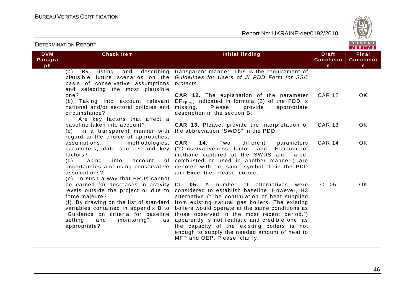



#### DETERMINATION REPORTVERITAS **DVM Check Item Initial finding Check Item Initial finding Theory of The Draft Final Paragra Conclusio Conclusioph nn** (a) By listing and describing |transparent manner. This is the requirement of plausible future scenarios on the Guidelines for Users of JI PDD Form for SSC basis of conservative assumptions projects. and selecting the most plausible one? **CAR 12.** The explanation of the parameter CAR 12 OK (b) Taking into account relevant  $\mid$  EF $_{\sf FF,y,y}$  indicated in formula (2) of the PDD is national and/or sectoral policies and missing. Please, provide appropriate circumstance? description in the section B. − Are key factors that affect a **CAR 13.** Please, provide the interpretation of CAR 13 OK baseline taken into account? (c) In a transparent manner with the abbreviation "SWDS" in the PDD. regard to the choice of approaches, **CAR 14.** Two different parameters assumptions, methodologies, CAR 14 OK parameters, date sources and key ("Conservativeness factor" and "Fraction of factors? methane captured at the SWDS and flared, (d) Taking into account of combusted or used in another manner") are uncertainties and using conservative denoted with the same symbol "f" in the PDD assumptions? and Excel file. Please, correct. (e) In such a way that ERUs cannot be earned for decreases in activity **CL 05.** A number of alternatives were CL 05 OK levels outside the project or due to considered to establish baseline. However, H3 force majeure? alternative ("The continuation of heat supplied (f) By drawing on the list of standard  $|$  from existing natural gas boilers. The existing variables contained in appendix B to boilers would operate at the same conditions as "Guidance on criteria for baseline those observed in the most recent period.") setting and monitoring", as apparently is not realistic and credible one, as appropriate? the capacity of the existing boilers is not enough to supply the needed amount of heat to MFP and OEP. Please, clarify.

46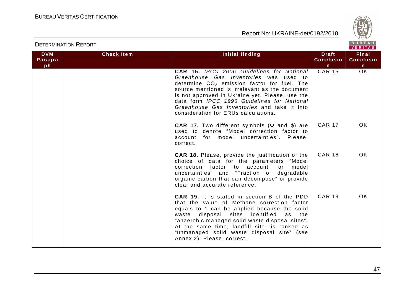

| <b>DVM</b> | <b>Check Item</b> | Initial finding                                                                                                                                                                                                                                                                                                                                                                         | <b>Draft</b>     | <b>Final</b>     |
|------------|-------------------|-----------------------------------------------------------------------------------------------------------------------------------------------------------------------------------------------------------------------------------------------------------------------------------------------------------------------------------------------------------------------------------------|------------------|------------------|
| Paragra    |                   |                                                                                                                                                                                                                                                                                                                                                                                         | <b>Conclusio</b> | <b>Conclusio</b> |
| ph         |                   |                                                                                                                                                                                                                                                                                                                                                                                         | n                | $\mathsf{n}$     |
|            |                   | CAR 15. IPCC 2006 Guidelines for National<br>Greenhouse Gas Inventories was used to<br>determine $CO2$ emission factor for fuel. The<br>source mentioned is irrelevant as the document<br>is not approved in Ukraine yet. Please, use the<br>data form IPCC 1996 Guidelines for National<br>Greenhouse Gas Inventories and take it into<br>consideration for ERUs calculations.         | <b>CAR 15</b>    | $\overline{OK}$  |
|            |                   | <b>CAR 17.</b> Two different symbols ( $\Phi$ and $\varphi$ ) are<br>used to denote "Model correction factor to<br>account for model uncertainties". Please,<br>correct.                                                                                                                                                                                                                | <b>CAR 17</b>    | OK.              |
|            |                   | <b>CAR 18.</b> Please, provide the justification of the<br>choice of data for the parameters "Model<br>correction factor to account for<br>model<br>uncertainties" and "Fraction of degradable<br>organic carbon that can decompose" or provide<br>clear and accurate reference.                                                                                                        | <b>CAR 18</b>    | <b>OK</b>        |
|            |                   | <b>CAR 19.</b> It is stated in section B of the PDD<br>that the value of Methane correction factor<br>equals to 1 can be applied because the solid<br>disposal sites identified<br>waste<br>the t<br>as<br>"anaerobic managed solid waste disposal sites".<br>At the same time, landfill site "is ranked as<br>"unmanaged solid waste disposal site" (see<br>Annex 2). Please, correct. | <b>CAR 19</b>    | OK.              |

DETERMINATION REPORT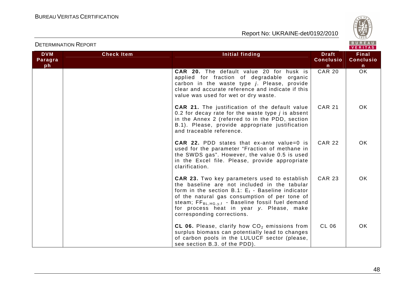

|            |                   |                                                                                                                                                                                                                                                                                                                                                         |                  | VERITAS          |
|------------|-------------------|---------------------------------------------------------------------------------------------------------------------------------------------------------------------------------------------------------------------------------------------------------------------------------------------------------------------------------------------------------|------------------|------------------|
| <b>DVM</b> | <b>Check Item</b> | <b>Initial finding</b>                                                                                                                                                                                                                                                                                                                                  | <b>Draft</b>     | <b>Final</b>     |
| Paragra    |                   |                                                                                                                                                                                                                                                                                                                                                         | <b>Conclusio</b> | <b>Conclusio</b> |
| ph         |                   |                                                                                                                                                                                                                                                                                                                                                         | $\mathsf{n}$     | $\mathsf{n}$     |
|            |                   | <b>CAR 20.</b> The default value 20 for husk is<br>applied for fraction of degradable organic<br>carbon in the waste type j. Please, provide<br>clear and accurate reference and indicate if this<br>value was used for wet or dry waste.                                                                                                               | <b>CAR 20</b>    | $\overline{OK}$  |
|            |                   | <b>CAR 21.</b> The justification of the default value<br>0.2 for decay rate for the waste type $j$ is absent<br>in the Annex 2 (referred to in the PDD, section<br>B.1). Please, provide appropriate justification<br>and traceable reference.                                                                                                          | <b>CAR 21</b>    | OK.              |
|            |                   | <b>CAR 22.</b> PDD states that ex-ante value=0 is<br>used for the parameter "Fraction of methane in<br>the SWDS gas". However, the value 0.5 is used<br>in the Excel file. Please, provide appropriate<br>clarification.                                                                                                                                | <b>CAR 22</b>    | OK.              |
|            |                   | <b>CAR 23.</b> Two key parameters used to establish<br>the baseline are not included in the tabular<br>form in the section B.1: $E_f$ - Baseline indicator<br>of the natural gas consumption of per tone of<br>steam; FF <sub>BL, HG, y,f</sub> - Baseline fossil fuel demand<br>for process heat in year y. Please, make<br>corresponding corrections. | <b>CAR 23</b>    | <b>OK</b>        |
|            |                   | CL 06. Please, clarify how $CO2$ emissions from<br>surplus biomass can potentially lead to changes<br>of carbon pools in the LULUCF sector (please,<br>see section B.3. of the PDD).                                                                                                                                                                    | CL 06            | OK.              |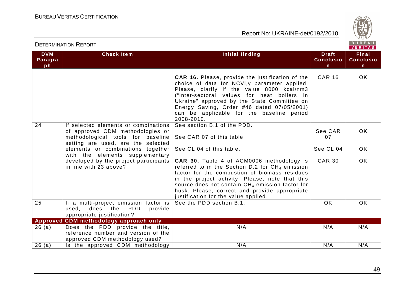

| <b>DVM</b><br>Paragra<br>ph | <b>Check Item</b>                                                                                                    | <b>Initial finding</b>                                                                                                                                                                                                                                                                                                                                                      | <b>Draft</b><br><b>Conclusio</b> | <b>Final</b><br><b>Conclusio</b> |
|-----------------------------|----------------------------------------------------------------------------------------------------------------------|-----------------------------------------------------------------------------------------------------------------------------------------------------------------------------------------------------------------------------------------------------------------------------------------------------------------------------------------------------------------------------|----------------------------------|----------------------------------|
|                             |                                                                                                                      |                                                                                                                                                                                                                                                                                                                                                                             | $\mathsf{n}$                     | $\mathsf{n}$                     |
|                             |                                                                                                                      | CAR 16. Please, provide the justification of the<br>choice of data for NCVi, y parameter applied.<br>Please, clarify if the value 8000 kcal/nm3<br>("Inter-sectoral values for heat boilers in<br>Ukraine" approved by the State Committee on<br>Energy Saving, Order #46 dated 07/05/2001)<br>can be applicable for the baseline period<br>2008-2010.                      | <b>CAR 16</b>                    | OK.                              |
| 24                          | If selected elements or combinations<br>of approved CDM methodologies or                                             | See section B.1 of the PDD.                                                                                                                                                                                                                                                                                                                                                 | See CAR                          | <b>OK</b>                        |
|                             | methodological tools for baseline                                                                                    | See CAR 07 of this table.                                                                                                                                                                                                                                                                                                                                                   | 07                               |                                  |
|                             | setting are used, are the selected<br>elements or combinations together<br>with the elements supplementary           | See CL 04 of this table.                                                                                                                                                                                                                                                                                                                                                    | See CL 04                        | <b>OK</b>                        |
|                             | developed by the project participants<br>in line with 23 above?                                                      | <b>CAR 30.</b> Table 4 of ACM0006 methodology is<br>referred to in the Section D.2 for CH <sub>4</sub> emission<br>factor for the combustion of biomass residues<br>in the project activity. Please, note that this<br>source does not contain CH <sub>4</sub> emission factor for<br>husk. Please, correct and provide appropriate<br>justification for the value applied. | <b>CAR 30</b>                    | <b>OK</b>                        |
| 25                          | If a multi-project emission factor is<br><b>PDD</b><br>does<br>the<br>provide<br>used,<br>appropriate justification? | See the PDD section B.1.                                                                                                                                                                                                                                                                                                                                                    | OK.                              | OK.                              |
|                             | Approved CDM methodology approach only                                                                               |                                                                                                                                                                                                                                                                                                                                                                             |                                  |                                  |
| 26(a)                       | Does the PDD provide the title,<br>reference number and version of the<br>approved CDM methodology used?             | N/A                                                                                                                                                                                                                                                                                                                                                                         | N/A                              | N/A                              |
| 26(a)                       | Is the approved CDM methodology                                                                                      | N/A                                                                                                                                                                                                                                                                                                                                                                         | N/A                              | N/A                              |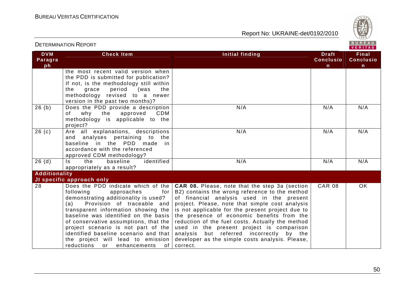

| <b>DETERMINATION REPORT</b> |                                                                                                                                                                                                                                                                                                                                                                                                      | BUREAU<br>VERITAS                                                                                                                                                                                                                                                                                                                                                                                                                                                                                                                                   |                                                  |                                           |
|-----------------------------|------------------------------------------------------------------------------------------------------------------------------------------------------------------------------------------------------------------------------------------------------------------------------------------------------------------------------------------------------------------------------------------------------|-----------------------------------------------------------------------------------------------------------------------------------------------------------------------------------------------------------------------------------------------------------------------------------------------------------------------------------------------------------------------------------------------------------------------------------------------------------------------------------------------------------------------------------------------------|--------------------------------------------------|-------------------------------------------|
| <b>DVM</b><br>Paragra<br>ph | <b>Check Item</b>                                                                                                                                                                                                                                                                                                                                                                                    | <b>Initial finding</b>                                                                                                                                                                                                                                                                                                                                                                                                                                                                                                                              | <b>Draft</b><br><b>Conclusio</b><br>$\mathsf{n}$ | Final<br><b>Conclusio</b><br>$\mathsf{n}$ |
|                             | the most recent valid version when<br>the PDD is submitted for publication?<br>If not, is the methodology still within<br>the<br>grace<br>period<br>(was<br>the<br>methodology revised to a newer<br>version in the past two months)?                                                                                                                                                                |                                                                                                                                                                                                                                                                                                                                                                                                                                                                                                                                                     |                                                  |                                           |
| 26(b)                       | Does the PDD provide a description<br>of<br>why<br>the<br>approved<br><b>CDM</b><br>methodology is applicable to the<br>project?                                                                                                                                                                                                                                                                     | N/A                                                                                                                                                                                                                                                                                                                                                                                                                                                                                                                                                 | N/A                                              | N/A                                       |
| 26(c)                       | Are all explanations, descriptions<br>and analyses pertaining to the<br>baseline in the PDD made in<br>accordance with the referenced<br>approved CDM methodology?                                                                                                                                                                                                                                   | N/A                                                                                                                                                                                                                                                                                                                                                                                                                                                                                                                                                 | N/A                                              | N/A                                       |
| 26(d)                       | identified<br>baseline<br>$\mathsf{ls}$<br>the<br>appropriately as a result?                                                                                                                                                                                                                                                                                                                         | N/A                                                                                                                                                                                                                                                                                                                                                                                                                                                                                                                                                 | N/A                                              | N/A                                       |
| Additionality               | JI specific approach only                                                                                                                                                                                                                                                                                                                                                                            |                                                                                                                                                                                                                                                                                                                                                                                                                                                                                                                                                     |                                                  |                                           |
| 28                          | following<br>approaches<br>for<br>demonstrating additionality is used?<br>Provision of traceable and<br>(a)<br>transparent information showing the<br>baseline was identified on the basis<br>of conservative assumptions, that the<br>project scenario is not part of the<br>identified baseline scenario and that<br>the project will lead to emission<br>reductions<br>of I<br>or<br>enhancements | Does the PDD indicate which of the   CAR 08. Please, note that the step 3a (section<br>B2) contains the wrong reference to the method<br>of financial analysis used in the present<br>project. Please, note that simple cost analysis<br>is not applicable for the present project due to<br>the presence of economic benefits from the<br>reduction of the fuel costs. Actually the method<br>used in the present project is comparison<br>analysis but referred incorrectly by the<br>developer as the simple costs analysis. Please,<br>correct. | <b>CAR 08</b>                                    | $\overline{OK}$                           |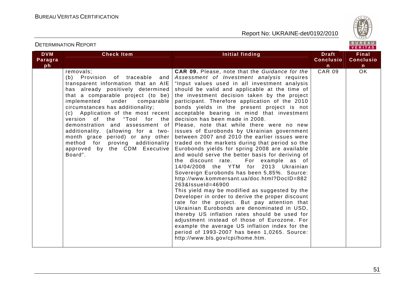

| <b>DVM</b><br>Paragra | <b>Check Item</b>                                                                                                                                                                                                                                                                                                                                                                                                                                                                                       | Initial finding                                                                                                                                                                                                                                                                                                                                                                                                                                                                                                                                                                                                                                                                                                                                                                                                                                                                                                                                                                                                                                                                                                                                                                                                                                                                                                                                                                                 | <b>Draft</b><br><b>Conclusio</b> | <b>Final</b><br><b>Conclusio</b> |
|-----------------------|---------------------------------------------------------------------------------------------------------------------------------------------------------------------------------------------------------------------------------------------------------------------------------------------------------------------------------------------------------------------------------------------------------------------------------------------------------------------------------------------------------|-------------------------------------------------------------------------------------------------------------------------------------------------------------------------------------------------------------------------------------------------------------------------------------------------------------------------------------------------------------------------------------------------------------------------------------------------------------------------------------------------------------------------------------------------------------------------------------------------------------------------------------------------------------------------------------------------------------------------------------------------------------------------------------------------------------------------------------------------------------------------------------------------------------------------------------------------------------------------------------------------------------------------------------------------------------------------------------------------------------------------------------------------------------------------------------------------------------------------------------------------------------------------------------------------------------------------------------------------------------------------------------------------|----------------------------------|----------------------------------|
| ph                    |                                                                                                                                                                                                                                                                                                                                                                                                                                                                                                         |                                                                                                                                                                                                                                                                                                                                                                                                                                                                                                                                                                                                                                                                                                                                                                                                                                                                                                                                                                                                                                                                                                                                                                                                                                                                                                                                                                                                 | n.                               | $\mathbf n$                      |
|                       | removals;<br>(b) Provision of traceable<br>and<br>transparent information that an AIE<br>has already positively determined<br>that a comparable project (to be)<br>implemented under comparable<br>circumstances has additionality;<br>(c) Application of the most recent<br>version of the "Tool for the<br>demonstration and assessment of<br>additionality. (allowing for a two-<br>month grace period) or any other<br>method for proving additionality<br>approved by the CDM Executive<br>Board". | <b>CAR 09.</b> Please, note that the Guidance for the<br>Assessment of Investment analysis requires<br>"Input values used in all investment analysis<br>should be valid and applicable at the time of<br>the investment decision taken by the project<br>participant. Therefore application of the 2010<br>bonds yields in the present project is not<br>acceptable bearing in mind that investment<br>decision has been made in 2008.<br>Please, note that while there were no new<br>issues of Eurobonds by Ukrainian government<br>between 2007 and 2010 the earlier issues were<br>traded on the markets during that period so the<br>Eurobonds yields for spring 2008 are available<br>and would serve the better basis for deriving of<br>the discount rate.<br>For example as of<br>14/04/2008 the YTM for 2013 Ukrainian<br>Sovereign Eurobonds has been 5,85%. Source:<br>http://www.kommersant.ua/doc.html?DocID=882<br>263&lssueld=46900<br>This yield may be modified as suggested by the<br>Developer in order to derive the proper discount<br>rate for the project. But pay attention that<br>Ukrainian Eurobonds are denominated in USD,<br>thereby US inflation rates should be used for<br>adjustment instead of those of Eurozone. For<br>example the average US inflation index for the<br>period of 1993-2007 has been 1,0265. Source:<br>http://www.bls.gov/cpi/home.htm. | <b>CAR 09</b>                    | $\overline{OK}$                  |

DETERMINATION REPORT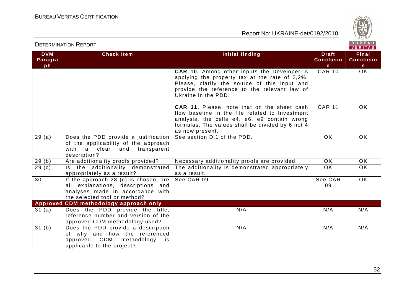

|                             |                                                                                                                                                 |                                                                                                                                                                                                                              |                                       | VENIIAS.                              |
|-----------------------------|-------------------------------------------------------------------------------------------------------------------------------------------------|------------------------------------------------------------------------------------------------------------------------------------------------------------------------------------------------------------------------------|---------------------------------------|---------------------------------------|
| <b>DVM</b><br>Paragra<br>ph | <b>Check Item</b>                                                                                                                               | Initial finding                                                                                                                                                                                                              | <b>Draft</b><br><b>Conclusio</b><br>n | <b>Final</b><br><b>Conclusio</b><br>n |
|                             |                                                                                                                                                 | CAR 10. Among other inputs the Developer is<br>applying the property tax at the rate of 2,2%.<br>Please, clarify the source of this input and<br>provide the reference to the relevant law of<br>Ukraine in the PDD.         | <b>CAR 10</b>                         | <b>OK</b>                             |
|                             |                                                                                                                                                 | <b>CAR 11.</b> Please, note that on the sheet cash<br>flow baseline in the file related to Investment<br>analysis, the cells e4, e6, e9 contain wrong<br>formulas. The values shall be divided by 6 not 4<br>as now present. | <b>CAR 11</b>                         | OK.                                   |
| 29(a)                       | Does the PDD provide a justification<br>of the applicability of the approach<br>with a clear<br>and<br>transparent<br>description?              | See section D.1 of the PDD.                                                                                                                                                                                                  | OK                                    | OK.                                   |
| 29(b)                       | Are additionality proofs provided?                                                                                                              | Necessary additionality proofs are provided.                                                                                                                                                                                 | OK                                    | <b>OK</b>                             |
| $\overline{29}$ (c)         | Is the additionality demonstrated<br>appropriately as a result?                                                                                 | The additionality is demonstrated appropriately<br>as a result.                                                                                                                                                              | OK                                    | OK                                    |
| 30                          | If the approach 28 (c) is chosen, are<br>all explanations, descriptions and<br>analyses made in accordance with<br>the selected tool or method? | See CAR 09.                                                                                                                                                                                                                  | See CAR<br>09                         | <b>OK</b>                             |
|                             | Approved CDM methodology approach only                                                                                                          |                                                                                                                                                                                                                              |                                       |                                       |
| 31 (a)                      | Does the PDD provide the title,<br>reference number and version of the<br>approved CDM methodology used?                                        | N/A                                                                                                                                                                                                                          | N/A                                   | N/A                                   |
| 31(b)                       | Does the PDD provide a description<br>of why and how the referenced<br>approved CDM<br>methodology<br>is<br>applicable to the project?          | N/A                                                                                                                                                                                                                          | N/A                                   | N/A                                   |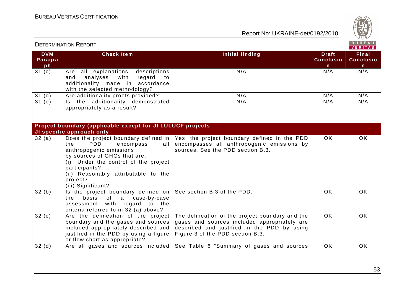

|                             | <b>DETERMINATION REPORT</b>                                                                                                                                                                                                          |                                                                                                                                                                                    |                                                  | BUREAU<br>VERITAS                                |
|-----------------------------|--------------------------------------------------------------------------------------------------------------------------------------------------------------------------------------------------------------------------------------|------------------------------------------------------------------------------------------------------------------------------------------------------------------------------------|--------------------------------------------------|--------------------------------------------------|
| <b>DVM</b><br>Paragra<br>ph | <b>Check Item</b>                                                                                                                                                                                                                    | Initial finding                                                                                                                                                                    | <b>Draft</b><br><b>Conclusio</b><br>$\mathsf{n}$ | <b>Final</b><br><b>Conclusio</b><br>$\mathsf{n}$ |
| 31 <sub>(c)</sub>           | Are all explanations, descriptions<br>analyses<br>and<br>with<br>regard<br>to to<br>additionality made in accordance<br>with the selected methodology?                                                                               | N/A                                                                                                                                                                                | N/A                                              | N/A                                              |
| 31(d)                       | Are additionality proofs provided?                                                                                                                                                                                                   | N/A                                                                                                                                                                                | N/A                                              | N/A                                              |
| $\overline{31}$ (e)         | Is the additionality demonstrated<br>appropriately as a result?                                                                                                                                                                      | N/A                                                                                                                                                                                | N/A                                              | N/A                                              |
|                             | Project boundary (applicable except for JI LULUCF projects                                                                                                                                                                           |                                                                                                                                                                                    |                                                  |                                                  |
|                             | JI specific approach only                                                                                                                                                                                                            |                                                                                                                                                                                    |                                                  |                                                  |
| 32(a)                       | <b>PDD</b><br>the<br>encompass<br>all  <br>anthropogenic emissions<br>by sources of GHGs that are:<br>(i) Under the control of the project<br>participants?<br>(ii) Reasonably attributable to the<br>project?<br>(iii) Significant? | Does the project boundary defined in $\sqrt{ }$ Yes, the project boundary defined in the PDD<br>encompasses all anthropogenic emissions by<br>sources. See the PDD section B.3.    | OK.                                              | <b>OK</b>                                        |
| 32(b)                       | Is the project boundary defined on<br>basis<br>the<br>of<br>a<br>case-by-case<br>assessment with regard to the<br>criteria referred to in 32 (a) above?                                                                              | See section B.3 of the PDD.                                                                                                                                                        | <b>OK</b>                                        | <b>OK</b>                                        |
| 32(c)                       | Are the delineation of the project<br>boundary and the gases and sources<br>included appropriately described and<br>justified in the PDD by using a figure<br>or flow chart as appropriate?                                          | The delineation of the project boundary and the<br>gases and sources included appropriately are<br>described and justified in the PDD by using<br>Figure 3 of the PDD section B.3. | $\overline{OK}$                                  | $\overline{OK}$                                  |
| 32(d)                       |                                                                                                                                                                                                                                      | Are all gases and sources included See Table 6 "Summary of gases and sources                                                                                                       | OK                                               | <b>OK</b>                                        |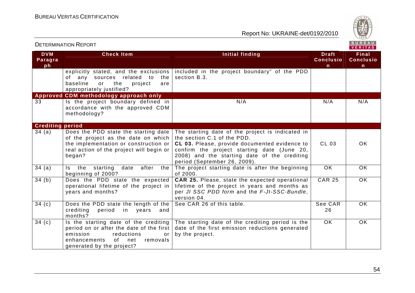

| <b>DETERMINATION REPORT</b> |                                                                                                                                                                                           |                                                                                                                                                                                                                                                                 | BUREAU<br>VERITAS                                |                                           |
|-----------------------------|-------------------------------------------------------------------------------------------------------------------------------------------------------------------------------------------|-----------------------------------------------------------------------------------------------------------------------------------------------------------------------------------------------------------------------------------------------------------------|--------------------------------------------------|-------------------------------------------|
| <b>DVM</b><br>Paragra<br>ph | <b>Check Item</b>                                                                                                                                                                         | <b>Initial finding</b>                                                                                                                                                                                                                                          | <b>Draft</b><br><b>Conclusio</b><br>$\mathsf{n}$ | Final<br><b>Conclusio</b><br>$\mathsf{n}$ |
|                             | explicitly stated, and the exclusions  <br>of any sources related to<br>the I<br>baseline<br>or<br>the<br>are<br>project<br>appropriately justified?                                      | included in the project boundary" of the PDD<br>section B.3.                                                                                                                                                                                                    |                                                  |                                           |
|                             | Approved CDM methodology approach only                                                                                                                                                    |                                                                                                                                                                                                                                                                 |                                                  |                                           |
| 33                          | Is the project boundary defined in<br>accordance with the approved CDM<br>methodology?                                                                                                    | N/A                                                                                                                                                                                                                                                             | N/A                                              | N/A                                       |
| <b>Crediting period</b>     |                                                                                                                                                                                           |                                                                                                                                                                                                                                                                 |                                                  |                                           |
| 34(a)                       | Does the PDD state the starting date<br>of the project as the date on which<br>the implementation or construction or<br>real action of the project will begin or<br>began?                | The starting date of the project is indicated in<br>the section C.1 of the PDD.<br>CL 03. Please, provide documented evidence to<br>confirm the project starting date (June 20,<br>2008) and the starting date of the crediting<br>period (September 26, 2009). | CL 03                                            | OK.                                       |
| 34(a)                       | Is the starting date<br>after<br>the<br>beginning of 2000?                                                                                                                                | The project starting date is after the beginning<br>of 2000.                                                                                                                                                                                                    | OK                                               | OK                                        |
| 34(b)                       | Does the PDD state the expected<br>operational lifetime of the project in<br>years and months?                                                                                            | CAR 25. Please, state the expected operational<br>lifetime of the project in years and months as<br>per JI SSC PDD form and the F-JI-SSC-Bundle,<br>version 04.                                                                                                 | <b>CAR 25</b>                                    | <b>OK</b>                                 |
| 34(c)                       | Does the PDD state the length of the<br>crediting<br>in years<br>period<br>and<br>months?                                                                                                 | See CAR 26 of this table.                                                                                                                                                                                                                                       | See CAR<br>26                                    | OK.                                       |
| 34(c)                       | Is the starting date of the crediting<br>period on or after the date of the first<br>reductions<br>emission<br>or<br>of l<br>enhancements<br>net<br>removals<br>generated by the project? | The starting date of the crediting period is the<br>date of the first emission reductions generated<br>by the project.                                                                                                                                          | OK.                                              | OK.                                       |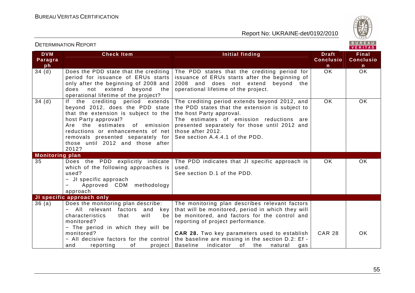



| <b>DVM</b><br>Paragra<br>ph | <b>Check Item</b>                                                                                                                                                                                                                                                                          | Initial finding                                                                                                                                                                                                                                                                   | <b>Draft</b><br><b>Conclusio</b><br>n | <b>Final</b><br><b>Conclusio</b><br>$\mathsf{n}$ |
|-----------------------------|--------------------------------------------------------------------------------------------------------------------------------------------------------------------------------------------------------------------------------------------------------------------------------------------|-----------------------------------------------------------------------------------------------------------------------------------------------------------------------------------------------------------------------------------------------------------------------------------|---------------------------------------|--------------------------------------------------|
| 34(d)                       | Does the PDD state that the crediting<br>period for issuance of ERUs starts<br>only after the beginning of 2008 and<br>extend<br>beyond<br>not<br>the<br>does<br>operational lifetime of the project?                                                                                      | The PDD states that the crediting period for<br>issuance of ERUs starts after the beginning of<br>beyond<br>2008 and does not extend<br>the<br>operational lifetime of the project.                                                                                               | <b>OK</b>                             | <b>OK</b>                                        |
| 34(d)                       | If the crediting period extends<br>beyond 2012, does the PDD state<br>that the extension is subject to the<br>host Party approval?<br>Are the estimates of emission<br>reductions or enhancements of net<br>removals presented separately for<br>those until 2012 and those after<br>2012? | The crediting period extends beyond 2012, and<br>the PDD states that the extension is subject to<br>the host Party approval.<br>The estimates of emission reductions are<br>presented separately for those until 2012 and<br>those after 2012.<br>See section A.4.4.1 of the PDD. | <b>OK</b>                             | OK                                               |
| <b>Monitoring plan</b>      |                                                                                                                                                                                                                                                                                            |                                                                                                                                                                                                                                                                                   |                                       |                                                  |
| 35                          | Does the PDD explicitly indicate<br>which of the following approaches is<br>used?<br>- JI specific approach<br>Approved CDM methodology<br>$\overline{\phantom{0}}$<br>approach                                                                                                            | The PDD indicates that JI specific approach is<br>used.<br>See section D.1 of the PDD.                                                                                                                                                                                            | OK.                                   | OK.                                              |
|                             | JI specific approach only                                                                                                                                                                                                                                                                  |                                                                                                                                                                                                                                                                                   |                                       |                                                  |
| 36(a)                       | Does the monitoring plan describe:<br>All relevant factors and<br>key<br>characteristics<br>will<br>be<br>that<br>monitored?<br>- The period in which they will be                                                                                                                         | The monitoring plan describes relevant factors<br>that will be monitored, period in which they will<br>be monitored, and factors for the control and<br>reporting of project performance.                                                                                         |                                       |                                                  |
|                             | monitored?<br>- All decisive factors for the control<br>project  <br>reporting<br>of<br>and                                                                                                                                                                                                | <b>CAR 28.</b> Two key parameters used to establish<br>the baseline are missing in the section D.2: Ef -<br><b>Baseline</b><br>indicator of the<br>natural<br>gas                                                                                                                 | <b>CAR 28</b>                         | OK.                                              |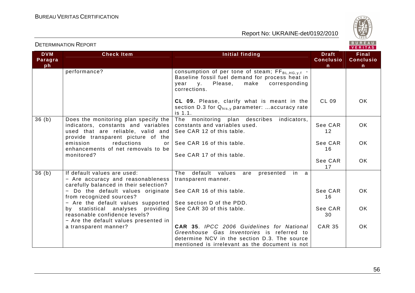

| <b>DVM</b> | <b>Check Item</b>                                                                                                                                      | Initial finding                                                                                                                                                                          | <b>Draft</b>     | <b>Final</b>     |
|------------|--------------------------------------------------------------------------------------------------------------------------------------------------------|------------------------------------------------------------------------------------------------------------------------------------------------------------------------------------------|------------------|------------------|
| Paragra    |                                                                                                                                                        |                                                                                                                                                                                          | <b>Conclusio</b> | <b>Conclusio</b> |
| ph         |                                                                                                                                                        |                                                                                                                                                                                          | n                | $\mathsf{n}$     |
|            | performance?                                                                                                                                           | consumption of per tone of steam; $FF_{BL,HG,y,f}$ -<br>Baseline fossil fuel demand for process heat in<br>year<br>Please,<br>make<br>corresponding<br><b>V</b> .<br>corrections.        |                  |                  |
|            |                                                                                                                                                        | CL 09. Please, clarify what is meant in the<br>section D.3 for $Q_{his,v}$ parameter: accuracy rate<br>is 1.1.                                                                           | CL 09            | OK.              |
| 36(b)      | Does the monitoring plan specify the<br>indicators, constants and variables<br>used that are reliable, valid and<br>provide transparent picture of the | The monitoring plan describes<br>indicators,<br>constants and variables used.<br>See CAR 12 of this table.                                                                               | See CAR<br>12    | OK.              |
|            | emission<br>reductions<br>or<br>enhancements of net removals to be                                                                                     | See CAR 16 of this table.                                                                                                                                                                | See CAR<br>16    | OK.              |
|            | monitored?                                                                                                                                             | See CAR 17 of this table.                                                                                                                                                                | See CAR<br>17    | OK.              |
| 36(b)      | If default values are used:                                                                                                                            | default<br>The<br>values<br>presented<br>in<br>are<br><sub>a</sub>                                                                                                                       |                  |                  |
|            | - Are accuracy and reasonableness<br>carefully balanced in their selection?                                                                            | transparent manner.                                                                                                                                                                      |                  |                  |
|            | - Do the default values originate<br>from recognized sources?                                                                                          | See CAR 16 of this table.                                                                                                                                                                | See CAR<br>16    | OK.              |
|            | - Are the default values supported                                                                                                                     | See section D of the PDD.                                                                                                                                                                |                  |                  |
|            | by statistical analyses providing<br>reasonable confidence levels?<br>- Are the default values presented in                                            | See CAR 30 of this table.                                                                                                                                                                | See CAR<br>30    | OK.              |
|            | a transparent manner?                                                                                                                                  | CAR 35. IPCC 2006 Guidelines for National<br>Greenhouse Gas Inventories is referred to<br>determine NCV in the section D.3. The source<br>mentioned is irrelevant as the document is not | <b>CAR 35</b>    | OK.              |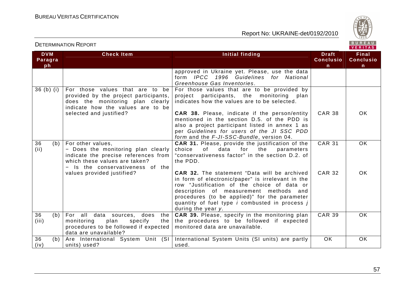

| <b>DETERMINATION REPORT</b> |  |
|-----------------------------|--|
|-----------------------------|--|

| <b>DVM</b><br>Paragra<br>ph | <b>Check Item</b>                                                                                                                                                    | Initial finding                                                                                                                                                                                                                                                                                                                          | <b>Draft</b><br><b>Conclusio</b><br>$\mathsf{n}$ | <b>Final</b><br><b>Conclusio</b><br>n. |
|-----------------------------|----------------------------------------------------------------------------------------------------------------------------------------------------------------------|------------------------------------------------------------------------------------------------------------------------------------------------------------------------------------------------------------------------------------------------------------------------------------------------------------------------------------------|--------------------------------------------------|----------------------------------------|
|                             |                                                                                                                                                                      | approved in Ukraine yet. Please, use the data<br>form IPCC 1996 Guidelines for National<br>Greenhouse Gas Inventories.                                                                                                                                                                                                                   |                                                  |                                        |
| $36(b)$ (i)                 | For those values that are to<br>be<br>provided by the project participants,<br>does the monitoring plan clearly<br>indicate how the values are to be                 | For those values that are to be provided by<br>participants, the monitoring<br>project<br>plan<br>indicates how the values are to be selected.                                                                                                                                                                                           |                                                  |                                        |
|                             | selected and justified?                                                                                                                                              | <b>CAR 38.</b> Please, indicate if the person/entity<br>mentioned in the section D.5. of the PDD is<br>also a project participant listed in annex 1 as<br>per Guidelines for users of the JI SSC PDD<br>form and the F-JI-SSC-Bundle, version 04.                                                                                        | <b>CAR 38</b>                                    | 0K                                     |
| 36<br>(b)<br>(ii)           | For other values,<br>- Does the monitoring plan clearly<br>indicate the precise references from<br>which these values are taken?<br>- Is the conservativeness of the | <b>CAR 31.</b> Please, provide the justification of the<br>for the<br>choice<br>of<br>data<br>parameters<br>"conservativeness factor" in the section D.2. of<br>the PDD.                                                                                                                                                                 | <b>CAR 31</b>                                    | <b>OK</b>                              |
|                             | values provided justified?                                                                                                                                           | <b>CAR 32.</b> The statement "Data will be archived<br>in form of electronic/paper" is irrelevant in the<br>row "Justification of the choice of data or<br>description of measurement methods and<br>procedures (to be applied)" for the parameter<br>quantity of fuel type <i>i</i> combusted in process <i>j</i><br>during the year y. | <b>CAR 32</b>                                    | OK                                     |
| 36<br>(b)<br>(iii)          | For all data sources, does the<br>monitoring<br>specify<br>plan<br>the<br>procedures to be followed if expected<br>data are unavailable?                             | CAR 39. Please, specify in the monitoring plan<br>the procedures to be followed if expected<br>monitored data are unavailable.                                                                                                                                                                                                           | <b>CAR 39</b>                                    | OK                                     |
| 36<br>(b)<br>(iv)           | Are International System Unit (SI)<br>units) used?                                                                                                                   | International System Units (SI units) are partly<br>used.                                                                                                                                                                                                                                                                                | <b>OK</b>                                        | OK                                     |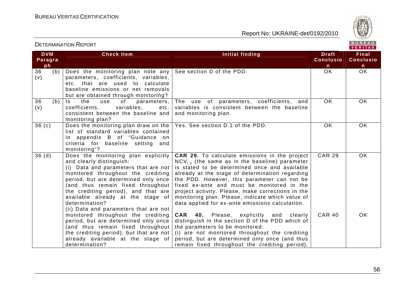

| <b>DETERMINATION REPORT</b> |                                                                                                                                                                                                                                                                                                                                                                   |                                                                                                                                                                                                                                                                                                                                                                                                                                                                          |                                                  | BUREAU<br>VERITAS                         |
|-----------------------------|-------------------------------------------------------------------------------------------------------------------------------------------------------------------------------------------------------------------------------------------------------------------------------------------------------------------------------------------------------------------|--------------------------------------------------------------------------------------------------------------------------------------------------------------------------------------------------------------------------------------------------------------------------------------------------------------------------------------------------------------------------------------------------------------------------------------------------------------------------|--------------------------------------------------|-------------------------------------------|
| <b>DVM</b><br>Paragra<br>ph | <b>Check Item</b>                                                                                                                                                                                                                                                                                                                                                 | Initial finding                                                                                                                                                                                                                                                                                                                                                                                                                                                          | <b>Draft</b><br><b>Conclusio</b><br>$\mathsf{n}$ | Final<br><b>Conclusio</b><br>$\mathsf{n}$ |
| 36<br>(b)<br>(v)            | Does the monitoring plan note any<br>parameters, coefficients, variables,<br>etc. that are used to calculate<br>baseline emissions or net removals<br>but are obtained through monitoring?                                                                                                                                                                        | See section D of the PDD.                                                                                                                                                                                                                                                                                                                                                                                                                                                | <b>OK</b>                                        | OK                                        |
| 36<br>(b)<br>(v)            | the<br>of<br>Is.<br>parameters,<br>use<br>variables,<br>coefficients,<br>etc.<br>consistent between the baseline and<br>monitoring plan?                                                                                                                                                                                                                          | use of parameters, coefficients,<br>The<br>and<br>variables is consistent between the baseline<br>and monitoring plan.                                                                                                                                                                                                                                                                                                                                                   | <b>OK</b>                                        | OK                                        |
| 36(c)                       | Does the monitoring plan draw on the<br>list of standard variables contained<br>in appendix B of "Guidance on<br>criteria for baseline setting and<br>monitoring"?                                                                                                                                                                                                | Yes. See section D.1 of the PDD.                                                                                                                                                                                                                                                                                                                                                                                                                                         | OK                                               | OK                                        |
| 36(d)                       | Does the monitoring plan explicitly<br>and clearly distinguish:<br>(i) Data and parameters that are not<br>monitored throughout the crediting<br>period, but are determined only once<br>(and thus remain fixed throughout<br>the crediting period), and that are<br>available already at the stage of<br>determination?<br>(ii) Data and parameters that are not | <b>CAR 29.</b> To calculate emissions in the project<br>$NCV_{i,v}$ (the same as in the baseline) parameter<br>is stated to be determined once and available<br>already at the stage of determination regarding<br>the PDD. However, this parameter can not be<br>fixed ex-ante and must be monitored in the<br>project activity. Please, make corrections in the<br>monitoring plan. Please, indicate which value of<br>data applied for ex-ante emissions calculation. | <b>CAR 29</b>                                    | <b>OK</b>                                 |
|                             | monitored throughout the crediting<br>period, but are determined only once<br>(and thus remain fixed throughout<br>the crediting period), but that are not<br>already available at the stage of<br>determination?                                                                                                                                                 | <b>CAR 40.</b> Please, explicitly and clearly<br>distinguish in the section D of the PDD which of<br>the parameters to be monitored:<br>(i) are not monitored throughout the crediting<br>period, but are determined only once (and thus<br>remain fixed throughout the crediting period),                                                                                                                                                                               | <b>CAR 40</b>                                    | OK                                        |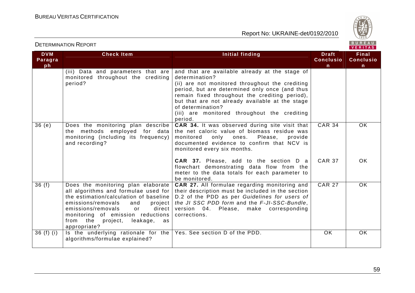

| <b>DETERMINATION REPORT</b> |  |
|-----------------------------|--|
|-----------------------------|--|

| <b>DVM</b><br>Paragra<br>ph | <b>Check Item</b>                                                                                                                                                                                                                                                                             | Initial finding                                                                                                                                                                                                                                                                                                                                            | <b>Draft</b><br><b>Conclusio</b><br>n | <b>Final</b><br><b>Conclusio</b><br>$\mathsf{n}$ |
|-----------------------------|-----------------------------------------------------------------------------------------------------------------------------------------------------------------------------------------------------------------------------------------------------------------------------------------------|------------------------------------------------------------------------------------------------------------------------------------------------------------------------------------------------------------------------------------------------------------------------------------------------------------------------------------------------------------|---------------------------------------|--------------------------------------------------|
|                             | (iii) Data and parameters that are<br>monitored throughout the crediting<br>period?                                                                                                                                                                                                           | and that are available already at the stage of<br>determination?<br>(ii) are not monitored throughout the crediting<br>period, but are determined only once (and thus<br>remain fixed throughout the crediting period),<br>but that are not already available at the stage<br>of determination?<br>(iii) are monitored throughout the crediting<br>period. |                                       |                                                  |
| 36(e)                       | Does the monitoring plan describe<br>the methods employed for data<br>monitoring (including its frequency)<br>and recording?                                                                                                                                                                  | <b>CAR 34.</b> It was observed during site visit that<br>the net caloric value of biomass residue was<br>monitored<br>Please,<br>only<br>ones.<br>provide<br>documented evidence to confirm that NCV is<br>monitored every six months.                                                                                                                     | <b>CAR 34</b>                         | OK.                                              |
|                             |                                                                                                                                                                                                                                                                                               | <b>CAR 37.</b> Please, add to the section D a<br>flowchart demonstrating data flow from the<br>meter to the data totals for each parameter to<br>be monitored.                                                                                                                                                                                             | <b>CAR 37</b>                         | OK.                                              |
| 36(f)                       | Does the monitoring plan elaborate<br>all algorithms and formulae used for<br>the estimation/calculation of baseline<br>emissions/removals<br>and<br>project  <br>emissions/removals<br>direct<br>or<br>monitoring of emission reductions<br>from the project,<br>leakage, as<br>appropriate? | <b>CAR 27.</b> All formulae regarding monitoring and<br>their description must be included in the section<br>D.2 of the PDD as per Guidelines for users of<br>the JI SSC PDD form and the F-JI-SSC-Bundle,<br>version 04. Please, make corresponding<br>corrections.                                                                                       | <b>CAR 27</b>                         | OK.                                              |
| $36(f)$ (i)                 | Is the underlying rationale for the<br>algorithms/formulae explained?                                                                                                                                                                                                                         | Yes. See section D of the PDD.                                                                                                                                                                                                                                                                                                                             | OK                                    | OK.                                              |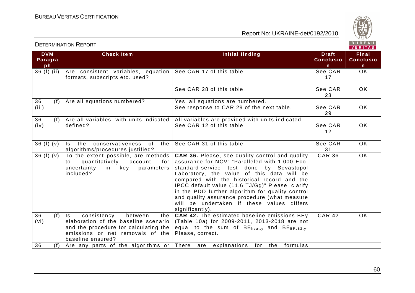

| <b>DVM</b><br>Paragra<br>ph | <b>Check Item</b>                                                                                                                                                                           | <b>Initial finding</b>                                                                                                                                                                                                                                                                                                                                                                                                                                               | <b>Draft</b><br><b>Conclusio</b><br>$\mathsf{n}$ | Final<br><b>Conclusio</b><br>n |
|-----------------------------|---------------------------------------------------------------------------------------------------------------------------------------------------------------------------------------------|----------------------------------------------------------------------------------------------------------------------------------------------------------------------------------------------------------------------------------------------------------------------------------------------------------------------------------------------------------------------------------------------------------------------------------------------------------------------|--------------------------------------------------|--------------------------------|
| 36 (f) (ii)                 | Are consistent variables, equation<br>formats, subscripts etc. used?                                                                                                                        | See CAR 17 of this table.                                                                                                                                                                                                                                                                                                                                                                                                                                            | See CAR<br>17                                    | <b>OK</b>                      |
|                             |                                                                                                                                                                                             | See CAR 28 of this table.                                                                                                                                                                                                                                                                                                                                                                                                                                            | See CAR<br>28                                    | OK.                            |
| 36<br>(f)<br>(iii)          | Are all equations numbered?                                                                                                                                                                 | Yes, all equations are numbered.<br>See response to CAR 29 of the next table.                                                                                                                                                                                                                                                                                                                                                                                        | See CAR<br>29                                    | OK.                            |
| 36<br>(f)<br>(iv)           | Are all variables, with units indicated<br>defined?                                                                                                                                         | All variables are provided with units indicated.<br>See CAR 12 of this table.                                                                                                                                                                                                                                                                                                                                                                                        | See CAR<br>$12 \overline{ }$                     | OK.                            |
| 36(f)(v)                    | the<br>conservativeness of<br>the I<br>Is a<br>algorithms/procedures justified?                                                                                                             | See CAR 31 of this table.                                                                                                                                                                                                                                                                                                                                                                                                                                            | See CAR<br>31                                    | <b>OK</b>                      |
| 36 $(f)(v)$                 | To the extent possible, are methods<br>quantitatively<br>account<br>for<br>to<br>uncertainty<br>in key<br>parameters<br>included?                                                           | CAR 36. Please, see quality control and quality<br>assurance for NCV: "Paralleled with 1.000 Eco-<br>standard-service test done by Sevastopol<br>Laboratory, the value of this data will be<br>compared with the historical record and the<br>IPCC default value (11.6 TJ/Gg)" Please, clarify<br>in the PDD further algorithm for quality control<br>and quality assurance procedure (what measure<br>will be undertaken if these values differs<br>significantly). | <b>CAR 36</b>                                    | $\overline{OK}$                |
| (f)<br>36<br>(vi)           | $\mathsf{I}$ s<br>consistency<br>between<br>the I<br>elaboration of the baseline scenario<br>and the procedure for calculating the<br>emissions or net removals of the<br>baseline ensured? | <b>CAR 42.</b> The estimated baseline emissions BEy<br>(Table 10a) for 2009-2011, 2013-2018 are not<br>equal to the sum of BE <sub>heat,y</sub> and BE <sub>BR,B2,y</sub> .<br>Please, correct.                                                                                                                                                                                                                                                                      | <b>CAR 42</b>                                    | <b>OK</b>                      |
| 36<br>(f)                   | Are any parts of the algorithms or There are                                                                                                                                                | explanations for the formulas                                                                                                                                                                                                                                                                                                                                                                                                                                        |                                                  |                                |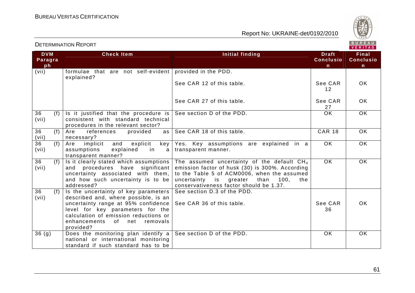

| <b>DVM</b>         | <b>Check Item</b>                                                                                                                                                                                                                                   |                                                                                                                                                                                                                                            | <b>Draft</b>     | . <i>.</i> .<br><b>Final</b> |
|--------------------|-----------------------------------------------------------------------------------------------------------------------------------------------------------------------------------------------------------------------------------------------------|--------------------------------------------------------------------------------------------------------------------------------------------------------------------------------------------------------------------------------------------|------------------|------------------------------|
| Paragra            |                                                                                                                                                                                                                                                     | Initial finding                                                                                                                                                                                                                            | <b>Conclusio</b> | <b>Conclusio</b>             |
|                    |                                                                                                                                                                                                                                                     |                                                                                                                                                                                                                                            |                  |                              |
| ph                 |                                                                                                                                                                                                                                                     |                                                                                                                                                                                                                                            | n                | n                            |
| (vii)              | formulae that are not self-evident provided in the PDD.                                                                                                                                                                                             |                                                                                                                                                                                                                                            |                  |                              |
|                    | explained?                                                                                                                                                                                                                                          | See CAR 12 of this table.                                                                                                                                                                                                                  | See CAR<br>12    | OK.                          |
|                    |                                                                                                                                                                                                                                                     | See CAR 27 of this table.                                                                                                                                                                                                                  | See CAR<br>27    | OK.                          |
| 36<br>(f)<br>(vii) | Is it justified that the procedure is<br>consistent with standard technical<br>procedures in the relevant sector?                                                                                                                                   | See section D of the PDD.                                                                                                                                                                                                                  | $\overline{OK}$  | $\overline{OK}$              |
| 36<br>(f)<br>(vii) | Are<br>references<br>provided<br>as<br>necessary?                                                                                                                                                                                                   | See CAR 18 of this table.                                                                                                                                                                                                                  | <b>CAR 18</b>    | OK.                          |
| 36<br>(f)<br>(vii) | Are<br>implicit<br>and<br>explicit<br>key<br>explained<br>assumptions<br>in<br>a l<br>transparent manner?                                                                                                                                           | Yes. Key assumptions are explained in a<br>transparent manner.                                                                                                                                                                             | OK.              | <b>OK</b>                    |
| 36<br>(f)<br>(vii) | Is it clearly stated which assumptions  <br>procedures have significant<br>and<br>uncertainty associated with them,<br>and how such uncertainty is to be<br>addressed?                                                                              | The assumed uncertainty of the default $CH4$<br>emission factor of husk (30) is 300%. According<br>to the Table 5 of ACM0006, when the assumed<br>uncertainty is greater<br>than<br>100,<br>the<br>conservativeness factor should be 1.37. | OK               | <b>OK</b>                    |
| 36<br>(f)<br>(vii) | Is the uncertainty of key parameters<br>described and, where possible, is an<br>uncertainty range at 95% confidence<br>level for key parameters for the<br>calculation of emission reductions or<br>enhancements<br>of net<br>removals<br>provided? | See section D.3 of the PDD.<br>See CAR 36 of this table.                                                                                                                                                                                   | See CAR<br>36    | OK.                          |
| 36(9)              | Does the monitoring plan identify $a$<br>national or international monitoring<br>standard if such standard has to be                                                                                                                                | See section D of the PDD.                                                                                                                                                                                                                  | $\overline{OK}$  | OK.                          |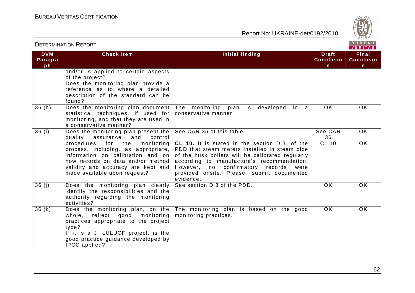

| <b>DETERMINATION REPORT</b> |                                                                                                                                                                                                                                                                                                           |                                                                                                                                                                                                                                                                                                                                              | BUREAU<br>VERITAS                      |                                           |  |
|-----------------------------|-----------------------------------------------------------------------------------------------------------------------------------------------------------------------------------------------------------------------------------------------------------------------------------------------------------|----------------------------------------------------------------------------------------------------------------------------------------------------------------------------------------------------------------------------------------------------------------------------------------------------------------------------------------------|----------------------------------------|-------------------------------------------|--|
| <b>DVM</b><br>Paragra<br>ph | <b>Check Item</b>                                                                                                                                                                                                                                                                                         | <b>Initial finding</b>                                                                                                                                                                                                                                                                                                                       | <b>Draft</b><br><b>Conclusio</b><br>n. | Final<br><b>Conclusio</b><br>$\mathsf{n}$ |  |
|                             | and/or is applied to certain aspects<br>of the project?<br>Does the monitoring plan provide a<br>reference as to where a detailed<br>description of the standard can be<br>found?                                                                                                                         |                                                                                                                                                                                                                                                                                                                                              |                                        |                                           |  |
| 36(h)                       | Does the monitoring plan document<br>statistical techniques, if used for<br>monitoring, and that they are used in<br>a conservative manner?                                                                                                                                                               | The monitoring<br>plan is<br>developed in a<br>conservative manner.                                                                                                                                                                                                                                                                          | OK                                     | <b>OK</b>                                 |  |
| 36(i)                       | Does the monitoring plan present the<br>quality assurance<br>and<br>control<br>procedures<br>for the<br>monitoring<br>process, including, as appropriate,<br>information on calibration and on<br>how records on data and/or method<br>validity and accuracy are kept and<br>made available upon request? | See CAR 36 of this table.<br><b>CL 10.</b> It is stated in the section D.3. of the<br>PDD that steam meters installed in steam pipe<br>of the husk boilers will be calibrated regularly<br>according to manufacture's recommendation.<br>However, no confirmatory records<br>were<br>provided onsite. Please, submit documented<br>evidence. | See CAR<br>36<br><b>CL 10</b>          | $\overline{OK}$<br><b>OK</b>              |  |
| 36(j)                       | Does the monitoring plan clearly<br>identify the responsibilities and the<br>authority regarding the monitoring<br>activities?                                                                                                                                                                            | See section D.3 of the PDD.                                                                                                                                                                                                                                                                                                                  | <b>OK</b>                              | <b>OK</b>                                 |  |
| 36(k)                       | Does the monitoring plan, on the<br>whole, reflect good monitoring<br>practices appropriate to the project<br>type?<br>If it is a JI LULUCF project, is the<br>good practice guidance developed by<br>IPCC applied?                                                                                       | The monitoring plan is based on the good<br>monitoring practices.                                                                                                                                                                                                                                                                            | <b>OK</b>                              | <b>OK</b>                                 |  |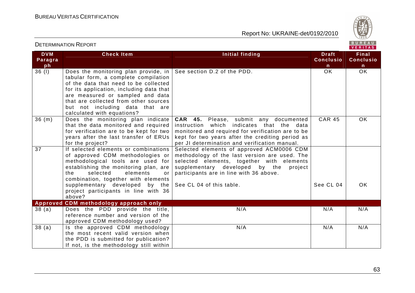

| <b>DETERMINATION REPORT</b> |                                                                                                                                                                                                                                                                                                                                               |                                                                                                                                                                                                                                                        |                                                  | BUREAU<br>VERITAS                                |  |
|-----------------------------|-----------------------------------------------------------------------------------------------------------------------------------------------------------------------------------------------------------------------------------------------------------------------------------------------------------------------------------------------|--------------------------------------------------------------------------------------------------------------------------------------------------------------------------------------------------------------------------------------------------------|--------------------------------------------------|--------------------------------------------------|--|
| <b>DVM</b><br>Paragra<br>ph | <b>Check Item</b>                                                                                                                                                                                                                                                                                                                             | Initial finding                                                                                                                                                                                                                                        | <b>Draft</b><br><b>Conclusio</b><br>$\mathsf{n}$ | <b>Final</b><br><b>Conclusio</b><br>$\mathsf{n}$ |  |
| 36(1)                       | Does the monitoring plan provide, in   See section D.2 of the PDD.<br>tabular form, a complete compilation<br>of the data that need to be collected<br>for its application, including data that<br>are measured or sampled and data<br>that are collected from other sources<br>but not including data that are<br>calculated with equations? |                                                                                                                                                                                                                                                        | OK                                               | OK                                               |  |
| 36(m)                       | Does the monitoring plan indicate<br>that the data monitored and required<br>for verification are to be kept for two<br>years after the last transfer of ERUs<br>for the project?                                                                                                                                                             | <b>CAR 45.</b> Please, submit any documented<br>instruction which indicates that the<br>data<br>monitored and required for verification are to be<br>kept for two years after the crediting period as<br>per JI determination and verification manual. | <b>CAR 45</b>                                    | OK                                               |  |
| 37                          | If selected elements or combinations<br>of approved CDM methodologies or<br>methodological tools are used for<br>establishing the monitoring plan, are<br>selected<br>the<br>elements<br>or<br>combination, together with elements                                                                                                            | Selected elements of approved ACM0006 CDM<br>methodology of the last version are used. The<br>selected elements, together with elements<br>supplementary developed by the<br>project<br>participants are in line with 36 above.                        | See CL 04                                        | <b>OK</b>                                        |  |
|                             | supplementary developed by the<br>project participants in line with 36<br>above?                                                                                                                                                                                                                                                              | See CL 04 of this table.                                                                                                                                                                                                                               |                                                  |                                                  |  |
| 38(a)                       | Approved CDM methodology approach only<br>Does the PDD provide the title,                                                                                                                                                                                                                                                                     | N/A                                                                                                                                                                                                                                                    | N/A                                              | N/A                                              |  |
|                             | reference number and version of the<br>approved CDM methodology used?                                                                                                                                                                                                                                                                         |                                                                                                                                                                                                                                                        |                                                  |                                                  |  |
| 38(a)                       | Is the approved CDM methodology<br>the most recent valid version when<br>the PDD is submitted for publication?<br>If not, is the methodology still within                                                                                                                                                                                     | N/A                                                                                                                                                                                                                                                    | N/A                                              | N/A                                              |  |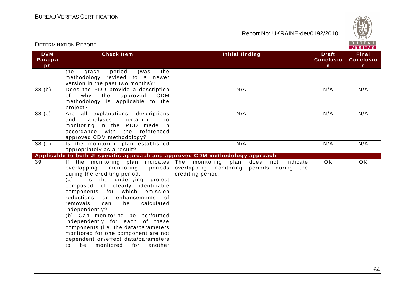

|                             | <b>DETERMINATION REPORT</b>                                                                                                                                                                                                                                                                                                                                                                                                                                                                                                                              |                                                                                                               |                                                  | BUREAU<br>VERITAS                         |
|-----------------------------|----------------------------------------------------------------------------------------------------------------------------------------------------------------------------------------------------------------------------------------------------------------------------------------------------------------------------------------------------------------------------------------------------------------------------------------------------------------------------------------------------------------------------------------------------------|---------------------------------------------------------------------------------------------------------------|--------------------------------------------------|-------------------------------------------|
| <b>DVM</b><br>Paragra<br>ph | <b>Check Item</b>                                                                                                                                                                                                                                                                                                                                                                                                                                                                                                                                        | Initial finding                                                                                               | <b>Draft</b><br><b>Conclusio</b><br>$\mathsf{n}$ | Final<br><b>Conclusio</b><br>$\mathsf{n}$ |
|                             | period<br>the<br>grace<br>(was<br>the<br>methodology revised to a newer<br>version in the past two months)?                                                                                                                                                                                                                                                                                                                                                                                                                                              |                                                                                                               |                                                  |                                           |
| 38 <sub>(b)</sub>           | Does the PDD provide a description<br>why the approved<br>CDM<br>of<br>methodology is applicable to the<br>project?                                                                                                                                                                                                                                                                                                                                                                                                                                      | N/A                                                                                                           | N/A                                              | N/A                                       |
| 38 <sub>(c)</sub>           | Are all explanations, descriptions<br>pertaining<br>and<br>analyses<br>to<br>monitoring in the PDD made in<br>accordance with the referenced<br>approved CDM methodology?                                                                                                                                                                                                                                                                                                                                                                                | N/A                                                                                                           | N/A                                              | N/A                                       |
| 38 <sub>(d)</sub>           | Is the monitoring plan established<br>appropriately as a result?                                                                                                                                                                                                                                                                                                                                                                                                                                                                                         | N/A                                                                                                           | N/A                                              | N/A                                       |
|                             | Applicable to both JI specific approach and approved CDM methodology approach                                                                                                                                                                                                                                                                                                                                                                                                                                                                            |                                                                                                               |                                                  |                                           |
| 39                          | If the monitoring plan indicates<br>overlapping<br>monitoring<br>periods<br>during the crediting period:<br>Is the underlying project<br>(a)<br>composed of clearly identifiable<br>components for which<br>emission<br>reductions or<br>enhancements of<br>removals<br>be<br>calculated<br>can<br>independently?<br>(b) Can monitoring be performed<br>independently for each of these<br>components (i.e. the data/parameters<br>monitored for one component are not<br>dependent on/effect data/parameters<br>for<br>be<br>monitored<br>another<br>to | The monitoring<br>plan<br>does not indicate<br>overlapping monitoring periods during the<br>crediting period. | <b>OK</b>                                        | $\overline{OK}$                           |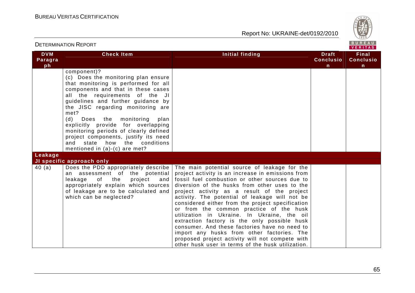

| <b>DETERMINATION REPORT</b> |                                                                                                                                                                                                                                                                                                                                                                                                                                                                                             |                                                                                                                                                                                                                                                                                                                                                                                                                                                                                                                                                                                                                                                                                                                                                  | BUREAU<br>VERITAS                      |                                                  |
|-----------------------------|---------------------------------------------------------------------------------------------------------------------------------------------------------------------------------------------------------------------------------------------------------------------------------------------------------------------------------------------------------------------------------------------------------------------------------------------------------------------------------------------|--------------------------------------------------------------------------------------------------------------------------------------------------------------------------------------------------------------------------------------------------------------------------------------------------------------------------------------------------------------------------------------------------------------------------------------------------------------------------------------------------------------------------------------------------------------------------------------------------------------------------------------------------------------------------------------------------------------------------------------------------|----------------------------------------|--------------------------------------------------|
| <b>DVM</b><br>Paragra<br>ph | <b>Check Item</b>                                                                                                                                                                                                                                                                                                                                                                                                                                                                           | <b>Initial finding</b>                                                                                                                                                                                                                                                                                                                                                                                                                                                                                                                                                                                                                                                                                                                           | <b>Draft</b><br><b>Conclusio</b><br>n. | <b>Final</b><br><b>Conclusio</b><br>$\mathsf{n}$ |
| Leakage                     | component)?<br>(c) Does the monitoring plan ensure<br>that monitoring is performed for all<br>components and that in these cases<br>all the requirements of the JI<br>guidelines and further guidance by<br>the JISC regarding monitoring are<br>met?<br>(d)<br>Does the<br>monitoring<br>plan<br>explicitly provide for overlapping<br>monitoring periods of clearly defined<br>project components, justify its need<br>state how the conditions<br>and<br>mentioned in $(a)-(c)$ are met? |                                                                                                                                                                                                                                                                                                                                                                                                                                                                                                                                                                                                                                                                                                                                                  |                                        |                                                  |
|                             | JI specific approach only                                                                                                                                                                                                                                                                                                                                                                                                                                                                   |                                                                                                                                                                                                                                                                                                                                                                                                                                                                                                                                                                                                                                                                                                                                                  |                                        |                                                  |
| 40(a)                       | assessment of the potential<br>an<br>leakage<br>project<br>of<br>the<br>and<br>appropriately explain which sources<br>of leakage are to be calculated and<br>which can be neglected?                                                                                                                                                                                                                                                                                                        | Does the PDD appropriately describe   The main potential source of leakage for the<br>project activity is an increase in emissions from<br>fossil fuel combustion or other sources due to<br>diversion of the husks from other uses to the<br>project activity as a result of the project<br>activity. The potential of leakage will not be<br>considered either from the project specification<br>or from the common practice of the husk<br>utilization in Ukraine. In Ukraine, the oil<br>extraction factory is the only possible husk<br>consumer. And these factories have no need to<br>import any husks from other factories. The<br>proposed project activity will not compete with<br>other husk user in terms of the husk utilization. |                                        |                                                  |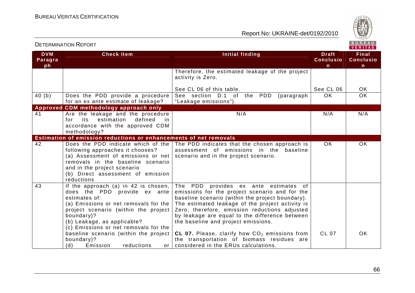

|                             |                                                                                                                                                                                                                                                                                                                                                              |                                                                                                                                                                                                                                                                                                                                                                                                                                                                                    |                                       | . <i>.</i>                                       |
|-----------------------------|--------------------------------------------------------------------------------------------------------------------------------------------------------------------------------------------------------------------------------------------------------------------------------------------------------------------------------------------------------------|------------------------------------------------------------------------------------------------------------------------------------------------------------------------------------------------------------------------------------------------------------------------------------------------------------------------------------------------------------------------------------------------------------------------------------------------------------------------------------|---------------------------------------|--------------------------------------------------|
| <b>DVM</b><br>Paragra<br>ph | <b>Check Item</b>                                                                                                                                                                                                                                                                                                                                            | <b>Initial finding</b>                                                                                                                                                                                                                                                                                                                                                                                                                                                             | <b>Draft</b><br><b>Conclusio</b><br>n | <b>Final</b><br><b>Conclusio</b><br>$\mathsf{n}$ |
|                             |                                                                                                                                                                                                                                                                                                                                                              | Therefore, the estimated leakage of the project<br>activity is Zero.                                                                                                                                                                                                                                                                                                                                                                                                               |                                       |                                                  |
|                             |                                                                                                                                                                                                                                                                                                                                                              | See CL 06 of this table.                                                                                                                                                                                                                                                                                                                                                                                                                                                           | See CL 06                             | OK                                               |
| 40(b)                       | Does the PDD provide a procedure<br>for an ex ante estimate of leakage?                                                                                                                                                                                                                                                                                      | See section D.1 of the PDD<br>(paragraph<br>"Leakage emissions").                                                                                                                                                                                                                                                                                                                                                                                                                  | OK.                                   | $\overline{OK}$                                  |
|                             | Approved CDM methodology approach only                                                                                                                                                                                                                                                                                                                       |                                                                                                                                                                                                                                                                                                                                                                                                                                                                                    |                                       |                                                  |
| 41                          | Are the leakage and the procedure<br>its<br>estimation<br>defined<br>for<br>in.<br>accordance with the approved CDM<br>methodology?                                                                                                                                                                                                                          | N/A                                                                                                                                                                                                                                                                                                                                                                                                                                                                                | N/A                                   | N/A                                              |
|                             | Estimation of emission reductions or enhancements of net removals                                                                                                                                                                                                                                                                                            |                                                                                                                                                                                                                                                                                                                                                                                                                                                                                    |                                       |                                                  |
| 42                          | Does the PDD indicate which of the<br>following approaches it chooses?<br>(a) Assessment of emissions or net<br>removals in the baseline scenario<br>and in the project scenario<br>(b) Direct assessment of emission<br>reductions                                                                                                                          | The PDD indicates that the chosen approach is<br>assessment of emissions in the baseline<br>scenario and in the project scenario.                                                                                                                                                                                                                                                                                                                                                  | <b>OK</b>                             | <b>OK</b>                                        |
| 43                          | If the approach (a) in 42 is chosen,<br>does the PDD provide ex ante<br>estimates of:<br>(a) Emissions or net removals for the<br>project scenario (within the project<br>boundary)?<br>(b) Leakage, as applicable?<br>(c) Emissions or net removals for the<br>baseline scenario (within the project<br>boundary)?<br>(d)<br>reductions<br>Emission<br>or I | The PDD provides ex ante estimates of<br>emissions for the project scenario and for the<br>baseline scenario (within the project boundary).<br>The estimated leakage of the project activity is<br>Zero; therefore, emission reductions adjusted<br>by leakage are equal to the difference between<br>the baseline and project emissions.<br>CL 07. Please, clarify how $CO2$ emissions from<br>the transportation of biomass residues are<br>considered in the ERUs calculations. | <b>CL 07</b>                          | <b>OK</b>                                        |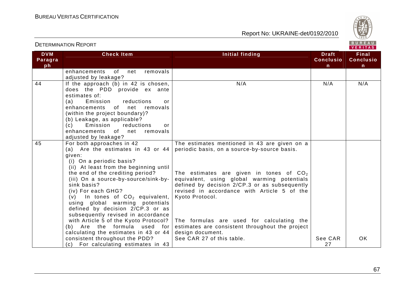

|                             |                                                                                                                                                                                                                                                                                                                                                                                                                                                                                                                                                                                                                       |                                                                                                                                                                                                                                                                                                                                                                                                                                                              |                                       | . <i>.</i>                                |
|-----------------------------|-----------------------------------------------------------------------------------------------------------------------------------------------------------------------------------------------------------------------------------------------------------------------------------------------------------------------------------------------------------------------------------------------------------------------------------------------------------------------------------------------------------------------------------------------------------------------------------------------------------------------|--------------------------------------------------------------------------------------------------------------------------------------------------------------------------------------------------------------------------------------------------------------------------------------------------------------------------------------------------------------------------------------------------------------------------------------------------------------|---------------------------------------|-------------------------------------------|
| <b>DVM</b><br>Paragra<br>ph | <b>Check Item</b>                                                                                                                                                                                                                                                                                                                                                                                                                                                                                                                                                                                                     | Initial finding                                                                                                                                                                                                                                                                                                                                                                                                                                              | <b>Draft</b><br><b>Conclusio</b><br>n | Final<br><b>Conclusio</b><br>$\mathsf{n}$ |
|                             | of the contract of the contract of the contract of the contract of the contract of the contract of the contract<br>net<br>enhancements<br>removals<br>adjusted by leakage?                                                                                                                                                                                                                                                                                                                                                                                                                                            |                                                                                                                                                                                                                                                                                                                                                                                                                                                              |                                       |                                           |
| 44                          | If the approach (b) in 42 is chosen,<br>does the PDD provide ex ante<br>estimates of:<br>reductions<br>(a)<br>Emission<br>or<br>enhancements<br>of<br>net<br>removals<br>(within the project boundary)?<br>(b) Leakage, as applicable?<br>(c)<br>Emission<br>reductions<br>or<br>enhancements of net<br>removals<br>adjusted by leakage?                                                                                                                                                                                                                                                                              | N/A                                                                                                                                                                                                                                                                                                                                                                                                                                                          | N/A                                   | N/A                                       |
| 45                          | For both approaches in 42<br>(a) Are the estimates in 43 or $44$<br>given:<br>(i) On a periodic basis?<br>(ii) At least from the beginning until<br>the end of the crediting period?<br>(iii) On a source-by-source/sink-by-<br>sink basis?<br>(iv) For each GHG?<br>(v) In tones of $CO2$ equivalent,<br>using global warming potentials<br>defined by decision 2/CP.3 or as<br>subsequently revised in accordance<br>with Article 5 of the Kyoto Protocol?  <br>(b) Are the formula used<br>for  <br>calculating the estimates in 43 or 44<br>consistent throughout the PDD?<br>(c) For calculating estimates in 43 | The estimates mentioned in 43 are given on a<br>periodic basis, on a source-by-source basis.<br>The estimates are given in tones of $CO2$<br>equivalent, using global warming potentials<br>defined by decision 2/CP.3 or as subsequently<br>revised in accordance with Article 5 of the<br>Kyoto Protocol.<br>The formulas are used for calculating the<br>estimates are consistent throughout the project<br>design document.<br>See CAR 27 of this table. | See CAR<br>27                         | OK                                        |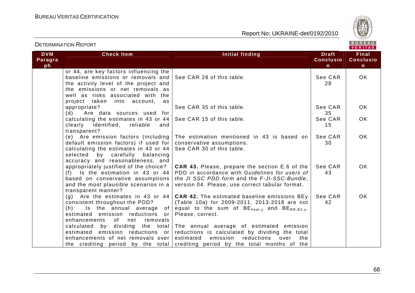

|                             | <b>DETERMINATION REPORT</b>                                                                                                                                                                                                                                                                              |                                                                                                                                                                                                                                                                                                                                                                                                                    |                                                  | BUREAU<br>VERITAS              |
|-----------------------------|----------------------------------------------------------------------------------------------------------------------------------------------------------------------------------------------------------------------------------------------------------------------------------------------------------|--------------------------------------------------------------------------------------------------------------------------------------------------------------------------------------------------------------------------------------------------------------------------------------------------------------------------------------------------------------------------------------------------------------------|--------------------------------------------------|--------------------------------|
| <b>DVM</b><br>Paragra<br>ph | <b>Check Item</b>                                                                                                                                                                                                                                                                                        | <b>Initial finding</b>                                                                                                                                                                                                                                                                                                                                                                                             | <b>Draft</b><br><b>Conclusio</b><br>$\mathsf{n}$ | Final<br><b>Conclusio</b><br>n |
|                             | or 44, are key factors influencing the<br>baseline emissions or removals and<br>the activity level of the project and<br>the emissions or net removals as<br>well as risks associated with the                                                                                                           | See CAR 28 of this table.                                                                                                                                                                                                                                                                                                                                                                                          | See CAR<br>28                                    | OK                             |
|                             | project taken into account,<br>as<br>appropriate?<br>Are data sources used for<br>(d)                                                                                                                                                                                                                    | See CAR 35 of this table.                                                                                                                                                                                                                                                                                                                                                                                          | See CAR<br>35                                    | <b>OK</b>                      |
|                             | calculating the estimates in 43 or 44 $\vert$<br>clearly identified,<br>reliable<br>and                                                                                                                                                                                                                  | See CAR 15 of this table.                                                                                                                                                                                                                                                                                                                                                                                          | See CAR<br>15                                    | <b>OK</b>                      |
|                             | transparent?<br>(e) Are emission factors (including<br>default emission factors) if used for<br>calculating the estimates in 43 or 44<br>selected<br>by carefully<br>balancing<br>accuracy and reasonableness, and                                                                                       | The estimation mentioned in 43 is based on<br>conservative assumptions.<br>See CAR 30 of this table.                                                                                                                                                                                                                                                                                                               | See CAR<br>30                                    | OK.                            |
|                             | appropriately justified of the choice?<br>(f) Is the estimation in 43 or $44$<br>based on conservative assumptions<br>and the most plausible scenarios in a<br>transparent manner?                                                                                                                       | <b>CAR 43.</b> Please, prepare the section E.6 of the<br>PDD in accordance with Guidelines for users of<br>the JI SSC PDD form and the F-JI-SSC-Bundle,<br>version 04. Please, use correct tabular format.                                                                                                                                                                                                         | See CAR<br>43                                    | <b>OK</b>                      |
|                             | (g) Are the estimates in 43 or 44<br>consistent throughout the PDD?<br>(h)<br>Is the annual average<br>of I<br>estimated emission reductions or<br>net<br>enhancements<br>of<br>removals<br>calculated by<br>dividing the total<br>estimated emission reductions or<br>enhancements of net removals over | <b>CAR 42.</b> The estimated baseline emissions BEy<br>(Table 10a) for 2009-2011, 2013-2018 are not<br>equal to the sum of $BE_{heat,v}$ and $BE_{BR.B2.v.}$<br>Please, correct.<br>The annual average of estimated emission<br>reductions is calculated by dividing the total<br>estimated<br>emission reductions<br>over<br>the<br>the crediting period by the total crediting period by the total months of the | See CAR<br>42                                    | <b>OK</b>                      |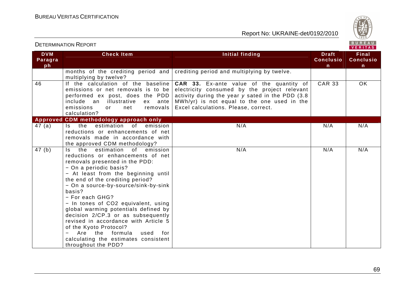Report No: UKRAINE-det/0192/2010



VERITAS

### **DVM Paragraph Check Item Initial finding Check Item Initial finding Theory of The Draft ConclusionFinal Conclusion** months of the crediting period and crediting period and multiplying by twelve. multiplying by twelve? 46 If the calculation of the baseline emissions or net removals is to be performed ex post, does the PDD ex ante include an illustrative emissions or net removals calculation? **Approved CDM methodology approach only CAR 33.** Ex-ante value of the quantity of electricity consumed by the project relevant activity during the year y sated in the PDD (3.8 MWh/yr) is not equal to the one used in the Excel calculations. Please, correct. CAR 33 OK 47 (a) Is the estimation of emission reductions or enhancements of net removals made in accordance with the approved CDM methodology? 47 (b) Is the estimation of emission N/A N/A N/A reductions or enhancements of net removals presented in the PDD: − On a periodic basis? − At least from the beginning until the end of the crediting period? − On a source-by-source/sink-by-sink basis? − For each GHG? − In tones of CO2 equivalent, using global warming potentials defined by decision 2/CP.3 or as subsequently revised in accordance with Article 5 of the Kyoto Protocol? − Are the formula used for calculating the estimates consistent throughout the PDD? N/A N/A N/A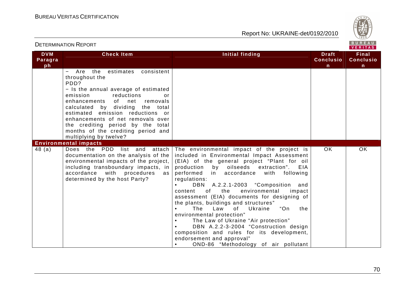

| <b>DETERMINATION REPORT</b> |                                                                                                                                                                                                                                                                                                                                                                                                                  |                                                                                                                                                                                                                                                                                                                                                                                                                                                                                                                                                                                                                                                                                                                            | BUREAU<br>VERITAS                                |                                           |
|-----------------------------|------------------------------------------------------------------------------------------------------------------------------------------------------------------------------------------------------------------------------------------------------------------------------------------------------------------------------------------------------------------------------------------------------------------|----------------------------------------------------------------------------------------------------------------------------------------------------------------------------------------------------------------------------------------------------------------------------------------------------------------------------------------------------------------------------------------------------------------------------------------------------------------------------------------------------------------------------------------------------------------------------------------------------------------------------------------------------------------------------------------------------------------------------|--------------------------------------------------|-------------------------------------------|
| <b>DVM</b><br>Paragra<br>ph | <b>Check Item</b>                                                                                                                                                                                                                                                                                                                                                                                                | <b>Initial finding</b>                                                                                                                                                                                                                                                                                                                                                                                                                                                                                                                                                                                                                                                                                                     | <b>Draft</b><br><b>Conclusio</b><br>$\mathsf{n}$ | Final<br><b>Conclusio</b><br>$\mathsf{n}$ |
|                             | Are the estimates consistent<br>throughout the<br>PDD?<br>- Is the annual average of estimated<br>emission<br>reductions<br>or<br>enhancements of net removals<br>calculated by dividing the total<br>estimated emission reductions or<br>enhancements of net removals over<br>the crediting period by the total<br>months of the crediting period and<br>multiplying by twelve?<br><b>Environmental impacts</b> |                                                                                                                                                                                                                                                                                                                                                                                                                                                                                                                                                                                                                                                                                                                            |                                                  |                                           |
| 48(a)                       | Does the PDD<br>list and<br>attach  <br>documentation on the analysis of the $ $<br>environmental impacts of the project,  <br>including transboundary impacts, in<br>accordance with procedures<br>as  <br>determined by the host Party?                                                                                                                                                                        | The environmental impact of the project is<br>included in Environmental Impact Assessment<br>(EIA) of the general project "Plant for oil<br>production by oilseeds extraction".<br>EIA<br>performed in accordance with<br>following<br>regulations:<br>DBN A.2.2.1-2003 "Composition and<br>the<br>environmental<br>of<br>impact<br>content<br>assessment (EIA) documents for designing of<br>the plants, buildings and structures"<br>The<br>"On<br>Law<br>of Ukraine<br>the<br>environmental protection"<br>The Law of Ukraine "Air protection"<br>DBN A.2.2-3-2004 "Construction design<br>composition and rules for its development,<br>endorsement and approval"<br>OND-86 "Methodology of air pollutant<br>$\bullet$ | OK.                                              | <b>OK</b>                                 |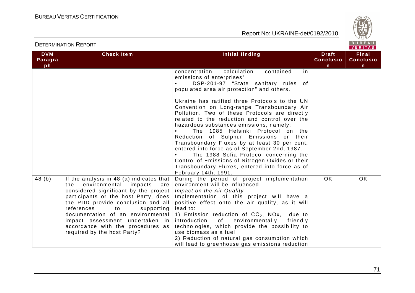

| <b>DVM</b><br>Paragra | <b>Check Item</b>                                                                                                                                                                                                                                                                                                                                                                    | Initial finding                                                                                                                                                                                                                                                                                                                                                                                                                                                                                                                                                                                                                                                                                                                                    | <b>Draft</b><br><b>Conclusio</b> | <b>Final</b><br><b>Conclusio</b> |
|-----------------------|--------------------------------------------------------------------------------------------------------------------------------------------------------------------------------------------------------------------------------------------------------------------------------------------------------------------------------------------------------------------------------------|----------------------------------------------------------------------------------------------------------------------------------------------------------------------------------------------------------------------------------------------------------------------------------------------------------------------------------------------------------------------------------------------------------------------------------------------------------------------------------------------------------------------------------------------------------------------------------------------------------------------------------------------------------------------------------------------------------------------------------------------------|----------------------------------|----------------------------------|
| ph                    |                                                                                                                                                                                                                                                                                                                                                                                      | concentration<br>calculation<br>contained<br>in.<br>emissions of enterprises"<br>DSP-201-97 "State sanitary rules of<br>populated area air protection" and others.<br>Ukraine has ratified three Protocols to the UN<br>Convention on Long-range Transboundary Air<br>Pollution. Two of these Protocols are directly<br>related to the reduction and control over the<br>hazardous substances emissions, namely:<br>The 1985 Helsinki Protocol on the<br>Reduction of Sulphur Emissions or their<br>Transboundary Fluxes by at least 30 per cent,<br>entered into force as of September 2nd, 1987.<br>The 1988 Sofia Protocol concerning the<br>Control of Emissions of Nitrogen Oxides or their<br>Transboundary Fluxes, entered into force as of | n.                               | n                                |
| 48(b)                 | If the analysis in 48 (a) indicates that<br>environmental impacts<br>the<br>are<br>considered significant by the project<br>participants or the host Party, does<br>the PDD provide conclusion and all<br>references<br>supporting<br>to<br>documentation of an environmental<br>impact assessment undertaken in<br>accordance with the procedures as<br>required by the host Party? | February 14th, 1991.<br>During the period of project implementation<br>environment will be influenced.<br>Impact on the Air Quality<br>Implementation of this project will have a<br>positive effect onto the air quality, as it will<br>lead to:<br>1) Emission reduction of $CO2$ , NOx, due to<br>of environmentally<br>introduction<br>friendly<br>technologies, which provide the possibility to<br>use biomass as a fuel:<br>2) Reduction of natural gas consumption which<br>will lead to greenhouse gas emissions reduction                                                                                                                                                                                                                | <b>OK</b>                        | <b>OK</b>                        |

## DETERMINATION REPORT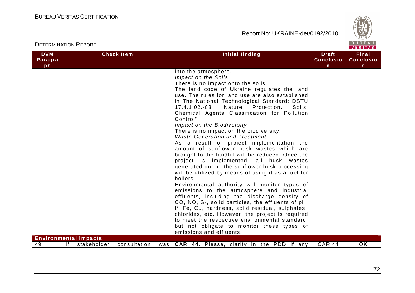

| <b>DVM</b><br>Paragra<br>ph | <b>Check Item</b>                                                 | <b>Initial finding</b>                                                                                                                                                                                                                                                                                                                                                                                                                                                                                                                                                                                                                                                                                                                                                                                                                                                                                                                                                                                                                                                                                                                                                                                                            | <b>Draft</b><br><b>Conclusio</b><br>$\mathsf{n}$ | Final<br><b>Conclusio</b><br>n |
|-----------------------------|-------------------------------------------------------------------|-----------------------------------------------------------------------------------------------------------------------------------------------------------------------------------------------------------------------------------------------------------------------------------------------------------------------------------------------------------------------------------------------------------------------------------------------------------------------------------------------------------------------------------------------------------------------------------------------------------------------------------------------------------------------------------------------------------------------------------------------------------------------------------------------------------------------------------------------------------------------------------------------------------------------------------------------------------------------------------------------------------------------------------------------------------------------------------------------------------------------------------------------------------------------------------------------------------------------------------|--------------------------------------------------|--------------------------------|
|                             |                                                                   | into the atmosphere.<br>Impact on the Soils<br>There is no impact onto the soils.<br>The land code of Ukraine regulates the land<br>use. The rules for land use are also established<br>in The National Technological Standard: DSTU<br>"Nature Protection.<br>17.4.1.02.-83<br>Soils.<br>Chemical Agents Classification for Pollution<br>Control".<br>Impact on the Biodiversity<br>There is no impact on the biodiversity.<br><b>Waste Generation and Treatment</b><br>As a result of project implementation the<br>amount of sunflower husk wastes which are<br>brought to the landfill will be reduced. Once the<br>project is implemented, all husk wastes<br>generated during the sunflower husk processing<br>will be utilized by means of using it as a fuel for<br>boilers.<br>Environmental authority will monitor types of<br>emissions to the atmosphere and industrial<br>effluents, including the discharge density of<br>CO, NO, $S_2$ , solid particles, the effluents of pH,<br>t°, Fe, Cu, hardness, solid residual, sulphates,<br>chlorides, etc. However, the project is required<br>to meet the respective environmental standard,<br>but not obligate to monitor these types of<br>emissions and effluents. |                                                  |                                |
| 49                          | <b>Environmental impacts</b><br>Ιf<br>stakeholder<br>consultation | <b>CAR 44.</b> Please, clarify in the PDD if any<br>was                                                                                                                                                                                                                                                                                                                                                                                                                                                                                                                                                                                                                                                                                                                                                                                                                                                                                                                                                                                                                                                                                                                                                                           | <b>CAR 44</b>                                    | OK                             |

DETERMINATION REPORT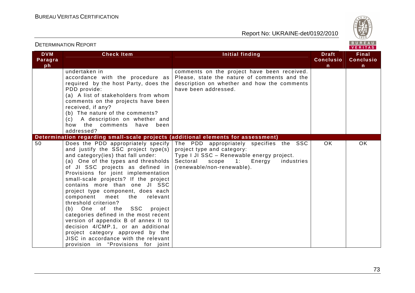

|                             | PLILIWIII VAID IN INLI YIN                                                                                                                                                                                                                                                                                                                                                                                                                                                                                                                                                                                                                                                                                                                                                     |                                                                                                                                                                                            |                                       | VERITAS                                          |
|-----------------------------|--------------------------------------------------------------------------------------------------------------------------------------------------------------------------------------------------------------------------------------------------------------------------------------------------------------------------------------------------------------------------------------------------------------------------------------------------------------------------------------------------------------------------------------------------------------------------------------------------------------------------------------------------------------------------------------------------------------------------------------------------------------------------------|--------------------------------------------------------------------------------------------------------------------------------------------------------------------------------------------|---------------------------------------|--------------------------------------------------|
| <b>DVM</b><br>Paragra<br>ph | <b>Check Item</b>                                                                                                                                                                                                                                                                                                                                                                                                                                                                                                                                                                                                                                                                                                                                                              | Initial finding                                                                                                                                                                            | <b>Draft</b><br><b>Conclusio</b><br>n | <b>Final</b><br><b>Conclusio</b><br>$\mathsf{n}$ |
|                             | undertaken in<br>accordance with the procedure as<br>required by the host Party, does the<br>PDD provide:<br>(a) A list of stakeholders from whom<br>comments on the projects have been<br>received, if any?<br>(b) The nature of the comments?<br>A description on whether and<br>(c) =<br>how the comments<br>have<br>been<br>addressed?                                                                                                                                                                                                                                                                                                                                                                                                                                     | comments on the project have been received.<br>Please, state the nature of comments and the<br>description on whether and how the comments<br>have been addressed.                         |                                       |                                                  |
| 50                          | Determination regarding small-scale projects (additional elements for assessment)<br>Does the PDD appropriately specify<br>and justify the SSC project type(s)<br>and category(ies) that fall under:<br>(a) One of the types and thresholds<br>of JI SSC projects as defined in<br>Provisions for joint implementation<br>small-scale projects? If the project<br>contains more than one JI SSC<br>project type component, does each<br>component<br>relevant<br>meet<br>the<br>threshold criterion?<br>(b) One of the SSC<br>project<br>categories defined in the most recent<br>version of appendix B of annex II to<br>decision 4/CMP.1, or an additional<br>project category approved by the<br>JISC in accordance with the relevant<br>provision in "Provisions for joint | The PDD appropriately specifies the SSC<br>project type and category:<br>Type I JI SSC - Renewable energy project.<br>Sectoral scope 1: Energy<br>industries<br>(renewable/non-renewable). | <b>OK</b>                             | <b>OK</b>                                        |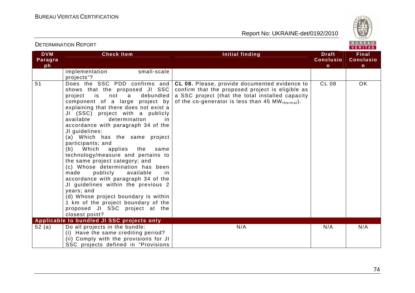

| <b>DVM</b><br>Paragra<br>ph | <b>Check Item</b>                                                                                                                                                                                                                                                                                                                                                                                                                                                                                                                                                                                                                                                                                                                                                                                  | Initial finding                                                                                                                                                                                           | <b>Draft</b><br><b>Conclusio</b><br>n | <b>Final</b><br><b>Conclusio</b><br>$\mathsf{n}$ |
|-----------------------------|----------------------------------------------------------------------------------------------------------------------------------------------------------------------------------------------------------------------------------------------------------------------------------------------------------------------------------------------------------------------------------------------------------------------------------------------------------------------------------------------------------------------------------------------------------------------------------------------------------------------------------------------------------------------------------------------------------------------------------------------------------------------------------------------------|-----------------------------------------------------------------------------------------------------------------------------------------------------------------------------------------------------------|---------------------------------------|--------------------------------------------------|
|                             | small-scale<br>implementation<br>projects"?                                                                                                                                                                                                                                                                                                                                                                                                                                                                                                                                                                                                                                                                                                                                                        |                                                                                                                                                                                                           |                                       |                                                  |
| 51                          | Does the SSC PDD confirms and<br>shows that the proposed JI SSC<br>is not a<br>debundled<br>project<br>component of a large project by<br>explaining that there does not exist a<br>JI (SSC) project with a publicly<br>available<br>determination<br>in<br>accordance with paragraph 34 of the<br>JI guidelines:<br>(a) Which has the same project<br>participants; and<br>(b) Which<br>applies<br>the<br>same<br>technology/measure and pertains to<br>the same project category; and<br>(c) Whose determination has been<br>made<br>publicly<br>available<br>in.<br>accordance with paragraph 34 of the<br>JI guidelines within the previous 2<br>years; and<br>(d) Whose project boundary is within<br>1 km of the project boundary of the<br>proposed JI SSC project at the<br>closest point? | CL 08. Please, provide documented evidence to<br>confirm that the proposed project is eligible as<br>a SSC project (that the total installed capacity<br>of the co-generator is less than 45 MW thermal). | <b>CL 08</b>                          | OK                                               |
|                             | Applicable to bundled JI SSC projects only                                                                                                                                                                                                                                                                                                                                                                                                                                                                                                                                                                                                                                                                                                                                                         |                                                                                                                                                                                                           |                                       |                                                  |
| 52 (a)                      | Do all projects in the bundle:<br>(i) Have the same crediting period?<br>(ii) Comply with the provisions for JI<br>SSC projects defined in "Provisions                                                                                                                                                                                                                                                                                                                                                                                                                                                                                                                                                                                                                                             | N/A                                                                                                                                                                                                       | N/A                                   | N/A                                              |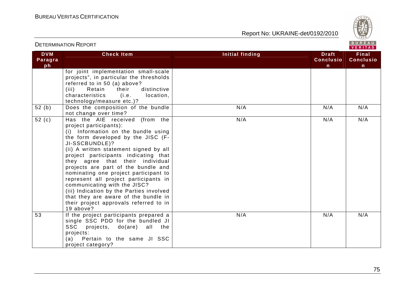

|                             | <b>DETERMINATION REPORT</b>                                                                                                                                                                                                                                                                                                                                                                                                                                                                                                                                                       |                        |                                                  | BUREAU<br>VERITAS                         |
|-----------------------------|-----------------------------------------------------------------------------------------------------------------------------------------------------------------------------------------------------------------------------------------------------------------------------------------------------------------------------------------------------------------------------------------------------------------------------------------------------------------------------------------------------------------------------------------------------------------------------------|------------------------|--------------------------------------------------|-------------------------------------------|
| <b>DVM</b><br>Paragra<br>ph | <b>Check Item</b>                                                                                                                                                                                                                                                                                                                                                                                                                                                                                                                                                                 | <b>Initial finding</b> | <b>Draft</b><br><b>Conclusio</b><br>$\mathsf{n}$ | Final<br><b>Conclusio</b><br>$\mathsf{n}$ |
|                             | for joint implementation small-scale<br>projects", in particular the thresholds<br>referred to in 50 (a) above?<br>(iii)<br>Retain<br>distinctive<br>their<br>characteristics<br>(i.e.<br>location,<br>technology/measure etc.)?                                                                                                                                                                                                                                                                                                                                                  |                        |                                                  |                                           |
| 52(b)                       | Does the composition of the bundle<br>not change over time?                                                                                                                                                                                                                                                                                                                                                                                                                                                                                                                       | N/A                    | N/A                                              | N/A                                       |
| 52 $(c)$                    | Has the AIE received (from the<br>project participants):<br>(i) Information on the bundle using<br>the form developed by the JISC (F-<br>JI-SSCBUNDLE)?<br>(ii) A written statement signed by all<br>project participants indicating that<br>they agree that their individual<br>projects are part of the bundle and<br>nominating one project participant to<br>represent all project participants in<br>communicating with the JISC?<br>(iii) Indication by the Parties involved<br>that they are aware of the bundle in<br>their project approvals referred to in<br>19 above? | N/A                    | N/A                                              | N/A                                       |
| 53                          | If the project participants prepared a<br>single SSC PDD for the bundled JI<br><b>SSC</b><br>projects, do(are) all the<br>projects:<br>(a) Pertain to the same JI SSC<br>project category?                                                                                                                                                                                                                                                                                                                                                                                        | N/A                    | N/A                                              | N/A                                       |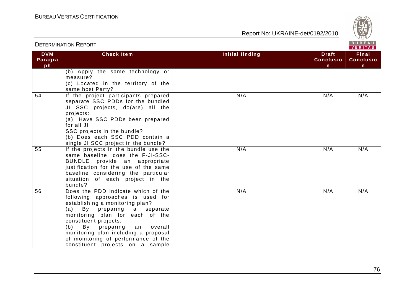

|                             |                                                                                                                                                                                                                                                                                                                                                                       |                 | VERIIAS.                               |                                       |
|-----------------------------|-----------------------------------------------------------------------------------------------------------------------------------------------------------------------------------------------------------------------------------------------------------------------------------------------------------------------------------------------------------------------|-----------------|----------------------------------------|---------------------------------------|
| <b>DVM</b><br>Paragra<br>ph | <b>Check Item</b>                                                                                                                                                                                                                                                                                                                                                     | Initial finding | <b>Draft</b><br><b>Conclusio</b><br>n. | <b>Final</b><br><b>Conclusio</b><br>n |
|                             | (b) Apply the same technology or<br>measure?<br>(c) Located in the territory of the<br>same host Party?                                                                                                                                                                                                                                                               |                 |                                        |                                       |
| $\overline{54}$             | If the project participants prepared<br>separate SSC PDDs for the bundled<br>JI SSC projects, do(are) all the<br>projects:<br>(a) Have SSC PDDs been prepared<br>for all JI<br>SSC projects in the bundle?<br>(b) Does each SSC PDD contain a<br>single JI SCC project in the bundle?                                                                                 | N/A             | N/A                                    | N/A                                   |
| 55                          | If the projects in the bundle use the<br>same baseline, does the F-JI-SSC-<br>BUNDLE provide an appropriate<br>justification for the use of the same<br>baseline considering the particular<br>situation of each project in the<br>bundle?                                                                                                                            | N/A             | N/A                                    | N/A                                   |
| 56                          | Does the PDD indicate which of the<br>following approaches is used for<br>establishing a monitoring plan?<br>(a)<br>preparing a separate<br>By<br>monitoring plan for each of the<br>constituent projects;<br>(b)<br>By preparing<br>overall<br>an<br>monitoring plan including a proposal<br>of monitoring of performance of the<br>constituent projects on a sample | N/A             | N/A                                    | N/A                                   |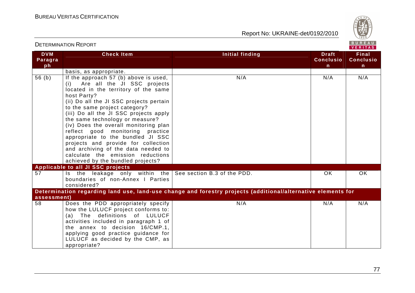

|                             | <b>DETERMINATION REPORT</b>                                                                                                                                                                                                                                                                                                                                                                                                                                                                                                                                        |                                                                                                              |                                                  | BUREAU<br>VERITAS                         |
|-----------------------------|--------------------------------------------------------------------------------------------------------------------------------------------------------------------------------------------------------------------------------------------------------------------------------------------------------------------------------------------------------------------------------------------------------------------------------------------------------------------------------------------------------------------------------------------------------------------|--------------------------------------------------------------------------------------------------------------|--------------------------------------------------|-------------------------------------------|
| <b>DVM</b><br>Paragra<br>ph | <b>Check Item</b>                                                                                                                                                                                                                                                                                                                                                                                                                                                                                                                                                  | <b>Initial finding</b>                                                                                       | <b>Draft</b><br><b>Conclusio</b><br>$\mathsf{n}$ | Final<br><b>Conclusio</b><br>$\mathsf{n}$ |
|                             | basis, as appropriate.                                                                                                                                                                                                                                                                                                                                                                                                                                                                                                                                             |                                                                                                              |                                                  |                                           |
| 56(b)                       | If the approach 57 (b) above is used,<br>(i) Are all the JI SSC projects<br>located in the territory of the same<br>host Party?<br>(ii) Do all the JI SSC projects pertain<br>to the same project category?<br>(iii) Do all the JI SSC projects apply<br>the same technology or measure?<br>(iv) Does the overall monitoring plan<br>reflect good monitoring practice<br>appropriate to the bundled JI SSC<br>projects and provide for collection<br>and archiving of the data needed to<br>calculate the emission reductions<br>achieved by the bundled projects? | N/A                                                                                                          | N/A                                              | N/A                                       |
|                             | Applicable to all JI SSC projects                                                                                                                                                                                                                                                                                                                                                                                                                                                                                                                                  |                                                                                                              |                                                  |                                           |
| 57                          | Is the leakage only within the See section B.3 of the PDD.<br>boundaries of non-Annex I Parties<br>considered?                                                                                                                                                                                                                                                                                                                                                                                                                                                     |                                                                                                              | OK                                               | OK.                                       |
| assessment)                 |                                                                                                                                                                                                                                                                                                                                                                                                                                                                                                                                                                    | Determination regarding land use, land-use change and forestry projects (additional/alternative elements for |                                                  |                                           |
| 58                          | Does the PDD appropriately specify<br>how the LULUCF project conforms to:<br>(a) The definitions of LULUCF<br>activities included in paragraph 1 of<br>the annex to decision 16/CMP.1,<br>applying good practice guidance for<br>LULUCF as decided by the CMP, as<br>appropriate?                                                                                                                                                                                                                                                                                  | N/A                                                                                                          | N/A                                              | N/A                                       |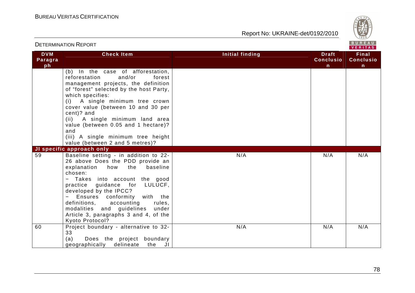

| <b>DETERMINATION REPORT</b> |                                                                                                                                                                                                                                                                                                                                                                                                                               |                        | BUREAU<br>VERITAS                     |                                           |
|-----------------------------|-------------------------------------------------------------------------------------------------------------------------------------------------------------------------------------------------------------------------------------------------------------------------------------------------------------------------------------------------------------------------------------------------------------------------------|------------------------|---------------------------------------|-------------------------------------------|
| <b>DVM</b><br>Paragra<br>ph | <b>Check Item</b>                                                                                                                                                                                                                                                                                                                                                                                                             | <b>Initial finding</b> | <b>Draft</b><br><b>Conclusio</b><br>n | Final<br><b>Conclusio</b><br>$\mathsf{n}$ |
|                             | (b) In the case of afforestation,<br>reforestation<br>and/or<br>forest<br>management projects, the definition<br>of "forest" selected by the host Party,<br>which specifies:<br>(i) A single minimum tree crown<br>cover value (between 10 and 30 per<br>cent)? and<br>(ii) A single minimum land area<br>value (between 0.05 and 1 hectare)?<br>and<br>(iii) A single minimum tree height<br>value (between 2 and 5 metres)? |                        |                                       |                                           |
|                             | JI specific approach only                                                                                                                                                                                                                                                                                                                                                                                                     |                        |                                       |                                           |
| 59                          | Baseline setting - in addition to 22-<br>26 above Does the PDD provide an<br>explanation how the<br>baseline<br>chosen:<br>Takes into account the good<br>practice guidance for LULUCF,<br>developed by the IPCC?<br>Ensures conformity<br>with the<br>definitions, accounting<br>rules,<br>modalities and guidelines<br>under<br>Article 3, paragraphs 3 and 4, of the<br>Kyoto Protocol?                                    | N/A                    | N/A                                   | N/A                                       |
| 60                          | Project boundary - alternative to 32-<br>33<br>(a)<br>Does the project boundary<br>geographically<br>delineate<br>the<br>JI                                                                                                                                                                                                                                                                                                   | N/A                    | N/A                                   | N/A                                       |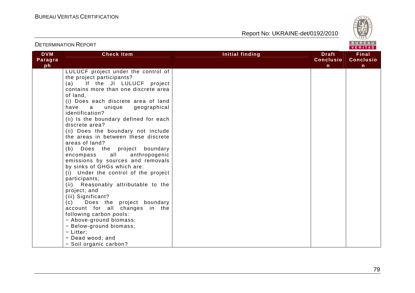

| <b>DETERMINATION REPORT</b> |                                                                                                                                                                                                                                                                                                                                                                                                                                                                                                                                                                                                                                                                                                                                                                                                                                                                                                                     |                        |                                                  | BUREAU<br>VERITAS                         |  |
|-----------------------------|---------------------------------------------------------------------------------------------------------------------------------------------------------------------------------------------------------------------------------------------------------------------------------------------------------------------------------------------------------------------------------------------------------------------------------------------------------------------------------------------------------------------------------------------------------------------------------------------------------------------------------------------------------------------------------------------------------------------------------------------------------------------------------------------------------------------------------------------------------------------------------------------------------------------|------------------------|--------------------------------------------------|-------------------------------------------|--|
| <b>DVM</b><br>Paragra<br>ph | <b>Check Item</b>                                                                                                                                                                                                                                                                                                                                                                                                                                                                                                                                                                                                                                                                                                                                                                                                                                                                                                   | <b>Initial finding</b> | <b>Draft</b><br><b>Conclusio</b><br>$\mathsf{n}$ | Final<br><b>Conclusio</b><br>$\mathsf{n}$ |  |
|                             | LULUCF project under the control of<br>the project participants?<br>(a) If the JI LULUCF project<br>contains more than one discrete area<br>of land,<br>(i) Does each discrete area of land<br>have<br>unique<br>geographical<br>a a<br>identification?<br>(ii) Is the boundary defined for each<br>discrete area?<br>(ii) Does the boundary not include<br>the areas in between these discrete<br>areas of land?<br>(b) Does the project boundary<br>all<br>anthropogenic<br>encompass<br>emissions by sources and removals<br>by sinks of GHGs which are:<br>(i) Under the control of the project<br>participants;<br>(ii) Reasonably attributable to the<br>project; and<br>(iii) Significant?<br>(c)<br>Does the project boundary<br>account for all changes in the<br>following carbon pools:<br>- Above-ground biomass;<br>- Below-ground biomass;<br>- Litter;<br>- Dead wood; and<br>- Soil organic carbon? |                        |                                                  |                                           |  |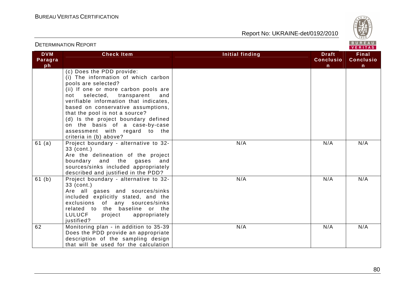

| <b>DETERMINATION REPORT</b> |                                                                                                                                                                                                                                                                                                                                                                                                    |                                                                            | BUREAU<br>VERITAS                         |  |
|-----------------------------|----------------------------------------------------------------------------------------------------------------------------------------------------------------------------------------------------------------------------------------------------------------------------------------------------------------------------------------------------------------------------------------------------|----------------------------------------------------------------------------|-------------------------------------------|--|
| <b>DVM</b><br>Paragra<br>ph | <b>Check Item</b>                                                                                                                                                                                                                                                                                                                                                                                  | <b>Initial finding</b><br><b>Draft</b><br><b>Conclusio</b><br>$\mathsf{n}$ | Final<br><b>Conclusio</b><br>$\mathsf{n}$ |  |
|                             | (c) Does the PDD provide:<br>(i) The information of which carbon<br>pools are selected?<br>(ii) If one or more carbon pools are<br>selected, transparent<br>not<br>and<br>verifiable information that indicates,<br>based on conservative assumptions,<br>that the pool is not a source?<br>(d) Is the project boundary defined<br>on the basis of a case-by-case<br>assessment with regard to the |                                                                            |                                           |  |
| 61 (a)                      | criteria in (b) above?<br>Project boundary - alternative to 32-<br>33 (cont.)<br>Are the delineation of the project<br>boundary and the gases and<br>sources/sinks included appropriately<br>described and justified in the PDD?                                                                                                                                                                   | N/A<br>N/A                                                                 | N/A                                       |  |
| 61 (b)                      | Project boundary - alternative to 32-<br>33 (cont.)<br>Are all gases and sources/sinks<br>included explicitly stated, and the<br>exclusions of any sources/sinks<br>related to the baseline or the<br><b>LULUCF</b><br>project<br>appropriately<br>justified?                                                                                                                                      | N/A<br>N/A                                                                 | N/A                                       |  |
| 62                          | Monitoring plan - in addition to 35-39<br>Does the PDD provide an appropriate<br>description of the sampling design<br>that will be used for the calculation                                                                                                                                                                                                                                       | N/A<br>N/A                                                                 | N/A                                       |  |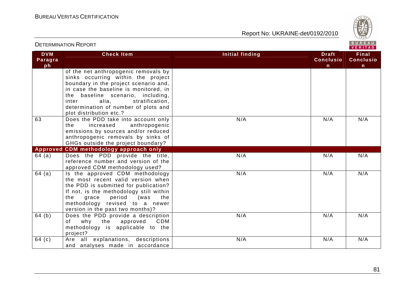

| <b>DETERMINATION REPORT</b> |                                                                                                                                                                                                                                                                                                           |                 |                                                  | BUREAU<br>VERITAS                         |
|-----------------------------|-----------------------------------------------------------------------------------------------------------------------------------------------------------------------------------------------------------------------------------------------------------------------------------------------------------|-----------------|--------------------------------------------------|-------------------------------------------|
| <b>DVM</b><br>Paragra<br>ph | <b>Check Item</b>                                                                                                                                                                                                                                                                                         | Initial finding | <b>Draft</b><br><b>Conclusio</b><br>$\mathsf{n}$ | Final<br><b>Conclusio</b><br>$\mathsf{n}$ |
|                             | of the net anthropogenic removals by<br>sinks occurring within the project<br>boundary in the project scenario and,<br>in case the baseline is monitored, in<br>the baseline scenario, including,<br>inter<br>alia,<br>stratification,<br>determination of number of plots and<br>plot distribution etc.? |                 |                                                  |                                           |
| 63                          | Does the PDD take into account only<br>anthropogenic<br>the<br>increased<br>emissions by sources and/or reduced<br>anthropogenic removals by sinks of<br>GHGs outside the project boundary?                                                                                                               | N/A             | N/A                                              | N/A                                       |
| <b>Approved</b>             | <b>CDM</b> methodology approach only                                                                                                                                                                                                                                                                      |                 |                                                  |                                           |
| 64 (a)                      | Does the PDD provide the title,<br>reference number and version of the<br>approved CDM methodology used?                                                                                                                                                                                                  | N/A             | N/A                                              | N/A                                       |
| 64(a)                       | Is the approved CDM methodology<br>the most recent valid version when<br>the PDD is submitted for publication?<br>If not, is the methodology still within<br>the<br>grace<br>period<br>(was<br>the<br>methodology revised to a newer<br>version in the past two months)?                                  | N/A             | N/A                                              | N/A                                       |
| 64(b)                       | Does the PDD provide a description<br>the<br>why<br>approved<br>CDM<br>of<br>methodology is applicable to the<br>project?                                                                                                                                                                                 | N/A             | N/A                                              | N/A                                       |
| 64 (c)                      | Are all explanations, descriptions<br>and analyses made in accordance                                                                                                                                                                                                                                     | N/A             | N/A                                              | N/A                                       |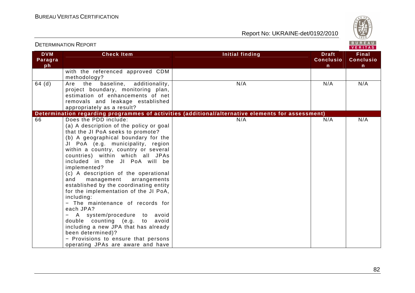

|                             | DE I EKIWINA HUN TYEF UK I                                                                                                                                                                                                                                                                                                                                                                                                                                                                                                                                                                                                                                                                                                                               |                                                                                                   |                                                  | VERITAS                               |
|-----------------------------|----------------------------------------------------------------------------------------------------------------------------------------------------------------------------------------------------------------------------------------------------------------------------------------------------------------------------------------------------------------------------------------------------------------------------------------------------------------------------------------------------------------------------------------------------------------------------------------------------------------------------------------------------------------------------------------------------------------------------------------------------------|---------------------------------------------------------------------------------------------------|--------------------------------------------------|---------------------------------------|
| <b>DVM</b><br>Paragra<br>ph | <b>Check Item</b>                                                                                                                                                                                                                                                                                                                                                                                                                                                                                                                                                                                                                                                                                                                                        | Initial finding                                                                                   | <b>Draft</b><br><b>Conclusio</b><br>$\mathsf{n}$ | <b>Final</b><br><b>Conclusio</b><br>n |
|                             | with the referenced approved CDM<br>methodology?                                                                                                                                                                                                                                                                                                                                                                                                                                                                                                                                                                                                                                                                                                         |                                                                                                   |                                                  |                                       |
| $64$ (d)                    | baseline,<br>additionality,<br>Are<br>the<br>project boundary, monitoring plan,<br>estimation of enhancements of net<br>removals and leakage established<br>appropriately as a result?                                                                                                                                                                                                                                                                                                                                                                                                                                                                                                                                                                   | N/A                                                                                               | N/A                                              | N/A                                   |
|                             |                                                                                                                                                                                                                                                                                                                                                                                                                                                                                                                                                                                                                                                                                                                                                          | Determination regarding programmes of activities (additional/alternative elements for assessment) |                                                  |                                       |
| 66                          | Does the PDD include:<br>(a) A description of the policy or goal<br>that the JI PoA seeks to promote?<br>(b) A geographical boundary for the<br>JI PoA (e.g. municipality, region<br>within a country, country or several<br>countries) within which all JPAs<br>included in the JI PoA will be<br>implemented?<br>(c) A description of the operational<br>and<br>management<br>arrangements<br>established by the coordinating entity<br>for the implementation of the JI PoA,<br>including:<br>- The maintenance of records for<br>each JPA?<br>A system/procedure to avoid<br>double counting (e.g. to avoid<br>including a new JPA that has already<br>been determined)?<br>- Provisions to ensure that persons<br>operating JPAs are aware and have | N/A                                                                                               | N/A                                              | N/A                                   |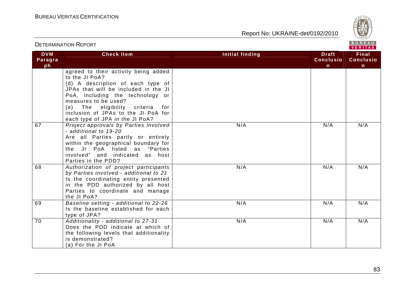

|                             |                                                                                                                                                                                                                                                                                                                  |                                                                 | <b>VERITAS</b>                 |
|-----------------------------|------------------------------------------------------------------------------------------------------------------------------------------------------------------------------------------------------------------------------------------------------------------------------------------------------------------|-----------------------------------------------------------------|--------------------------------|
| <b>DVM</b><br>Paragra<br>ph | <b>Check Item</b>                                                                                                                                                                                                                                                                                                | <b>Initial finding</b><br><b>Draft</b><br><b>Conclusio</b><br>n | Final<br><b>Conclusio</b><br>n |
|                             | agreed to their activity being added<br>to the JI PoA?<br>(d) A description of each type of<br>JPAs that will be included in the JI<br>PoA, including the technology or<br>measures to be used?<br>(e) The eligibility criteria<br>for<br>inclusion of JPAs to the JI PoA for<br>each type of JPA in the JI PoA? |                                                                 |                                |
| 67                          | Project approvals by Parties involved<br>- additional to 19-20<br>Are all Parties partly or entirely<br>within the geographical boundary for<br>the JI PoA listed as "Parties<br>involved" and indicated as host<br>Parties in the PDD?                                                                          | N/A<br>N/A                                                      | N/A                            |
| 68                          | Authorization of project participants<br>by Parties involved - additional to 21<br>Is the coordinating entity presented<br>in the PDD authorized by all host<br>Parties to coordinate and manage<br>the JI PoA?                                                                                                  | N/A<br>N/A                                                      | N/A                            |
| 69                          | Baseline setting - additional to 22-26<br>Is the baseline established for each<br>type of JPA?                                                                                                                                                                                                                   | N/A<br>N/A                                                      | N/A                            |
| 70                          | Additionality - additional to 27-31<br>Does the PDD indicate at which of<br>the following levels that additionality<br>is demonstrated?<br>(a) For the JI PoA                                                                                                                                                    | N/A<br>N/A                                                      | N/A                            |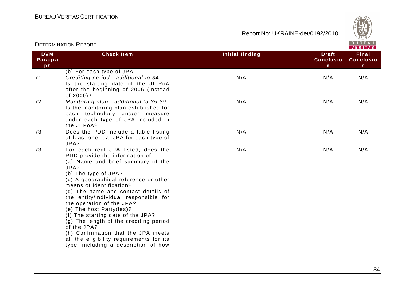

|                             |                                                                                                                                                                                                                                                                                                                                                                                                                                                                                                                                                                                   |                 |                                                  | VENII A 3                              |
|-----------------------------|-----------------------------------------------------------------------------------------------------------------------------------------------------------------------------------------------------------------------------------------------------------------------------------------------------------------------------------------------------------------------------------------------------------------------------------------------------------------------------------------------------------------------------------------------------------------------------------|-----------------|--------------------------------------------------|----------------------------------------|
| <b>DVM</b><br>Paragra<br>ph | <b>Check Item</b>                                                                                                                                                                                                                                                                                                                                                                                                                                                                                                                                                                 | Initial finding | <b>Draft</b><br><b>Conclusio</b><br>$\mathsf{n}$ | <b>Final</b><br><b>Conclusio</b><br>n. |
|                             | (b) For each type of JPA                                                                                                                                                                                                                                                                                                                                                                                                                                                                                                                                                          |                 |                                                  |                                        |
| $\overline{71}$             | Crediting period - additional to 34<br>Is the starting date of the JI PoA<br>after the beginning of 2006 (instead<br>of 2000)?                                                                                                                                                                                                                                                                                                                                                                                                                                                    | N/A             | N/A                                              | N/A                                    |
| $\overline{72}$             | Monitoring plan - additional to 35-39<br>Is the monitoring plan established for<br>each technology and/or measure<br>under each type of JPA included in<br>the JI PoA?                                                                                                                                                                                                                                                                                                                                                                                                            | N/A             | N/A                                              | N/A                                    |
| 73                          | Does the PDD include a table listing<br>at least one real JPA for each type of<br>JPA?                                                                                                                                                                                                                                                                                                                                                                                                                                                                                            | N/A             | N/A                                              | N/A                                    |
| $\overline{73}$             | For each real JPA listed, does the<br>PDD provide the information of:<br>(a) Name and brief summary of the<br>JPA?<br>(b) The type of JPA?<br>(c) A geographical reference or other<br>means of identification?<br>(d) The name and contact details of<br>the entity/individual responsible for<br>the operation of the JPA?<br>(e) The host Party(ies)?<br>(f) The starting date of the JPA?<br>(g) The length of the crediting period<br>of the JPA?<br>(h) Confirmation that the JPA meets<br>all the eligibility requirements for its<br>type, including a description of how | N/A             | N/A                                              | N/A                                    |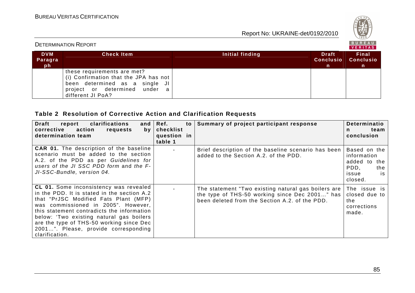

| B U K E A U<br><b>DETERMINATION REPORT</b><br>VERITAS |                                                                                                                                                              |                 |                                        |                                           |
|-------------------------------------------------------|--------------------------------------------------------------------------------------------------------------------------------------------------------------|-----------------|----------------------------------------|-------------------------------------------|
| <b>DVM</b><br>Paragra<br>ph.                          | <b>Check Item</b>                                                                                                                                            | Initial finding | <b>Draft</b><br><b>Conclusio</b><br>m, | Final<br><b>Conclusio</b><br>$\mathsf{n}$ |
|                                                       | these requirements are met?<br>(i) Confirmation that the JPA has not<br>been determined as a single JI<br>project or determined under a<br>different JI PoA? |                 |                                        |                                           |

## **Table 2 Resolution of Corrective Action and Clarification Requests**

| clarifications<br>Draft<br>report<br>and<br>corrective<br>action<br>requests<br>by<br>determination team                                                                                                                                                                                                                                                              | Ref.<br>to l<br>checklist<br>question in<br>table 1 | Summary of project participant response                                                                                                                 | Determinatio<br>team<br>n.<br>conclusion                                             |
|-----------------------------------------------------------------------------------------------------------------------------------------------------------------------------------------------------------------------------------------------------------------------------------------------------------------------------------------------------------------------|-----------------------------------------------------|---------------------------------------------------------------------------------------------------------------------------------------------------------|--------------------------------------------------------------------------------------|
| <b>CAR 01.</b> The description of the baseline<br>scenario must be added to the section<br>A.2. of the PDD as per Guidelines for<br>users of the JI SSC PDD form and the F-<br>JI-SSC-Bundle, version 04.                                                                                                                                                             |                                                     | Brief description of the baseline scenario has been<br>added to the Section A.2. of the PDD.                                                            | Based on the<br>information<br>added to the<br>PDD.<br>the<br>is<br>issue<br>closed. |
| CL 01. Some inconsistency was revealed<br>in the PDD. It is stated in the section A.2<br>that "PrJSC Modified Fats Plant (MFP)<br>was commissioned in 2005". However,<br>this statement contradicts the information<br>below: 'Two existing natural gas boilers<br>are the type of THS-50 working since Dec<br>2001". Please, provide corresponding<br>clarification. |                                                     | The statement "Two existing natural gas boilers are<br>the type of THS-50 working since Dec 2001" has<br>been deleted from the Section A.2. of the PDD. | The issue is<br>closed due to<br>the<br>corrections<br>made.                         |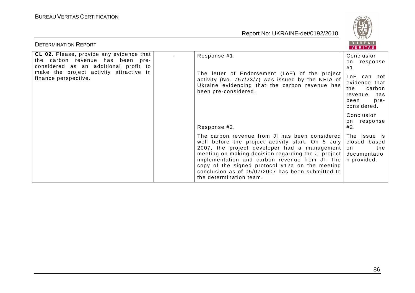

| <b>DETERMINATION REPORT</b>                                                                                                                                                              |                                                                                                                                                                                                                                                                                                                                                                                                              | BUREAU<br>VERITAS                                                                                                                     |
|------------------------------------------------------------------------------------------------------------------------------------------------------------------------------------------|--------------------------------------------------------------------------------------------------------------------------------------------------------------------------------------------------------------------------------------------------------------------------------------------------------------------------------------------------------------------------------------------------------------|---------------------------------------------------------------------------------------------------------------------------------------|
| CL 02. Please, provide any evidence that<br>the carbon revenue has been pre-<br>considered as an additional profit to<br>make the project activity attractive in<br>finance perspective. | Response #1.<br>The letter of Endorsement (LoE) of the project<br>activity (No. 757/23/7) was issued by the NEIA of<br>Ukraine evidencing that the carbon revenue has<br>been pre-considered.                                                                                                                                                                                                                | Conclusion<br>response<br>on<br>#1.<br>LoE can not<br>evidence that<br>carbon<br>the<br>has<br>revenue<br>been<br>pre-<br>considered. |
|                                                                                                                                                                                          | Response #2.                                                                                                                                                                                                                                                                                                                                                                                                 | Conclusion<br>response<br>on.<br>#2.                                                                                                  |
|                                                                                                                                                                                          | The carbon revenue from JI has been considered<br>well before the project activity start. On 5 July<br>2007, the project developer had a management<br>meeting on making decision regarding the JI project documentatio<br>implementation and carbon revenue from JI. The<br>copy of the signed protocol #12a on the meeting<br>conclusion as of 05/07/2007 has been submitted to<br>the determination team. | The issue is<br>closed based<br>on<br>the<br>n provided.                                                                              |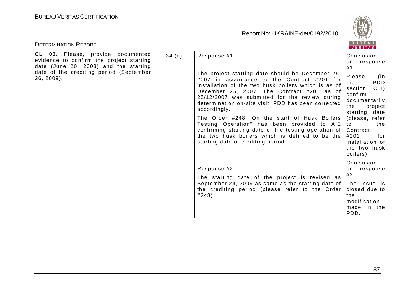

| <b>DETERMINATION REPORT</b>                                                                                            |       |                                                                                                                                                                                                                                                                                                                                                                               | BUREAU<br><b>VERITAS</b>                                                                                                             |                                                                                                                                                                                              |
|------------------------------------------------------------------------------------------------------------------------|-------|-------------------------------------------------------------------------------------------------------------------------------------------------------------------------------------------------------------------------------------------------------------------------------------------------------------------------------------------------------------------------------|--------------------------------------------------------------------------------------------------------------------------------------|----------------------------------------------------------------------------------------------------------------------------------------------------------------------------------------------|
| CL 03. Please, provide documented<br>evidence to confirm the project starting<br>date (June 20, 2008) and the starting | 34(a) | Response #1.                                                                                                                                                                                                                                                                                                                                                                  | Conclusion<br>response<br>on<br>#1.                                                                                                  |                                                                                                                                                                                              |
| date of the crediting period (September<br>$26, 2009$ ).                                                               |       | The project starting date should be December 25,<br>2007 in accordance to the Contract #201 for<br>installation of the two husk boilers which is as of<br>December 25, 2007. The Contract #201 as of<br>25/12/2007 was submitted for the review during<br>determination on-site visit. PDD has been corrected<br>accordingly.<br>The Order #248 "On the start of Husk Boilers | Please,<br>(in<br>PDD<br>the<br>C.1<br>section<br>confirm<br>documentarily<br>the<br>project  <br>starting<br>date<br>(please, refer |                                                                                                                                                                                              |
|                                                                                                                        |       |                                                                                                                                                                                                                                                                                                                                                                               |                                                                                                                                      | Testing Operation" has been provided to AIE<br>confirming starting date of the testing operation of<br>the two husk boilers which is defined to be the<br>starting date of crediting period. |
|                                                                                                                        |       | Response #2.                                                                                                                                                                                                                                                                                                                                                                  | Conclusion<br>response<br>on.                                                                                                        |                                                                                                                                                                                              |
|                                                                                                                        |       | The starting date of the project is revised as<br>September 24, 2009 as same as the starting date of                                                                                                                                                                                                                                                                          | #2.<br>The issue is                                                                                                                  |                                                                                                                                                                                              |
|                                                                                                                        |       | the crediting period (please refer to the Order<br>#248).                                                                                                                                                                                                                                                                                                                     | closed due to<br>the<br>modification<br>made in the<br>PDD.                                                                          |                                                                                                                                                                                              |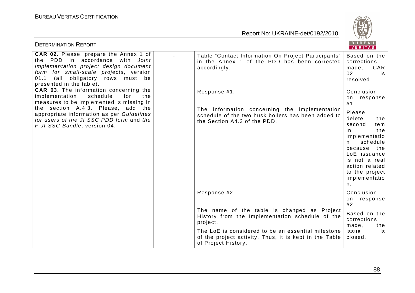

| <b>DETERMINATION REPORT</b>                                                                                                                                                                                                                                                                         |                                                                                                                                                     | BUREAU<br>VERITAS                                                                                                                                                                                                                          |
|-----------------------------------------------------------------------------------------------------------------------------------------------------------------------------------------------------------------------------------------------------------------------------------------------------|-----------------------------------------------------------------------------------------------------------------------------------------------------|--------------------------------------------------------------------------------------------------------------------------------------------------------------------------------------------------------------------------------------------|
| CAR 02. Please, prepare the Annex 1 of<br>the PDD in accordance with Joint<br>implementation project design document<br>form for small-scale projects, version<br>(all obligatory rows must be<br>01.1<br>presented in the table).                                                                  | Table "Contact Information On Project Participants"<br>in the Annex 1 of the PDD has been corrected<br>accordingly.                                 | Based on the<br>corrections<br>made,<br>CAR<br>02<br>is<br>resolved.                                                                                                                                                                       |
| CAR 03. The information concerning the<br>schedule<br>implementation<br>for<br>the<br>measures to be implemented is missing in<br>the section A.4.3. Please,<br>add<br>the<br>appropriate information as per Guidelines<br>for users of the JI SSC PDD form and the<br>F-JI-SSC-Bundle, version 04. | Response #1.<br>The information concerning the implementation<br>schedule of the two husk boilers has been added to<br>the Section A4.3 of the PDD. | Conclusion<br>on response<br>#1.<br>Please,<br>delete<br>the<br>second<br>item<br>the<br>in.<br>implementatio<br>schedule<br>n.<br>because the<br>LoE issuance<br>is not a real<br>action related<br>to the project<br>implementatio<br>n. |
|                                                                                                                                                                                                                                                                                                     | Response #2.                                                                                                                                        | Conclusion<br>on response<br>#2.                                                                                                                                                                                                           |
|                                                                                                                                                                                                                                                                                                     | The name of the table is changed as Project<br>History from the Implementation schedule of the<br>project.                                          | Based on the<br>corrections<br>made,<br>the                                                                                                                                                                                                |
|                                                                                                                                                                                                                                                                                                     | The LoE is considered to be an essential milestone<br>of the project activity. Thus, it is kept in the Table<br>of Project History.                 | issue<br>is<br>closed.                                                                                                                                                                                                                     |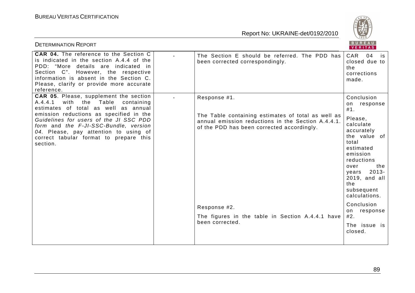

| <b>DETERMINATION REPORT</b>                                                                                                                                                                                                                                                                                                                            |                                                                                                                                                                        | <b>BUREAU</b><br>VERITAS                                                                                                                                                              |
|--------------------------------------------------------------------------------------------------------------------------------------------------------------------------------------------------------------------------------------------------------------------------------------------------------------------------------------------------------|------------------------------------------------------------------------------------------------------------------------------------------------------------------------|---------------------------------------------------------------------------------------------------------------------------------------------------------------------------------------|
| CAR 04. The reference to the Section C<br>is indicated in the section A.4.4 of the<br>PDD: "More details are indicated in<br>Section C". However, the respective<br>information is absent in the Section C.<br>Please, clarify or provide more accurate<br>reference.                                                                                  | The Section E should be referred. The PDD has<br>been corrected correspondingly.                                                                                       | <b>CAR</b><br>04<br>is<br>closed due to<br>the<br>corrections<br>made.                                                                                                                |
| CAR 05. Please, supplement the section<br>with the Table<br>A.4.4.1<br>containing<br>estimates of total as well as annual<br>emission reductions as specified in the<br>Guidelines for users of the JI SSC PDD<br>form and the F-JI-SSC-Bundle, version<br>04. Please, pay attention to using of<br>correct tabular format to prepare this<br>section. | Response #1.<br>The Table containing estimates of total as well as<br>annual emission reductions in the Section A.4.4.1.<br>of the PDD has been corrected accordingly. | Conclusion<br>on response<br>#1.<br>Please,<br>calculate<br>accurately<br>the value of<br>total<br>estimated<br>emission<br>reductions<br>the<br>over<br>years 2013-<br>2019, and all |
|                                                                                                                                                                                                                                                                                                                                                        |                                                                                                                                                                        | the<br>subsequent<br>calculations.                                                                                                                                                    |
|                                                                                                                                                                                                                                                                                                                                                        | Response #2.<br>The figures in the table in Section A.4.4.1 have                                                                                                       | Conclusion<br>response<br>on<br>#2.                                                                                                                                                   |
|                                                                                                                                                                                                                                                                                                                                                        | been corrected.                                                                                                                                                        | The issue is<br>closed.                                                                                                                                                               |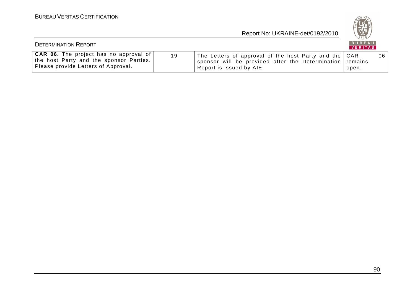

| <b>DETERMINATION REPORT</b>                                                                                                     |    |                                                                                                                                               | B U R E A U  <br>VERITAS |    |
|---------------------------------------------------------------------------------------------------------------------------------|----|-----------------------------------------------------------------------------------------------------------------------------------------------|--------------------------|----|
| <b>CAR 06.</b> The project has no approval of<br>the host Party and the sponsor Parties.<br>Please provide Letters of Approval. | 19 | The Letters of approval of the host Party and the CAR<br>sponsor will be provided after the Determination remains<br>Report is issued by AIE. | open.                    | 06 |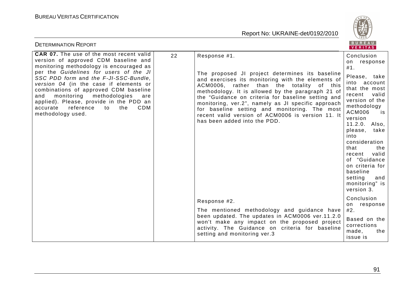

| <b>DETERMINATION REPORT</b>                                                                                                                                                                                                                                                                                                                                                                                                                                                  |                                                                                                                                                                                                                                                                                                                                                                                                                                                                          | BUREAU<br>VERITAS                                                                                                                                                                                                                                                                                                                                                |
|------------------------------------------------------------------------------------------------------------------------------------------------------------------------------------------------------------------------------------------------------------------------------------------------------------------------------------------------------------------------------------------------------------------------------------------------------------------------------|--------------------------------------------------------------------------------------------------------------------------------------------------------------------------------------------------------------------------------------------------------------------------------------------------------------------------------------------------------------------------------------------------------------------------------------------------------------------------|------------------------------------------------------------------------------------------------------------------------------------------------------------------------------------------------------------------------------------------------------------------------------------------------------------------------------------------------------------------|
| <b>CAR 07.</b> The use of the most recent valid<br>22<br>version of approved CDM baseline and<br>monitoring methodology is encouraged as<br>per the Guidelines for users of the JI<br>SSC PDD form and the F-JI-SSC-Bundle.<br>version 04 (in the case if elements or<br>combinations of approved CDM baseline<br>monitoring methodologies<br>and<br>are<br>applied). Please, provide in the PDD an<br>reference<br>the<br><b>CDM</b><br>accurate<br>to<br>methodology used. | Response #1.<br>The proposed JI project determines its baseline<br>and exercises its monitoring with the elements of<br>ACM0006, rather than the totality of this<br>methodology. It is allowed by the paragraph 21 of<br>the "Guidance on criteria for baseline setting and<br>monitoring, ver.2", namely as JI specific approach<br>for baseline setting and monitoring. The most<br>recent valid version of ACM0006 is version 11. It<br>has been added into the PDD. | Conclusion<br>response<br>on<br>#1.<br>Please, take<br>into account<br>that the most<br>recent<br>valid<br>version of the<br>methodology<br>ACM006<br>is<br>version<br>11.2.0. Also,<br>please, take<br>into<br>consideration<br>that<br>the<br>valid<br>recent<br>of "Guidance<br>on criteria for<br>baseline<br>setting<br>and<br>monitoring" is<br>version 3. |
|                                                                                                                                                                                                                                                                                                                                                                                                                                                                              | Response #2.                                                                                                                                                                                                                                                                                                                                                                                                                                                             | Conclusion<br>on response                                                                                                                                                                                                                                                                                                                                        |
|                                                                                                                                                                                                                                                                                                                                                                                                                                                                              | The mentioned methodology and guidance have<br>been updated. The updates in ACM0006 ver.11.2.0<br>won't make any impact on the proposed project<br>activity. The Guidance on criteria for baseline<br>setting and monitoring ver.3                                                                                                                                                                                                                                       | #2.<br>Based on the<br>corrections<br>made,<br>the<br>issue is                                                                                                                                                                                                                                                                                                   |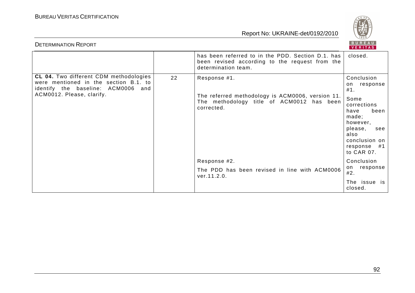**BUREAU** 

| <b>DETERMINATION REPORT</b>                                                                                                                               |    |                                                                                                                             | BUREAU<br>VERITAS                                                                                                                                                    |
|-----------------------------------------------------------------------------------------------------------------------------------------------------------|----|-----------------------------------------------------------------------------------------------------------------------------|----------------------------------------------------------------------------------------------------------------------------------------------------------------------|
|                                                                                                                                                           |    | has been referred to in the PDD. Section D.1. has<br>been revised according to the request from the<br>determination team.  | closed.                                                                                                                                                              |
| <b>CL 04.</b> Two different CDM methodologies<br>were mentioned in the section B.1. to<br>identify the baseline: ACM0006 and<br>ACM0012. Please, clarify. | 22 | Response #1.<br>The referred methodology is ACM0006, version 11.<br>The methodology title of ACM0012 has been<br>corrected. | Conclusion<br>on response<br>#1.<br>Some<br>corrections<br>been<br>have<br>made;<br>however,<br>please,<br>see<br>also<br>conclusion on<br>response #1<br>to CAR 07. |
|                                                                                                                                                           |    | Response #2.<br>The PDD has been revised in line with ACM0006<br>ver.11.2.0.                                                | Conclusion<br>response<br>on<br>#2.                                                                                                                                  |
|                                                                                                                                                           |    |                                                                                                                             | The issue is<br>closed.                                                                                                                                              |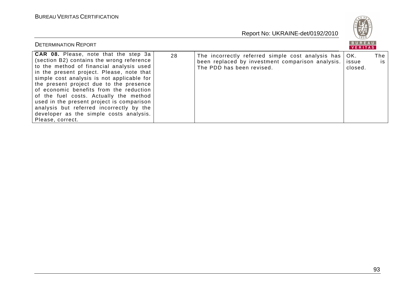

| <b>DETERMINATION REPORT</b>                                                                                                                                                                                                                                                                                                                                                                                                                                                                                              |    |                                                                                                                                    | <b>BUREAU</b><br>VERITAS |           |
|--------------------------------------------------------------------------------------------------------------------------------------------------------------------------------------------------------------------------------------------------------------------------------------------------------------------------------------------------------------------------------------------------------------------------------------------------------------------------------------------------------------------------|----|------------------------------------------------------------------------------------------------------------------------------------|--------------------------|-----------|
| <b>CAR 08.</b> Please, note that the step 3a<br>(section B2) contains the wrong reference<br>to the method of financial analysis used<br>in the present project. Please, note that<br>simple cost analysis is not applicable for<br>the present project due to the presence<br>of economic benefits from the reduction<br>of the fuel costs. Actually the method<br>used in the present project is comparison<br>analysis but referred incorrectly by the<br>developer as the simple costs analysis.<br>Please, correct. | 28 | The incorrectly referred simple cost analysis has<br>been replaced by investment comparison analysis.<br>The PDD has been revised. | OK.<br>issue<br>closed.  | The<br>is |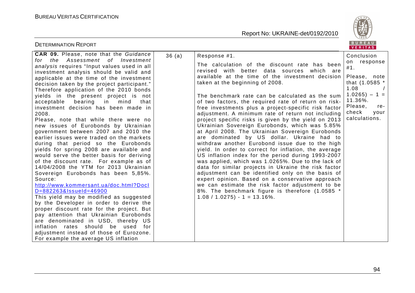

| <b>DETERMINATION REPORT</b>                                                                                                                                                                                                                                                                                                                                                                                                                                                                                                                                                                                                                                                                                                                                                                                                                                                                                                                                                                                                                                                                         |       |                                                                                                                                                                                                                                                                                                                                                                                                                                                                                                                                                                                                                                                                                                                                                                                                                                                                                                                                                                                                                                                                                                                                                                          | BUREAU<br>VERITAS                                                                                                                                                            |
|-----------------------------------------------------------------------------------------------------------------------------------------------------------------------------------------------------------------------------------------------------------------------------------------------------------------------------------------------------------------------------------------------------------------------------------------------------------------------------------------------------------------------------------------------------------------------------------------------------------------------------------------------------------------------------------------------------------------------------------------------------------------------------------------------------------------------------------------------------------------------------------------------------------------------------------------------------------------------------------------------------------------------------------------------------------------------------------------------------|-------|--------------------------------------------------------------------------------------------------------------------------------------------------------------------------------------------------------------------------------------------------------------------------------------------------------------------------------------------------------------------------------------------------------------------------------------------------------------------------------------------------------------------------------------------------------------------------------------------------------------------------------------------------------------------------------------------------------------------------------------------------------------------------------------------------------------------------------------------------------------------------------------------------------------------------------------------------------------------------------------------------------------------------------------------------------------------------------------------------------------------------------------------------------------------------|------------------------------------------------------------------------------------------------------------------------------------------------------------------------------|
| <b>CAR 09.</b> Please, note that the Guidance<br>for the Assessment of Investment<br>analysis requires "Input values used in all<br>investment analysis should be valid and<br>applicable at the time of the investment<br>decision taken by the project participant."<br>Therefore application of the 2010 bonds<br>yields in the present project is not<br>acceptable bearing in mind<br>that<br>investment decision has been made in<br>2008.<br>Please, note that while there were no<br>new issues of Eurobonds by Ukrainian<br>government between 2007 and 2010 the<br>earlier issues were traded on the markets<br>during that period so the Eurobonds<br>yields for spring 2008 are available and<br>would serve the better basis for deriving<br>of the discount rate. For example as of<br>14/04/2008 the YTM for 2013 Ukrainian<br>Sovereign Eurobonds has been 5,85%.<br>Source:<br>http://www.kommersant.ua/doc.html?Docl<br>D=882263&IssueId=46900<br>This yield may be modified as suggested<br>by the Developer in order to derive the<br>proper discount rate for the project. But | 36(a) | Response #1.<br>The calculation of the discount rate has been<br>revised with better data sources which are<br>available at the time of the investment decision<br>taken at the beginning of 2008.<br>The benchmark rate can be calculated as the sum<br>of two factors, the required rate of return on risk-<br>free investments plus a project-specific risk factor<br>adjustment. A minimum rate of return not including<br>project specific risks is given by the yield on 2013<br>Ukrainian Sovereign Eurobonds, which was 5.85%<br>at April 2008. The Ukrainian Sovereign Eurobonds<br>are dominated by US dollar. Ukraine had to<br>withdraw another Eurobond issue due to the high<br>yield. In order to correct for inflation, the average<br>US inflation index for the period during 1993-2007<br>was applied, which was 1.0265%. Due to the lack of<br>data for similar projects in Ukraine the risk factor<br>adjustment can be identified only on the basis of<br>expert opinion. Based on a conservative approach<br>we can estimate the risk factor adjustment to be<br>8%. The benchmark figure is therefore (1.0585 *<br>$1.08 / 1.0275$ - 1 = 13.16%. | Conclusion<br>response<br>on<br>#1.<br>Please, note<br>that (1.0585 *<br>1.08<br>$\sqrt{2}$<br>$1.0265 - 1 =$<br>11.36%.<br>Please,<br>re-<br>check<br>your<br>calculations. |
| pay attention that Ukrainian Eurobonds<br>are denominated in USD, thereby US<br>inflation rates should be used for<br>adjustment instead of those of Eurozone.<br>For example the average US inflation                                                                                                                                                                                                                                                                                                                                                                                                                                                                                                                                                                                                                                                                                                                                                                                                                                                                                              |       |                                                                                                                                                                                                                                                                                                                                                                                                                                                                                                                                                                                                                                                                                                                                                                                                                                                                                                                                                                                                                                                                                                                                                                          |                                                                                                                                                                              |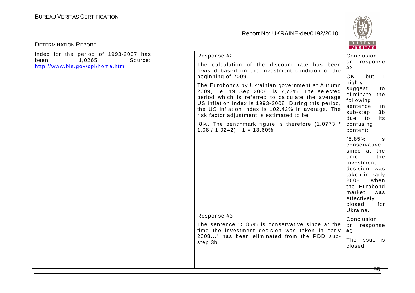

| <b>DETERMINATION REPORT</b>                                                                            |                                                                                                                                                                                                                                                                                                                                                                                                        | BUREAU<br><b>VERITAS</b>                                                                                                                                                                                                                                                   |
|--------------------------------------------------------------------------------------------------------|--------------------------------------------------------------------------------------------------------------------------------------------------------------------------------------------------------------------------------------------------------------------------------------------------------------------------------------------------------------------------------------------------------|----------------------------------------------------------------------------------------------------------------------------------------------------------------------------------------------------------------------------------------------------------------------------|
| index for the period of 1993-2007 has<br>1,0265.<br>been<br>Source:<br>http://www.bls.gov/cpi/home.htm | Response #2.                                                                                                                                                                                                                                                                                                                                                                                           | Conclusion<br>response<br>on<br>#2.<br>OK,<br>but<br>$\mathbf{I}$                                                                                                                                                                                                          |
|                                                                                                        | The calculation of the discount rate has been<br>revised based on the investment condition of the<br>beginning of 2009.                                                                                                                                                                                                                                                                                |                                                                                                                                                                                                                                                                            |
|                                                                                                        | The Eurobonds by Ukrainian government at Autumn<br>2009, i.e. 19 Sep 2008, is 7,73%. The selected<br>period which is referred to calculate the average<br>US inflation index is 1993-2008. During this period,<br>the US inflation index is 102.42% in average. The<br>risk factor adjustment is estimated to be<br>8%. The benchmark figure is therefore (1.0773 *<br>$1.08 / 1.0242$ ) - 1 = 13.60%. | highly<br>suggest<br>to<br>eliminate the<br>following<br>sentence<br>in<br>3 <sub>b</sub><br>sub-step<br>due to<br>its<br>confusing<br>content:                                                                                                                            |
|                                                                                                        | Response #3.<br>The sentence "5.85% is conservative since at the<br>time the investment decision was taken in early<br>2008" has been eliminated from the PDD sub-<br>step 3b.                                                                                                                                                                                                                         | $"5.85\%$<br>is<br>conservative<br>since at the<br>time<br>the<br>investment<br>decision was<br>taken in early<br>2008<br>when<br>the Eurobond<br>market<br>was<br>effectively<br>closed<br>for<br>Ukraine.<br>Conclusion<br>on response<br>#3.<br>The issue is<br>closed. |
|                                                                                                        |                                                                                                                                                                                                                                                                                                                                                                                                        |                                                                                                                                                                                                                                                                            |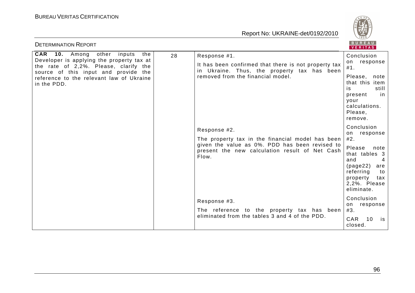

| <b>DETERMINATION REPORT</b>                                                                                                                                                                                                          |    |                                                                                                                                          | BUREAU<br>VERITAS                                                                                                                  |
|--------------------------------------------------------------------------------------------------------------------------------------------------------------------------------------------------------------------------------------|----|------------------------------------------------------------------------------------------------------------------------------------------|------------------------------------------------------------------------------------------------------------------------------------|
| <b>CAR</b> 10. Among other<br>inputs<br>the<br>Developer is applying the property tax at<br>the rate of 2,2%. Please, clarify the<br>source of this input and provide the<br>reference to the relevant law of Ukraine<br>in the PDD. | 28 | Response #1.                                                                                                                             | Conclusion                                                                                                                         |
|                                                                                                                                                                                                                                      |    | It has been confirmed that there is not property tax<br>in Ukraine. Thus, the property tax has been<br>removed from the financial model. | on response<br>#1.                                                                                                                 |
|                                                                                                                                                                                                                                      |    |                                                                                                                                          | Please,<br>note<br>that this<br>item<br>is<br>still<br>present<br>in<br>your<br>calculations.<br>Please,<br>remove.                |
|                                                                                                                                                                                                                                      |    | Response #2.<br>The property tax in the financial model has been                                                                         | Conclusion<br>on response<br>#2.                                                                                                   |
|                                                                                                                                                                                                                                      |    | given the value as 0%. PDD has been revised to<br>present the new calculation result of Net Cash<br>Flow.                                | Please<br>note<br>that tables 3<br>and<br>4<br>(page22)<br>are<br>referring<br>to<br>property<br>tax<br>2,2%. Please<br>eliminate. |
|                                                                                                                                                                                                                                      |    | Response #3.<br>The reference to the property tax has been                                                                               | Conclusion<br>on response<br>#3.                                                                                                   |
|                                                                                                                                                                                                                                      |    | eliminated from the tables 3 and 4 of the PDD.                                                                                           | <b>CAR</b><br>10<br>is<br>closed.                                                                                                  |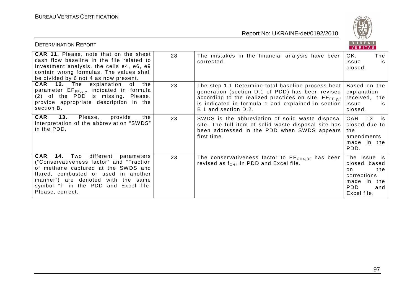

| <b>DETERMINATION REPORT</b>                                                                                                                                                                                                                                                     |    |                                                                                                                                                                                                                                                | BUREAU<br><b>VERITAS</b>                                                                                     |
|---------------------------------------------------------------------------------------------------------------------------------------------------------------------------------------------------------------------------------------------------------------------------------|----|------------------------------------------------------------------------------------------------------------------------------------------------------------------------------------------------------------------------------------------------|--------------------------------------------------------------------------------------------------------------|
| <b>CAR 11.</b> Please, note that on the sheet<br>cash flow baseline in the file related to<br>Investment analysis, the cells e4, e6, e9<br>contain wrong formulas. The values shall<br>be divided by 6 not 4 as now present.                                                    | 28 | The mistakes in the financial analysis have been<br>corrected.                                                                                                                                                                                 | OK.<br>The<br>issue<br>is<br>closed.                                                                         |
| <b>CAR</b> 12. The explanation of the<br>parameter $EF_{FF,y,y}$ indicated in formula<br>(2) of the PDD is missing. Please,<br>provide appropriate description in the<br>section B.                                                                                             | 23 | The step 1.1 Determine total baseline process heat<br>generation (section D.1 of PDD) has been revised<br>according to the realized practices on site. EFFF, y,f<br>is indicated in formula 1 and explained in section<br>B.1 and section D.2. | Based on the<br>explanation<br>received, the<br>issue<br>is.<br>closed.                                      |
| CAR<br>13.<br>Please,<br>provide<br>the<br>interpretation of the abbreviation "SWDS"<br>in the PDD.                                                                                                                                                                             | 23 | SWDS is the abbreviation of solid waste disposal<br>site. The full item of solid waste disposal site has<br>been addressed in the PDD when SWDS appears<br>first time.                                                                         | CAR<br>13<br>is<br>closed due to<br>the<br>amendments<br>made in the<br>PDD.                                 |
| <b>CAR</b><br><b>14.</b> Two different parameters<br>("Conservativeness factor" and "Fraction<br>of methane captured at the SWDS and<br>flared, combusted or used in another<br>manner") are denoted with the same<br>symbol "f" in the PDD and Excel file.<br>Please, correct. | 23 | The conservativeness factor to $EFCH4,BF$ has been<br>revised as $f_{CH4}$ in PDD and Excel file.                                                                                                                                              | The issue is<br>closed based<br>the<br>on.<br>corrections<br>made in the<br><b>PDD</b><br>and<br>Excel file. |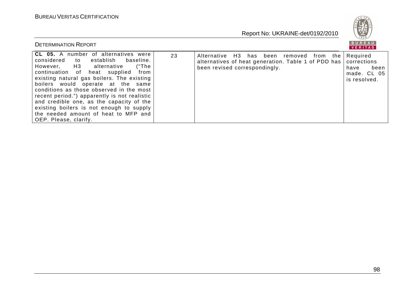

| <b>DETERMINATION REPORT</b>                                                                                                                                                                                                                                                                                                                                                                                                                                                                                |    |                                                                                                                                  | BUREAU<br>VERITAS                                                      |
|------------------------------------------------------------------------------------------------------------------------------------------------------------------------------------------------------------------------------------------------------------------------------------------------------------------------------------------------------------------------------------------------------------------------------------------------------------------------------------------------------------|----|----------------------------------------------------------------------------------------------------------------------------------|------------------------------------------------------------------------|
| CL 05. A number of alternatives were<br>considered<br>establish<br>baseline.<br>to to<br>However, H3 alternative<br>("The<br>continuation of heat supplied<br>from<br>existing natural gas boilers. The existing<br>boilers would operate at the same<br>conditions as those observed in the most<br>recent period.") apparently is not realistic<br>and credible one, as the capacity of the<br>existing boilers is not enough to supply<br>the needed amount of heat to MFP and<br>OEP. Please, clarify. | 23 | Alternative H3 has been removed from the<br>alternatives of heat generation. Table 1 of PDD has<br>been revised correspondingly. | Required<br>corrections<br>been<br>have<br>made. CL 05<br>is resolved. |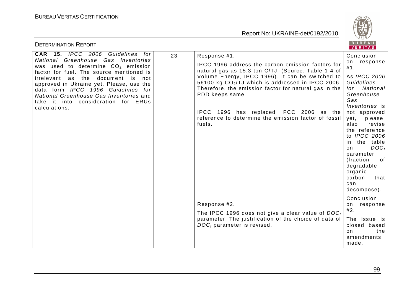

| <b>DETERMINATION REPORT</b>                                                                                                                                                                                                                                                                                                                                                                    |                                                                                                                                                                                                                                                                                                                                                                                                                             | BUREAU<br>VERITAS                                                                                                                                                                                                                                                                                                                                                              |
|------------------------------------------------------------------------------------------------------------------------------------------------------------------------------------------------------------------------------------------------------------------------------------------------------------------------------------------------------------------------------------------------|-----------------------------------------------------------------------------------------------------------------------------------------------------------------------------------------------------------------------------------------------------------------------------------------------------------------------------------------------------------------------------------------------------------------------------|--------------------------------------------------------------------------------------------------------------------------------------------------------------------------------------------------------------------------------------------------------------------------------------------------------------------------------------------------------------------------------|
| CAR 15. IPCC 2006 Guidelines for<br>23<br>National Greenhouse Gas Inventories<br>was used to determine $CO2$ emission<br>factor for fuel. The source mentioned is<br>irrelevant as the<br>document is not<br>approved in Ukraine yet. Please, use the<br>data form IPCC 1996 Guidelines for<br>National Greenhouse Gas Inventories and<br>take it into consideration for ERUs<br>calculations. | Response #1.<br>IPCC 1996 address the carbon emission factors for<br>natural gas as 15.3 ton C/TJ. (Source: Table 1-4 of<br>Volume Energy, IPCC 1996). It can be switched to<br>56100 kg $CO2/TJ$ which is addressed in IPCC 2006.<br>Therefore, the emission factor for natural gas in the<br>PDD keeps same.<br>IPCC 1996 has replaced IPCC 2006 as the<br>reference to determine the emission factor of fossil<br>fuels. | Conclusion<br>response<br>on<br>#1.<br>As <i>IPCC</i> 2006<br>Guidelines<br>National<br>for<br>Greenhouse<br>Gas<br><i>Inventories</i> is<br>not approved<br>yet,<br>please,<br>also<br>revise<br>the reference<br>to <i>IPCC</i> 2006<br>the table<br>in<br>$DOC_{f}$<br>on<br>parameter<br>(fraction)<br>of<br>degradable<br>organic<br>carbon<br>that<br>can<br>decompose). |
|                                                                                                                                                                                                                                                                                                                                                                                                | Response #2.<br>The IPCC 1996 does not give a clear value of $DOC_{f}$<br>parameter. The justification of the choice of data of<br>$DOCf$ parameter is revised.                                                                                                                                                                                                                                                             | Conclusion<br>response<br>on<br>#2.<br>The issue is<br>closed based<br>the<br>on.<br>amendments<br>made.                                                                                                                                                                                                                                                                       |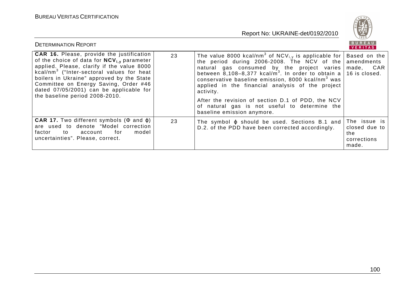

| <b>DETERMINATION REPORT</b>                                                                                                                                                                                                                                                                                                                                                   |    |                                                                                                                                                                                                                                                                                                                                                                                                                                                                                                                                      | BUREAU<br>VERITAS                                            |
|-------------------------------------------------------------------------------------------------------------------------------------------------------------------------------------------------------------------------------------------------------------------------------------------------------------------------------------------------------------------------------|----|--------------------------------------------------------------------------------------------------------------------------------------------------------------------------------------------------------------------------------------------------------------------------------------------------------------------------------------------------------------------------------------------------------------------------------------------------------------------------------------------------------------------------------------|--------------------------------------------------------------|
| <b>CAR 16.</b> Please, provide the justification<br>of the choice of data for $NCV_{i,v}$ parameter<br>applied. Please, clarify if the value 8000<br>kcal/nm <sup>3</sup> ("Inter-sectoral values for heat<br>boilers in Ukraine" approved by the State<br>Committee on Energy Saving, Order #46<br>dated 07/05/2001) can be applicable for<br>the baseline period 2008-2010. | 23 | The value 8000 kcal/nm <sup>3</sup> of NCV <sub>i,y</sub> is applicable for<br>the period during 2006-2008. The NCV of the<br>natural gas consumed by the project varies made,<br>between 8,108-8,377 kcal/m <sup>3</sup> . In order to obtain a 16 is closed.<br>conservative baseline emission, 8000 kcal/nm <sup>3</sup> was<br>applied in the financial analysis of the project<br>activity.<br>After the revision of section D.1 of PDD, the NCV<br>of natural gas is not useful to determine the<br>baseline emission anymore. | Based on the<br>amendments<br>CAR                            |
| <b>CAR 17.</b> Two different symbols $(\Phi$ and $\varphi)$<br>are used to denote "Model correction<br>model<br>factor to<br>for<br>account<br>uncertainties". Please, correct.                                                                                                                                                                                               | 23 | The symbol $\varphi$ should be used. Sections B.1 and<br>D.2. of the PDD have been corrected accordingly.                                                                                                                                                                                                                                                                                                                                                                                                                            | The issue is<br>closed due to<br>the<br>corrections<br>made. |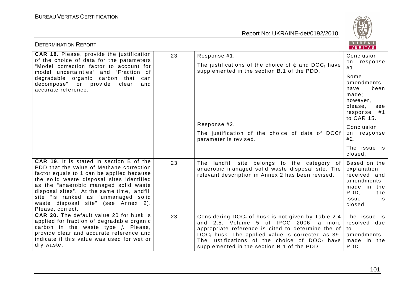

| <b>DETERMINATION REPORT</b>                                                                                                                                                                                                                                                                                                                                              |    |                                                                                                                                                                                                                                                                                                                           | <b>BUREAU</b><br>VERITAS                                                                                          |
|--------------------------------------------------------------------------------------------------------------------------------------------------------------------------------------------------------------------------------------------------------------------------------------------------------------------------------------------------------------------------|----|---------------------------------------------------------------------------------------------------------------------------------------------------------------------------------------------------------------------------------------------------------------------------------------------------------------------------|-------------------------------------------------------------------------------------------------------------------|
| <b>CAR 18.</b> Please, provide the justification                                                                                                                                                                                                                                                                                                                         | 23 | Response #1.                                                                                                                                                                                                                                                                                                              | Conclusion                                                                                                        |
| of the choice of data for the parameters<br>"Model correction factor to account for<br>model uncertainties" and "Fraction of                                                                                                                                                                                                                                             |    | The justifications of the choice of $\varphi$ and DOC <sub>f</sub> have<br>supplemented in the section B.1 of the PDD.                                                                                                                                                                                                    | response<br>on<br>#1.                                                                                             |
| degradable organic carbon that<br>can<br>decompose" or provide<br>clear<br>and<br>accurate reference.                                                                                                                                                                                                                                                                    |    |                                                                                                                                                                                                                                                                                                                           | Some<br>amendments<br>have<br>been<br>made;<br>however,<br>please,<br>see<br>response #1<br>to CAR 15.            |
|                                                                                                                                                                                                                                                                                                                                                                          |    | Response #2.                                                                                                                                                                                                                                                                                                              | Conclusion                                                                                                        |
|                                                                                                                                                                                                                                                                                                                                                                          |    | The justification of the choice of data of DOCf<br>parameter is revised.                                                                                                                                                                                                                                                  | on response<br>#2.                                                                                                |
|                                                                                                                                                                                                                                                                                                                                                                          |    |                                                                                                                                                                                                                                                                                                                           | The issue is<br>closed.                                                                                           |
| CAR 19. It is stated in section B of the<br>PDD that the value of Methane correction<br>factor equals to 1 can be applied because<br>the solid waste disposal sites identified<br>as the "anaerobic managed solid waste<br>disposal sites". At the same time, landfill<br>site "is ranked as "unmanaged solid<br>waste disposal site" (see Annex 2).<br>Please, correct. | 23 | The landfill site belongs to the category of<br>anaerobic managed solid waste disposal site. The<br>relevant description in Annex 2 has been revised.                                                                                                                                                                     | Based on the<br>explanation<br>received and<br>amendments<br>made in the<br>PDD.<br>the<br>issue<br>is<br>closed. |
| <b>CAR 20.</b> The default value 20 for husk is<br>applied for fraction of degradable organic<br>carbon in the waste type <i>j</i> . Please,<br>provide clear and accurate reference and<br>indicate if this value was used for wet or<br>dry waste.                                                                                                                     | 23 | Considering DOC <sub>f</sub> of husk is not given by Table 2.4<br>and 2.5, Volume 5 of IPCC 2006, a more<br>appropriate reference is cited to determine the of<br>$DOCf$ husk. The applied value is corrected as 39.<br>The justifications of the choice of $DOC_{f}$ have<br>supplemented in the section B.1 of the PDD. | The issue is<br>resolved due<br>to<br>amendments<br>made in the<br>PDD.                                           |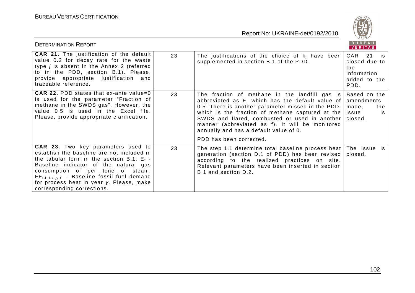

| <b>DETERMINATION REPORT</b>                                                                                                                                                                                                                                                                                                                       |    |                                                                                                                                                                                                                                                                                                                                                                                       | BUREAU<br>VERITAS                                                           |
|---------------------------------------------------------------------------------------------------------------------------------------------------------------------------------------------------------------------------------------------------------------------------------------------------------------------------------------------------|----|---------------------------------------------------------------------------------------------------------------------------------------------------------------------------------------------------------------------------------------------------------------------------------------------------------------------------------------------------------------------------------------|-----------------------------------------------------------------------------|
| <b>CAR 21.</b> The justification of the default<br>value 0.2 for decay rate for the waste<br>type <i>j</i> is absent in the Annex 2 (referred<br>to in the PDD, section B.1). Please,<br>provide appropriate justification and<br>traceable reference.                                                                                            | 23 | The justifications of the choice of $k_i$ have been<br>supplemented in section B.1 of the PDD.                                                                                                                                                                                                                                                                                        | CAR 21<br>is<br>closed due to<br>the<br>information<br>added to the<br>PDD. |
| <b>CAR 22. PDD states that ex-ante value=0</b><br>is used for the parameter "Fraction of<br>methane in the SWDS gas". However, the<br>value 0.5 is used in the Excel file.<br>Please, provide appropriate clarification.                                                                                                                          | 23 | The fraction of methane in the landfill gas is<br>abbreviated as F, which has the default value of<br>0.5. There is another parameter missed in the PDD,<br>which is the fraction of methane captured at the<br>SWDS and flared, combusted or used in another<br>manner (abbreviated as f). It will be monitored<br>annually and has a default value of 0.<br>PDD has been corrected. | Based on the<br>amendments<br>made,<br>the<br>issue<br>is<br>closed.        |
| <b>CAR 23.</b> Two key parameters used to<br>establish the baseline are not included in<br>the tabular form in the section B.1: $E_f$ -<br>Baseline indicator of the natural gas<br>consumption of per tone of steam;<br>$FF_{BL,HG,y,f}$ - Baseline fossil fuel demand<br>for process heat in year y. Please, make<br>corresponding corrections. | 23 | The step 1.1 determine total baseline process heat<br>generation (section D.1 of PDD) has been revised<br>according to the realized practices on site.<br>Relevant parameters have been inserted in section<br>B.1 and section D.2.                                                                                                                                                   | The issue is<br>closed.                                                     |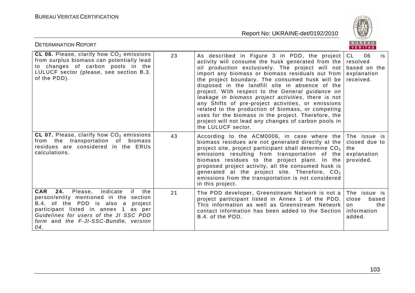

| <b>DETERMINATION REPORT</b>                                                                                                                                                                                                                                               |    |                                                                                                                                                                                                                                                                                                                                                                                                                                                                                                                                                                                                                                                                               | BUREAU<br>VERITAS                                                      |
|---------------------------------------------------------------------------------------------------------------------------------------------------------------------------------------------------------------------------------------------------------------------------|----|-------------------------------------------------------------------------------------------------------------------------------------------------------------------------------------------------------------------------------------------------------------------------------------------------------------------------------------------------------------------------------------------------------------------------------------------------------------------------------------------------------------------------------------------------------------------------------------------------------------------------------------------------------------------------------|------------------------------------------------------------------------|
| CL 06. Please, clarify how $CO2$ emissions<br>from surplus biomass can potentially lead<br>to changes of carbon pools in the<br>LULUCF sector (please, see section B.3.<br>of the PDD).                                                                                   | 23 | As described in Figure 3 in PDD, the project<br>activity will consume the husk generated from the  <br>oil production exclusively. The project will not<br>import any biomass or biomass residuals out from<br>the project boundary. The consumed husk will be<br>disposed in the landfill site in absence of the<br>project. With respect to the General guidance on<br>leakage in biomass project activities, there is not<br>any Shifts of pre-project activities, or emissions<br>related to the production of biomass, or competing<br>uses for the biomass in the project. Therefore, the<br>project will not lead any changes of carbon pools in<br>the LULUCF sector. | CL<br>06<br>is<br>resolved<br>based on the<br>explanation<br>received. |
| CL 07. Please, clarify how $CO2$ emissions<br>from the transportation of biomass<br>residues are considered in the ERUs<br>calculations.                                                                                                                                  | 43 | According to the $ACMOOO6$ , in case where the The issue is<br>biomass residues are not generated directly at the<br>project site, project participant shall determine CO <sub>2</sub><br>emissions resulting from transportation of the<br>biomass residues to the project plant. In the<br>proposed project activity, all the consumed husk is<br>generated at the project site. Therefore, $CO2$<br>emissions from the transportation is not considered<br>in this project.                                                                                                                                                                                                | closed due to<br>the<br>explanation<br>provided.                       |
| Please,<br><b>CAR</b><br>24.<br>indicate<br>if<br>the<br>person/entity mentioned in the section<br>B.4. of the PDD is also a<br>project<br>participant listed in annex 1 as per<br>Guidelines for users of the JI SSC PDD<br>form and the F-JI-SSC-Bundle, version<br>04. | 21 | The PDD developer, Greenstream Network is not a<br>project participant listed in Annex 1 of the PDD.<br>This information as well as Greenstream Network<br>contact information has been added to the Section<br>B.4. of the PDD.                                                                                                                                                                                                                                                                                                                                                                                                                                              | The issue is<br>based<br>close<br>on<br>the<br>information<br>added.   |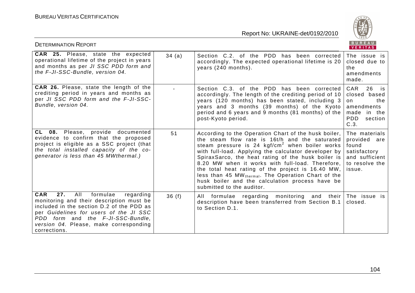

| <b>DETERMINATION REPORT</b>                                                                                                                                                                                                                                                         |       |                                                                                                                                                                                                                                                                                                                                                                                                                                                                                                                                      | B U K E A U  <br>VERITAS                                                                                |
|-------------------------------------------------------------------------------------------------------------------------------------------------------------------------------------------------------------------------------------------------------------------------------------|-------|--------------------------------------------------------------------------------------------------------------------------------------------------------------------------------------------------------------------------------------------------------------------------------------------------------------------------------------------------------------------------------------------------------------------------------------------------------------------------------------------------------------------------------------|---------------------------------------------------------------------------------------------------------|
| <b>CAR 25.</b> Please, state the expected<br>operational lifetime of the project in years<br>and months as per JI SSC PDD form and<br>the F-JI-SSC-Bundle, version 04.                                                                                                              | 34(a) | Section C.2. of the PDD has been corrected<br>accordingly. The expected operational lifetime is 20<br>years (240 months).                                                                                                                                                                                                                                                                                                                                                                                                            | The issue is<br>closed due to<br>the<br>amendments<br>made.                                             |
| <b>CAR 26.</b> Please, state the length of the<br>crediting period in years and months as<br>per JI SSC PDD form and the F-JI-SSC-<br>Bundle, version 04.                                                                                                                           |       | Section C.3. of the PDD has been corrected<br>accordingly. The length of the crediting period of 10<br>years (120 months) has been stated, including 3<br>years and 3 months (39 months) of the Kyoto<br>period and 6 years and 9 months (81 months) of the<br>post-Kyoto period.                                                                                                                                                                                                                                                    | CAR<br>$26$ is<br>closed based<br>on<br>the<br>amendments<br>made in the<br>PDD<br>section<br>C.3.      |
| CL 08. Please, provide documented<br>evidence to confirm that the proposed<br>project is eligible as a SSC project (that<br>the total installed capacity of the co-<br>generator is less than 45 MWthermal.)                                                                        | 51    | According to the Operation Chart of the husk boiler,<br>the steam flow rate is 16t/h and the saturated<br>steam pressure is 24 $kgf/cm2$ when boiler works<br>with full-load. Applying the calculator developer by<br>SpiraxSarco, the heat rating of the husk boiler is<br>8.20 MW when it works with full-load. Therefore,<br>the total heat rating of the project is 16.40 MW,<br>less than 45 MW <sub>thermal</sub> . The Operation Chart of the<br>husk boiler and the calculation process have be<br>submitted to the auditor. | The materials<br>provided<br>are<br>found<br>satisfactory<br>and sufficient<br>to resolve the<br>issue. |
| <b>CAR</b><br>27.<br>All<br>formulae<br>regarding<br>monitoring and their description must be<br>included in the section D.2 of the PDD as<br>per Guidelines for users of the JI SSC<br>PDD form and the F-JI-SSC-Bundle,<br>version 04. Please, make corresponding<br>corrections. | 36(f) | All formulae regarding monitoring and their<br>description have been transferred from Section B.1<br>to Section D.1.                                                                                                                                                                                                                                                                                                                                                                                                                 | The issue is<br>closed.                                                                                 |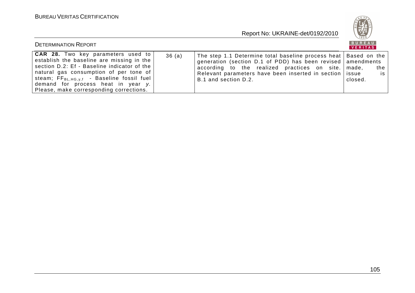

| <b>DETERMINATION REPORT</b>                                                                                                                                                                                                                                                                                        |       |                                                                                                                                                                                                                                                                                 | BUREAU<br>VERITAS    |
|--------------------------------------------------------------------------------------------------------------------------------------------------------------------------------------------------------------------------------------------------------------------------------------------------------------------|-------|---------------------------------------------------------------------------------------------------------------------------------------------------------------------------------------------------------------------------------------------------------------------------------|----------------------|
| <b>CAR 28.</b> Two key parameters used to<br>establish the baseline are missing in the<br>section D.2: Ef - Baseline indicator of the<br>natural gas consumption of per tone of<br>steam; $FF_{BL,HG,y,f}$ - Baseline fossil fuel<br>demand for process heat in year y.<br>Please, make corresponding corrections. | 36(a) | The step 1.1 Determine total baseline process heat   Based on the<br>generation (section D.1 of PDD) has been revised   amendments<br>according to the realized practices on site.   made,<br>Relevant parameters have been inserted in section   issue<br>B.1 and section D.2. | the<br>is<br>closed. |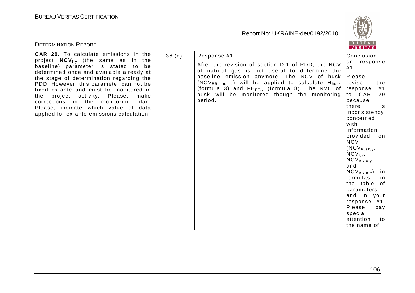

| <b>DETERMINATION REPORT</b>                                                                                                                                                                                                                                                                                                                                                                                                                                                                |       |                                                                                                                                                                                                                                                                                                                                                  | BUREAU<br><b>VERITAS</b>                                                                                                                                                                                                                                                                                                                                                                                                                                 |
|--------------------------------------------------------------------------------------------------------------------------------------------------------------------------------------------------------------------------------------------------------------------------------------------------------------------------------------------------------------------------------------------------------------------------------------------------------------------------------------------|-------|--------------------------------------------------------------------------------------------------------------------------------------------------------------------------------------------------------------------------------------------------------------------------------------------------------------------------------------------------|----------------------------------------------------------------------------------------------------------------------------------------------------------------------------------------------------------------------------------------------------------------------------------------------------------------------------------------------------------------------------------------------------------------------------------------------------------|
| <b>CAR 29.</b> To calculate emissions in the<br>project $NCV_{i,y}$ (the same as in the<br>baseline) parameter is stated to<br>be<br>determined once and available already at<br>the stage of determination regarding the<br>PDD. However, this parameter can not be<br>fixed ex-ante and must be monitored in<br>the<br>project activity. Please,<br>make<br>corrections in the monitoring<br>plan.<br>Please, indicate which value of data<br>applied for ex-ante emissions calculation. | 36(d) | Response #1.<br>After the revision of section D.1 of PDD, the NCV<br>of natural gas is not useful to determine the<br>baseline emission anymore. The NCV of husk<br>$(NCV_{BR, n, e})$ will be applied to calculate $H_{husk}$<br>(formula 3) and $PE_{FF,y}$ (formula 8). The NVC of<br>husk will be monitored though the monitoring<br>period. | Conclusion<br>on response<br>#1.<br>Please,<br>revise<br>the<br>#1<br>response<br>to CAR<br>29<br>because<br>there<br>is<br>inconsistency<br>concerned<br>with<br>information<br>provided<br>on<br><b>NCV</b><br>$(NCV_{\text{husk},y},$<br>$NCV_{i,y}$<br>$NCV_{BR,n,y}$<br>and<br>$NCV_{BR,n,e}$<br>in<br>formulas,<br>in<br>the table of<br>parameters,<br>and in your<br>response #1.<br>Please,<br>pay<br>special<br>attention<br>to<br>the name of |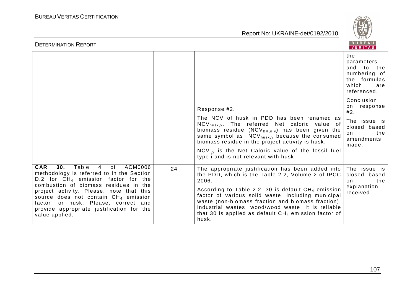

| <b>DETERMINATION REPORT</b>                                                                                                                                                                                                                                                                                                                                                                 |    |                                                                                                                                                                                                                                                                                                                                                                                                               | BUREAU<br>VERITAS                                                                                     |
|---------------------------------------------------------------------------------------------------------------------------------------------------------------------------------------------------------------------------------------------------------------------------------------------------------------------------------------------------------------------------------------------|----|---------------------------------------------------------------------------------------------------------------------------------------------------------------------------------------------------------------------------------------------------------------------------------------------------------------------------------------------------------------------------------------------------------------|-------------------------------------------------------------------------------------------------------|
|                                                                                                                                                                                                                                                                                                                                                                                             |    |                                                                                                                                                                                                                                                                                                                                                                                                               | the<br>parameters<br>to<br>and<br>the<br>numbering of<br>the formulas<br>which<br>are<br>referenced.  |
|                                                                                                                                                                                                                                                                                                                                                                                             |    | Response #2.<br>The NCV of husk in PDD has been renamed as<br>NCV <sub>husk, y</sub> . The referred Net caloric value of<br>biomass residue ( $NCV_{BR,n,y}$ ) has been given the<br>same symbol as $NCV_{husk,y}$ because the consumed<br>biomass residue in the project activity is husk.<br>$NCV_{i,y}$ is the Net Caloric value of the fossil fuel<br>type i and is not relevant with husk.               | Conclusion<br>on response<br>#2.<br>The issue is<br>closed based<br>the<br>on.<br>amendments<br>made. |
| <b>CAR</b><br>Table<br>$\overline{4}$<br>30.<br>of<br>ACM0006<br>methodology is referred to in the Section<br>D.2 for $CH_4$ emission factor for the<br>combustion of biomass residues in the<br>project activity. Please, note that this<br>source does not contain $CH_4$ emission<br>factor for husk. Please, correct and<br>provide appropriate justification for the<br>value applied. | 24 | The appropriate justification has been added into<br>the PDD, which is the Table 2.2, Volume 2 of IPCC<br>2006.<br>According to Table 2.2, 30 is default $CH_4$ emission<br>factor of various solid waste, including municipal<br>waste (non-biomass fraction and biomass fraction),<br>industrial wastes, wood/wood waste. It is reliable<br>that 30 is applied as default $CH4$ emission factor of<br>husk. | The issue is<br>closed based<br>the<br>on<br>explanation<br>received.                                 |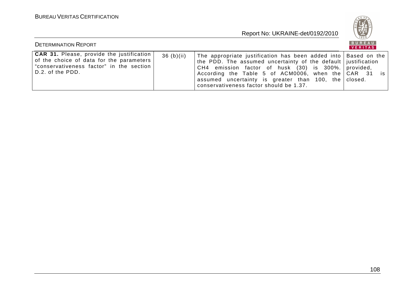

| <b>DETERMINATION REPORT</b>                                                                                                                                    |           |                                                                                                                                                                                                                                                                                                                                                       | BUREAU<br>VERITAS |
|----------------------------------------------------------------------------------------------------------------------------------------------------------------|-----------|-------------------------------------------------------------------------------------------------------------------------------------------------------------------------------------------------------------------------------------------------------------------------------------------------------------------------------------------------------|-------------------|
| <b>CAR 31.</b> Please, provide the justification<br>of the choice of data for the parameters<br>"conservativeness factor" in the section<br>l D.2. of the PDD. | 36(b)(ii) | The appropriate justification has been added into   Based on the  <br>the PDD. The assumed uncertainty of the default justification<br>CH4 emission factor of husk (30) is 300%. provided,<br>According the Table 5 of ACM0006, when the CAR 31 is<br>assumed uncertainty is greater than 100, the closed.<br>conservativeness factor should be 1.37. |                   |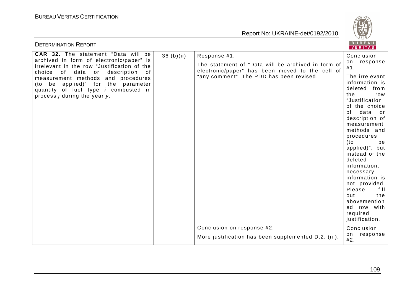

| <b>DETERMINATION REPORT</b>                                                                                                                                                                                                                                                                                 |            |                                                                                                                                                   | BUREAU<br>VERITAS                                                                                                                                                                         |
|-------------------------------------------------------------------------------------------------------------------------------------------------------------------------------------------------------------------------------------------------------------------------------------------------------------|------------|---------------------------------------------------------------------------------------------------------------------------------------------------|-------------------------------------------------------------------------------------------------------------------------------------------------------------------------------------------|
| CAR 32. The statement "Data will be                                                                                                                                                                                                                                                                         | 36 (b)(ii) | Response #1.                                                                                                                                      | Conclusion                                                                                                                                                                                |
| archived in form of electronic/paper" is<br>irrelevant in the row "Justification of the<br>choice of data or<br>description<br>of<br>measurement methods and procedures<br>(to be applied)" for the parameter<br>quantity of fuel type <i>i</i> combusted in<br>process <i>j</i> during the year <i>y</i> . |            | The statement of "Data will be archived in form of<br>electronic/paper" has been moved to the cell of<br>"any comment". The PDD has been revised. | on response<br>#1.<br>The irrelevant<br>information is<br>deleted<br>from<br>the<br>row<br>"Justification<br>of the choice                                                                |
|                                                                                                                                                                                                                                                                                                             |            |                                                                                                                                                   | data<br>of<br>or<br>description of<br>measurement<br>methods and<br>procedures<br>(to<br>be<br>applied)"; but<br>instead of the<br>deleted<br>information,<br>necessary<br>information is |
|                                                                                                                                                                                                                                                                                                             |            |                                                                                                                                                   | not provided.<br>Please,<br>fill<br>out<br>the<br>abovemention<br>ed row with<br>required<br>justification.                                                                               |
|                                                                                                                                                                                                                                                                                                             |            | Conclusion on response #2.<br>More justification has been supplemented D.2. (iii).                                                                | Conclusion<br>response<br>on<br>#2.                                                                                                                                                       |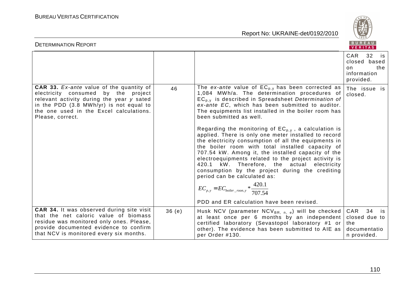BUREAU

| <b>DETERMINATION REPORT</b>                                                                                                                                                                                                                   |       |                                                                                                                                                                                                                                                                                                                                                                                                                                                                                                                                                                                                                                                                                                                                                                                                                                                                                                     | BUREAU<br>VERITAS                                                         |
|-----------------------------------------------------------------------------------------------------------------------------------------------------------------------------------------------------------------------------------------------|-------|-----------------------------------------------------------------------------------------------------------------------------------------------------------------------------------------------------------------------------------------------------------------------------------------------------------------------------------------------------------------------------------------------------------------------------------------------------------------------------------------------------------------------------------------------------------------------------------------------------------------------------------------------------------------------------------------------------------------------------------------------------------------------------------------------------------------------------------------------------------------------------------------------------|---------------------------------------------------------------------------|
|                                                                                                                                                                                                                                               |       |                                                                                                                                                                                                                                                                                                                                                                                                                                                                                                                                                                                                                                                                                                                                                                                                                                                                                                     | CAR 32<br>is is<br>closed based<br>the<br>on.<br>information<br>provided. |
| <b>CAR 33.</b> Ex-ante value of the quantity of<br>electricity consumed by the project<br>relevant activity during the year y sated<br>in the PDD (3.8 MWh/yr) is not equal to<br>the one used in the Excel calculations.<br>Please, correct. | 46    | The ex-ante value of $EC_{p,y}$ has been corrected as<br>1,084 MWh/a. The determination procedures of<br>$EC_{p,y}$ is described in Spreadsheet Determination of<br>ex-ante EC, which has been submitted to auditor.<br>The equipments list installed in the boiler room has<br>been submitted as well.<br>Regarding the monitoring of $EC_{p,y}$ , a calculation is<br>applied. There is only one meter installed to record<br>the electricity consumption of all the equipments in<br>the boiler room with total installed capacity of<br>707.54 kW. Among it, the installed capacity of the<br>electroequipments related to the project activity is<br>420.1<br>kW. Therefore, the actual electricity<br>consumption by the project during the crediting<br>period can be calculated as:<br>$EC_{p,y} = EC_{boiler\_roon,y} * \frac{420.1}{707.54}$<br>PDD and ER calculation have been revised. | The issue is<br>closed.                                                   |
| <b>CAR 34.</b> It was observed during site visit<br>that the net caloric value of biomass<br>residue was monitored only ones. Please,<br>provide documented evidence to confirm<br>that NCV is monitored every six months.                    | 36(e) | Husk NCV (parameter $NCV_{BR, n, e}$ ) will be checked<br>at least once per 6 months by an independent<br>certified laboratory (Sevastopol laboratory #1 or<br>other). The evidence has been submitted to AIE as<br>per Order #130.                                                                                                                                                                                                                                                                                                                                                                                                                                                                                                                                                                                                                                                                 | CAR 34 is<br>closed due to<br>the<br>documentatio<br>n provided.          |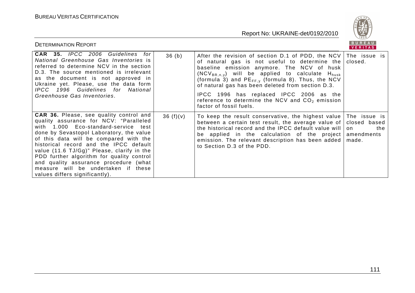

| <b>DETERMINATION REPORT</b>                                                                                                                                                                                                                                                                                                                                                                                                                                                   |          |                                                                                                                                                                                                                                                                                                                                                                                                                                                                     | BUREAU<br>VERITAS  |
|-------------------------------------------------------------------------------------------------------------------------------------------------------------------------------------------------------------------------------------------------------------------------------------------------------------------------------------------------------------------------------------------------------------------------------------------------------------------------------|----------|---------------------------------------------------------------------------------------------------------------------------------------------------------------------------------------------------------------------------------------------------------------------------------------------------------------------------------------------------------------------------------------------------------------------------------------------------------------------|--------------------|
| CAR 35. IPCC 2006 Guidelines for<br>National Greenhouse Gas Inventories is<br>referred to determine NCV in the section<br>D.3. The source mentioned is irrelevant<br>as the document is not approved in<br>Ukraine yet. Please, use the data form<br>IPCC 1996 Guidelines for National<br>Greenhouse Gas Inventories.                                                                                                                                                         | 36(h)    | After the revision of section D.1 of PDD, the NCV The issue is<br>of natural gas is not useful to determine the<br>baseline emission anymore. The NCV of husk<br>$(NCV_{BR,n,v})$ will be applied to calculate $H_{husk}$<br>(formula 3) and $PE_{FF,v}$ (formula 8). Thus, the NCV<br>of natural gas has been deleted from section D.3.<br>IPCC 1996 has replaced IPCC 2006 as the<br>reference to determine the NCV and $CO2$ emission<br>factor of fossil fuels. | closed.            |
| <b>CAR 36.</b> Please, see quality control and<br>quality assurance for NCV: "Paralleled<br>with 1.000 Eco-standard-service test<br>done by Sevastopol Laboratory, the value<br>of this data will be compared with the<br>historical record and the IPCC default<br>value (11.6 TJ/Gg)" Please, clarify in the<br>PDD further algorithm for quality control<br>and quality assurance procedure (what<br>measure will be undertaken if these<br>values differs significantly). | 36(f)(v) | To keep the result conservative, the highest value The issue is<br>between a certain test result, the average value of closed based<br>the historical record and the IPCC default value will<br>be applied in the calculation of the project amendments<br>emission. The relevant description has been added<br>to Section D.3 of the PDD.                                                                                                                          | on<br>the<br>made. |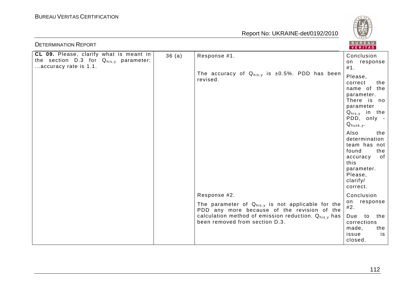

| <b>DETERMINATION REPORT</b>                                                                                      |       |                                                                                                       | BUREAU<br>VERITAS                                                                                                                                |
|------------------------------------------------------------------------------------------------------------------|-------|-------------------------------------------------------------------------------------------------------|--------------------------------------------------------------------------------------------------------------------------------------------------|
| CL 09. Please, clarify what is meant in<br>the section $D.3$ for $Q_{his,y}$ parameter:<br>accuracy rate is 1.1. | 36(a) | Response #1.                                                                                          | Conclusion<br>on response<br>#1.                                                                                                                 |
|                                                                                                                  |       | The accuracy of $Q_{his,y}$ is ±0.5%. PDD has been<br>revised.                                        | Please,<br>correct<br>the<br>name of the<br>parameter.<br>There is no<br>parameter<br>$Q_{his,y}$ in the<br>PDD, only -<br>$Q_{\text{husk},y}$ . |
|                                                                                                                  |       |                                                                                                       | Also<br>the<br>determination<br>team has not<br>found<br>the<br>of<br>accuracy<br>this<br>parameter.<br>Please,<br>clarify/<br>correct.          |
|                                                                                                                  |       | Response #2.                                                                                          | Conclusion                                                                                                                                       |
|                                                                                                                  |       | The parameter of $Q_{his,y}$ is not applicable for the<br>PDD any more because of the revision of the | on response<br>#2.                                                                                                                               |
|                                                                                                                  |       | calculation method of emission reduction. $Q_{his,v}$ has<br>been removed from section D.3.           | Due to<br>the<br>corrections<br>made,<br>the<br>issue<br>is<br>closed.                                                                           |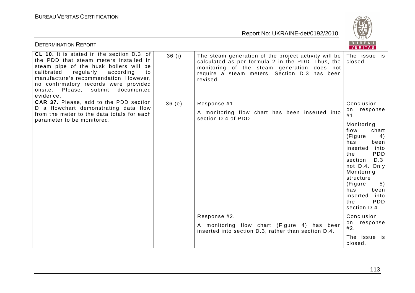

| <b>DETERMINATION REPORT</b>                                                                                                                                                                                                                                                                                       |                                                                                                                                                                                                                                   | BUREAU<br>VERITAS                                                                                                                                                                                                                                                                         |
|-------------------------------------------------------------------------------------------------------------------------------------------------------------------------------------------------------------------------------------------------------------------------------------------------------------------|-----------------------------------------------------------------------------------------------------------------------------------------------------------------------------------------------------------------------------------|-------------------------------------------------------------------------------------------------------------------------------------------------------------------------------------------------------------------------------------------------------------------------------------------|
| CL 10. It is stated in the section D.3. of<br>the PDD that steam meters installed in<br>steam pipe of the husk boilers will be<br>calibrated<br>regularly<br>according<br>to<br>manufacture's recommendation. However,<br>no confirmatory records were provided<br>onsite. Please, submit documented<br>evidence. | 36(i)<br>The steam generation of the project activity will be $ $<br>calculated as per formula 2 in the PDD. Thus, the<br>monitoring of the steam generation does not<br>require a steam meters. Section D.3 has been<br>revised. | The issue is<br>closed.                                                                                                                                                                                                                                                                   |
| CAR 37. Please, add to the PDD section<br>D a flowchart demonstrating data flow<br>from the meter to the data totals for each<br>parameter to be monitored.                                                                                                                                                       | 36(e)<br>Response #1.<br>A monitoring flow chart has been inserted into<br>section D.4 of PDD.                                                                                                                                    | Conclusion<br>on response<br>#1.<br>Monitoring<br>chart<br>flow<br>(Figure<br>4)<br>has<br>been<br>inserted<br>into<br>the<br>PDD<br>D.3,<br>section<br>not D.4. Only<br>Monitoring<br>structure<br>(Figure<br>5)<br>has<br>been<br>inserted<br>into<br>the<br><b>PDD</b><br>section D.4. |
|                                                                                                                                                                                                                                                                                                                   | Response #2.<br>A monitoring flow chart (Figure 4) has been<br>inserted into section D.3, rather than section D.4.                                                                                                                | Conclusion<br>on response<br>#2.<br>The issue is<br>closed.                                                                                                                                                                                                                               |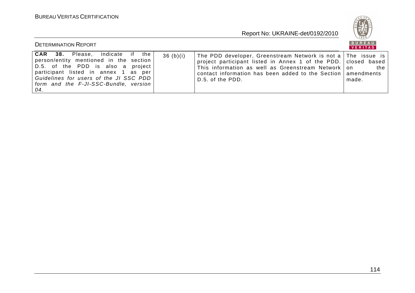

| <b>DETERMINATION REPORT</b>                                                                                                                                                                                                                                    |          |                                                                                                                                                                                                                                                                              | <b>BUREAU</b><br>VERITAS |
|----------------------------------------------------------------------------------------------------------------------------------------------------------------------------------------------------------------------------------------------------------------|----------|------------------------------------------------------------------------------------------------------------------------------------------------------------------------------------------------------------------------------------------------------------------------------|--------------------------|
| CAR 38. Please, indicate if the<br>person/entity mentioned in the section<br>  D.5. of the PDD is also a project  <br>  participant listed in annex 1 as per<br>  Guidelines for users of the JI SSC PDD  <br>  form and the F-JI-SSC-Bundle, version  <br>04. | 36(b)(i) | The PDD developer, Greenstream Network is not a The issue is<br>project participant listed in Annex 1 of the PDD. closed based<br>This information as well as Greenstream Network   on<br>contact information has been added to the Section   amendments<br>D.5. of the PDD. | the<br>made.             |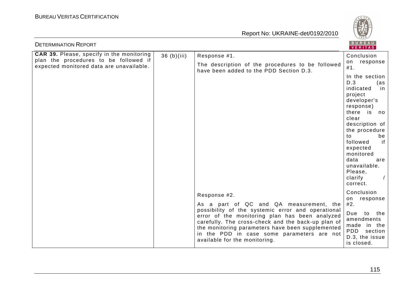

| <b>DETERMINATION REPORT</b>                                                                                                    |             |                                                                                                                                                                                                                                                                                                                                                         | B U K E A U  <br>VERITAS                                                                                                                                                                                                                                                                    |
|--------------------------------------------------------------------------------------------------------------------------------|-------------|---------------------------------------------------------------------------------------------------------------------------------------------------------------------------------------------------------------------------------------------------------------------------------------------------------------------------------------------------------|---------------------------------------------------------------------------------------------------------------------------------------------------------------------------------------------------------------------------------------------------------------------------------------------|
| CAR 39. Please, specify in the monitoring<br>plan the procedures to be followed if<br>expected monitored data are unavailable. | 36 (b)(iii) | Response #1.<br>The description of the procedures to be followed<br>have been added to the PDD Section D.3.                                                                                                                                                                                                                                             | Conclusion<br>on response<br>#1.                                                                                                                                                                                                                                                            |
|                                                                                                                                |             |                                                                                                                                                                                                                                                                                                                                                         | In the section<br>D.3<br>(as<br>indicated<br>in.<br>project<br>developer's<br>response)<br>there is no<br>clear<br>description of<br>the procedure<br>to<br>be<br>if<br>followed<br>expected<br>monitored<br>data<br>are<br>unavailable.<br>Please,<br>clarify<br>$\frac{1}{2}$<br>correct. |
|                                                                                                                                |             | Response #2.<br>As a part of QC and QA measurement, the<br>possibility of the systemic error and operational<br>error of the monitoring plan has been analyzed<br>carefully. The cross-check and the back-up plan of<br>the monitoring parameters have been supplemented<br>in the PDD in case some parameters are not<br>available for the monitoring. | Conclusion<br>on response<br>#2.<br>Due<br>to the<br>amendments<br>made in the<br>PDD section<br>D.3, the issue<br>is closed.                                                                                                                                                               |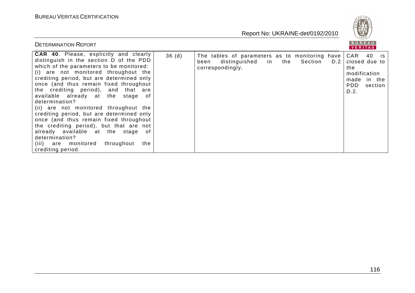

| <b>DETERMINATION REPORT</b>                                                                                                                                                                                                                                                                                                                                                                                                                                                                                                                                                                                                                                                |                                                                                                                   | BUREAU<br>  <b>VERITAS</b>                                                                 |
|----------------------------------------------------------------------------------------------------------------------------------------------------------------------------------------------------------------------------------------------------------------------------------------------------------------------------------------------------------------------------------------------------------------------------------------------------------------------------------------------------------------------------------------------------------------------------------------------------------------------------------------------------------------------------|-------------------------------------------------------------------------------------------------------------------|--------------------------------------------------------------------------------------------|
| <b>CAR 40.</b> Please, explicitly and clearly<br>36(d)<br>distinguish in the section D of the PDD<br>which of the parameters to be monitored:<br>(i) are not monitored throughout the<br>crediting period, but are determined only<br>once (and thus remain fixed throughout<br>the crediting period), and that are<br>available already at the stage of<br>determination?<br>(ii) are not monitored throughout the<br>crediting period, but are determined only<br>once (and thus remain fixed throughout<br>the crediting period), but that are not<br>already available at the stage of<br>determination?<br>(iii) are monitored throughout<br>the<br>crediting period. | The tables of parameters as to monitoring have<br>distinguished in the Section<br>D.2<br>been<br>correspondingly. | CAR 40 is<br>closed due to<br>the<br>modification<br>made in the<br>PDD<br>section<br>D.2. |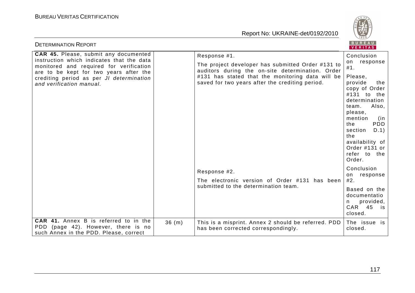

| <b>DETERMINATION REPORT</b>                                                                                                                                                                            |       |                                                                                                       | <b>BUREAU</b><br><b>VERITAS</b>                                                                                                                                                                                                 |
|--------------------------------------------------------------------------------------------------------------------------------------------------------------------------------------------------------|-------|-------------------------------------------------------------------------------------------------------|---------------------------------------------------------------------------------------------------------------------------------------------------------------------------------------------------------------------------------|
| CAR 45. Please, submit any documented                                                                                                                                                                  |       | Response #1.                                                                                          | Conclusion                                                                                                                                                                                                                      |
| instruction which indicates that the data<br>monitored and required for verification<br>are to be kept for two years after the<br>crediting period as per JI determination<br>and verification manual. |       | The project developer has submitted Order #131 to<br>auditors during the on-site determination. Order | response<br>on<br>#1.                                                                                                                                                                                                           |
|                                                                                                                                                                                                        |       | #131 has stated that the monitoring data will be<br>saved for two years after the crediting period.   | Please,<br>provide<br>the<br>copy of Order<br>#131 to the<br>determination<br>Also,<br>team.<br>please,<br>mention<br>(in<br>PDD<br>the<br>section<br>D.1)<br>the<br>availability of<br>Order #131 or<br>refer to the<br>Order. |
|                                                                                                                                                                                                        |       | Response #2.<br>The electronic version of Order #131 has been                                         | Conclusion<br>response<br>on<br>#2.                                                                                                                                                                                             |
|                                                                                                                                                                                                        |       | submitted to the determination team.                                                                  | Based on the<br>documentatio<br>provided,<br>n.<br>CAR 45<br>is<br>closed.                                                                                                                                                      |
| <b>CAR 41.</b> Annex B is referred to in the<br>(page 42). However, there is no<br>PDD<br>such Annex in the PDD. Please, correct                                                                       | 36(m) | This is a misprint. Annex 2 should be referred. PDD<br>has been corrected correspondingly.            | The issue is<br>closed.                                                                                                                                                                                                         |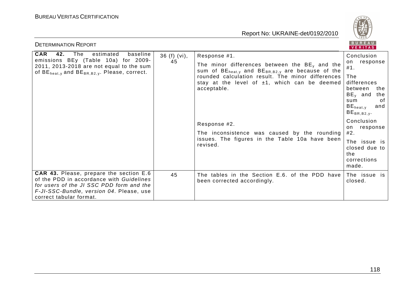

| <b>DETERMINATION REPORT</b>                                                                                                                                                                                   |                      |                                                                                                                                                                                      | BUREAU<br>VERITAS                                                                                                         |
|---------------------------------------------------------------------------------------------------------------------------------------------------------------------------------------------------------------|----------------------|--------------------------------------------------------------------------------------------------------------------------------------------------------------------------------------|---------------------------------------------------------------------------------------------------------------------------|
| <b>CAR</b><br>The<br>42.<br>estimated<br>baseline<br>emissions BEy (Table 10a) for 2009-<br>2011, 2013-2018 are not equal to the sum<br>of $BE_{heat, v}$ and $BE_{BR, B2, v}$ . Please, correct.             | $36$ (f) (vi),<br>45 | Response #1.<br>The minor differences between the $BEv$ and the                                                                                                                      | Conclusion<br>on response                                                                                                 |
|                                                                                                                                                                                                               |                      | sum of $BE_{heat,y}$ and $BE_{BR,B2,y}$ are because of the<br>rounded calculation result. The minor differences<br>stay at the level of $\pm 1$ , which can be deemed<br>acceptable. | #1.<br>The<br>differences<br>between<br>the<br>$BE_v$ and<br>the<br>of<br>sum<br>$BE_{heat,v}$<br>and<br>$BE_{BR,B2,y}$ . |
|                                                                                                                                                                                                               |                      | Response #2.<br>The inconsistence was caused by the rounding<br>issues. The figures in the Table 10a have been<br>revised.                                                           | Conclusion<br>response<br>on<br>#2.                                                                                       |
|                                                                                                                                                                                                               |                      |                                                                                                                                                                                      | The issue is<br>closed due to<br>the<br>corrections<br>made.                                                              |
| <b>CAR 43.</b> Please, prepare the section E.6<br>of the PDD in accordance with Guidelines<br>for users of the JI SSC PDD form and the<br>F-JI-SSC-Bundle, version 04. Please, use<br>correct tabular format. | 45                   | The tables in the Section E.6. of the PDD have<br>been corrected accordingly.                                                                                                        | The issue is<br>closed.                                                                                                   |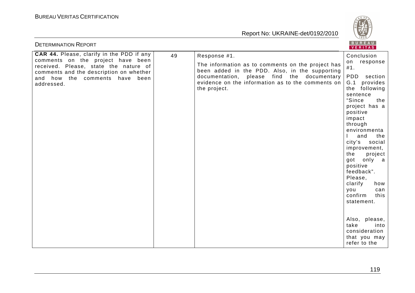

| <b>DETERMINATION REPORT</b>                                                                                             |    |                                                                                                                 | BUREAU<br><b>VERITAS</b>                                                                                                                                                                                                                                                                                                                                                                              |
|-------------------------------------------------------------------------------------------------------------------------|----|-----------------------------------------------------------------------------------------------------------------|-------------------------------------------------------------------------------------------------------------------------------------------------------------------------------------------------------------------------------------------------------------------------------------------------------------------------------------------------------------------------------------------------------|
| CAR 44. Please, clarify in the PDD if any<br>comments on the project have been<br>received. Please, state the nature of | 49 | Response #1.                                                                                                    | Conclusion                                                                                                                                                                                                                                                                                                                                                                                            |
|                                                                                                                         |    | The information as to comments on the project has<br>been added in the PDD. Also, in the supporting             | on response<br>#1.                                                                                                                                                                                                                                                                                                                                                                                    |
| comments and the description on whether<br>and how the comments have been<br>addressed.                                 |    | documentation, please find the documentary<br>evidence on the information as to the comments on<br>the project. | PDD section<br>G.1 provides<br>the following<br>sentence<br>"Since<br>the<br>project has a<br>positive<br>impact<br>through<br>environmenta<br>and<br>the<br>city's<br>social<br>improvement,<br>the<br>project<br>got only a<br>positive<br>feedback".<br>Please,<br>clarify<br>how<br>you<br>can<br>confirm<br>this<br>statement.<br>Also, please,<br>take<br>into<br>consideration<br>that you may |
|                                                                                                                         |    |                                                                                                                 | refer to the                                                                                                                                                                                                                                                                                                                                                                                          |